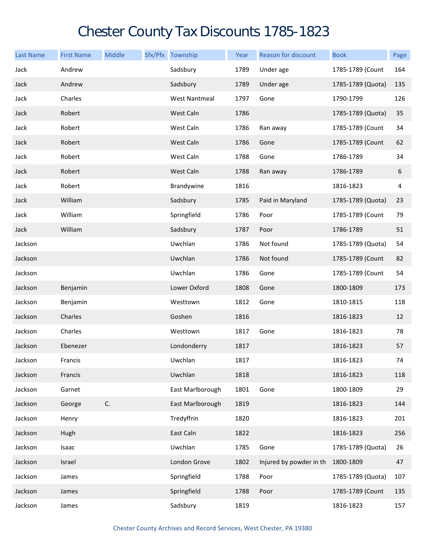## Chester County Tax Discounts 1785-1823

| <b>Last Name</b> | <b>First Name</b> | Middle | Sfx/Pfx Township     | Year | Reason for discount     | <b>Book</b>       | Page |
|------------------|-------------------|--------|----------------------|------|-------------------------|-------------------|------|
| Jack             | Andrew            |        | Sadsbury             | 1789 | Under age               | 1785-1789 (Count  | 164  |
| Jack             | Andrew            |        | Sadsbury             | 1789 | Under age               | 1785-1789 (Quota) | 135  |
| Jack             | Charles           |        | <b>West Nantmeal</b> | 1797 | Gone                    | 1790-1799         | 126  |
| Jack             | Robert            |        | West Caln            | 1786 |                         | 1785-1789 (Quota) | 35   |
| Jack             | Robert            |        | West Caln            | 1786 | Ran away                | 1785-1789 (Count  | 34   |
| Jack             | Robert            |        | West Caln            | 1786 | Gone                    | 1785-1789 (Count  | 62   |
| Jack             | Robert            |        | West Caln            | 1788 | Gone                    | 1786-1789         | 34   |
| Jack             | Robert            |        | West Caln            | 1788 | Ran away                | 1786-1789         | 6    |
| Jack             | Robert            |        | Brandywine           | 1816 |                         | 1816-1823         | 4    |
| Jack             | William           |        | Sadsbury             | 1785 | Paid in Maryland        | 1785-1789 (Quota) | 23   |
| Jack             | William           |        | Springfield          | 1786 | Poor                    | 1785-1789 (Count  | 79   |
| Jack             | William           |        | Sadsbury             | 1787 | Poor                    | 1786-1789         | 51   |
| Jackson          |                   |        | Uwchlan              | 1786 | Not found               | 1785-1789 (Quota) | 54   |
| Jackson          |                   |        | Uwchlan              | 1786 | Not found               | 1785-1789 (Count  | 82   |
| Jackson          |                   |        | Uwchlan              | 1786 | Gone                    | 1785-1789 (Count  | 54   |
| Jackson          | Benjamin          |        | Lower Oxford         | 1808 | Gone                    | 1800-1809         | 173  |
| Jackson          | Benjamin          |        | Westtown             | 1812 | Gone                    | 1810-1815         | 118  |
| Jackson          | Charles           |        | Goshen               | 1816 |                         | 1816-1823         | 12   |
| Jackson          | Charles           |        | Westtown             | 1817 | Gone                    | 1816-1823         | 78   |
| Jackson          | Ebenezer          |        | Londonderry          | 1817 |                         | 1816-1823         | 57   |
| Jackson          | Francis           |        | Uwchlan              | 1817 |                         | 1816-1823         | 74   |
| Jackson          | Francis           |        | Uwchlan              | 1818 |                         | 1816-1823         | 118  |
| Jackson          | Garnet            |        | East Marlborough     | 1801 | Gone                    | 1800-1809         | 29   |
| Jackson          | George            | C.     | East Marlborough     | 1819 |                         | 1816-1823         | 144  |
| Jackson          | Henry             |        | Tredyffrin           | 1820 |                         | 1816-1823         | 201  |
| Jackson          | Hugh              |        | East Caln            | 1822 |                         | 1816-1823         | 256  |
| Jackson          | Isaac             |        | Uwchlan              | 1785 | Gone                    | 1785-1789 (Quota) | 26   |
| Jackson          | Israel            |        | London Grove         | 1802 | Injured by powder in th | 1800-1809         | 47   |
| Jackson          | James             |        | Springfield          | 1788 | Poor                    | 1785-1789 (Quota) | 107  |
| Jackson          | James             |        | Springfield          | 1788 | Poor                    | 1785-1789 (Count  | 135  |
| Jackson          | James             |        | Sadsbury             | 1819 |                         | 1816-1823         | 157  |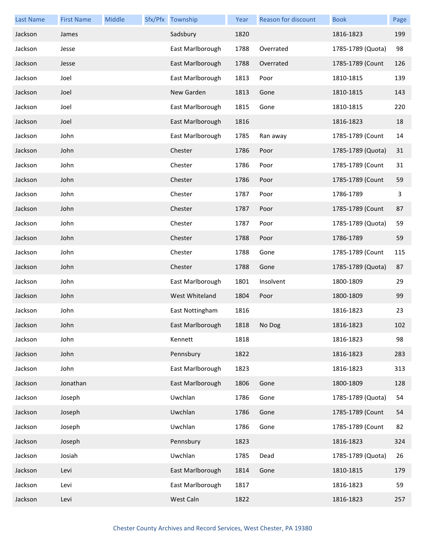| <b>Last Name</b> | <b>First Name</b> | Middle | Sfx/Pfx Township | Year | Reason for discount | <b>Book</b>       | Page |
|------------------|-------------------|--------|------------------|------|---------------------|-------------------|------|
| Jackson          | James             |        | Sadsbury         | 1820 |                     | 1816-1823         | 199  |
| Jackson          | Jesse             |        | East Marlborough | 1788 | Overrated           | 1785-1789 (Quota) | 98   |
| Jackson          | Jesse             |        | East Marlborough | 1788 | Overrated           | 1785-1789 (Count  | 126  |
| Jackson          | Joel              |        | East Marlborough | 1813 | Poor                | 1810-1815         | 139  |
| Jackson          | Joel              |        | New Garden       | 1813 | Gone                | 1810-1815         | 143  |
| Jackson          | Joel              |        | East Marlborough | 1815 | Gone                | 1810-1815         | 220  |
| Jackson          | Joel              |        | East Marlborough | 1816 |                     | 1816-1823         | 18   |
| Jackson          | John              |        | East Marlborough | 1785 | Ran away            | 1785-1789 (Count  | 14   |
| Jackson          | John              |        | Chester          | 1786 | Poor                | 1785-1789 (Quota) | 31   |
| Jackson          | John              |        | Chester          | 1786 | Poor                | 1785-1789 (Count  | 31   |
| Jackson          | John              |        | Chester          | 1786 | Poor                | 1785-1789 (Count  | 59   |
| Jackson          | John              |        | Chester          | 1787 | Poor                | 1786-1789         | 3    |
| Jackson          | John              |        | Chester          | 1787 | Poor                | 1785-1789 (Count  | 87   |
| Jackson          | John              |        | Chester          | 1787 | Poor                | 1785-1789 (Quota) | 59   |
| Jackson          | John              |        | Chester          | 1788 | Poor                | 1786-1789         | 59   |
| Jackson          | John              |        | Chester          | 1788 | Gone                | 1785-1789 (Count  | 115  |
| Jackson          | John              |        | Chester          | 1788 | Gone                | 1785-1789 (Quota) | 87   |
| Jackson          | John              |        | East Marlborough | 1801 | Insolvent           | 1800-1809         | 29   |
| Jackson          | John              |        | West Whiteland   | 1804 | Poor                | 1800-1809         | 99   |
| Jackson          | John              |        | East Nottingham  | 1816 |                     | 1816-1823         | 23   |
| Jackson          | John              |        | East Marlborough | 1818 | No Dog              | 1816-1823         | 102  |
| Jackson          | John              |        | Kennett          | 1818 |                     | 1816-1823         | 98   |
| Jackson          | John              |        | Pennsbury        | 1822 |                     | 1816-1823         | 283  |
| Jackson          | John              |        | East Marlborough | 1823 |                     | 1816-1823         | 313  |
| Jackson          | Jonathan          |        | East Marlborough | 1806 | Gone                | 1800-1809         | 128  |
| Jackson          | Joseph            |        | Uwchlan          | 1786 | Gone                | 1785-1789 (Quota) | 54   |
| Jackson          | Joseph            |        | Uwchlan          | 1786 | Gone                | 1785-1789 (Count  | 54   |
| Jackson          | Joseph            |        | Uwchlan          | 1786 | Gone                | 1785-1789 (Count  | 82   |
| Jackson          | Joseph            |        | Pennsbury        | 1823 |                     | 1816-1823         | 324  |
| Jackson          | Josiah            |        | Uwchlan          | 1785 | Dead                | 1785-1789 (Quota) | 26   |
| Jackson          | Levi              |        | East Marlborough | 1814 | Gone                | 1810-1815         | 179  |
| Jackson          | Levi              |        | East Marlborough | 1817 |                     | 1816-1823         | 59   |
| Jackson          | Levi              |        | West Caln        | 1822 |                     | 1816-1823         | 257  |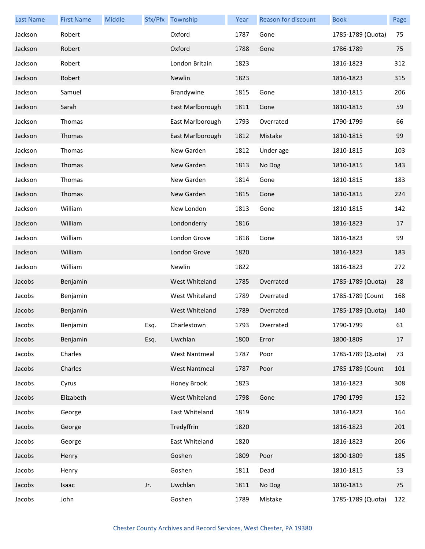| <b>Last Name</b> | <b>First Name</b> | <b>Middle</b> |      | Sfx/Pfx Township     | Year | Reason for discount | <b>Book</b>       | Page |
|------------------|-------------------|---------------|------|----------------------|------|---------------------|-------------------|------|
| Jackson          | Robert            |               |      | Oxford               | 1787 | Gone                | 1785-1789 (Quota) | 75   |
| Jackson          | Robert            |               |      | Oxford               | 1788 | Gone                | 1786-1789         | 75   |
| Jackson          | Robert            |               |      | London Britain       | 1823 |                     | 1816-1823         | 312  |
| Jackson          | Robert            |               |      | Newlin               | 1823 |                     | 1816-1823         | 315  |
| Jackson          | Samuel            |               |      | Brandywine           | 1815 | Gone                | 1810-1815         | 206  |
| Jackson          | Sarah             |               |      | East Marlborough     | 1811 | Gone                | 1810-1815         | 59   |
| Jackson          | Thomas            |               |      | East Marlborough     | 1793 | Overrated           | 1790-1799         | 66   |
| Jackson          | Thomas            |               |      | East Marlborough     | 1812 | Mistake             | 1810-1815         | 99   |
| Jackson          | Thomas            |               |      | New Garden           | 1812 | Under age           | 1810-1815         | 103  |
| Jackson          | Thomas            |               |      | New Garden           | 1813 | No Dog              | 1810-1815         | 143  |
| Jackson          | Thomas            |               |      | New Garden           | 1814 | Gone                | 1810-1815         | 183  |
| Jackson          | Thomas            |               |      | New Garden           | 1815 | Gone                | 1810-1815         | 224  |
| Jackson          | William           |               |      | New London           | 1813 | Gone                | 1810-1815         | 142  |
| Jackson          | William           |               |      | Londonderry          | 1816 |                     | 1816-1823         | 17   |
| Jackson          | William           |               |      | London Grove         | 1818 | Gone                | 1816-1823         | 99   |
| Jackson          | William           |               |      | London Grove         | 1820 |                     | 1816-1823         | 183  |
| Jackson          | William           |               |      | Newlin               | 1822 |                     | 1816-1823         | 272  |
| Jacobs           | Benjamin          |               |      | West Whiteland       | 1785 | Overrated           | 1785-1789 (Quota) | 28   |
| Jacobs           | Benjamin          |               |      | West Whiteland       | 1789 | Overrated           | 1785-1789 (Count  | 168  |
| Jacobs           | Benjamin          |               |      | West Whiteland       | 1789 | Overrated           | 1785-1789 (Quota) | 140  |
| Jacobs           | Benjamin          |               | Esq. | Charlestown          | 1793 | Overrated           | 1790-1799         | 61   |
| Jacobs           | Benjamin          |               | Esq. | Uwchlan              | 1800 | Error               | 1800-1809         | 17   |
| Jacobs           | Charles           |               |      | <b>West Nantmeal</b> | 1787 | Poor                | 1785-1789 (Quota) | 73   |
| Jacobs           | Charles           |               |      | <b>West Nantmeal</b> | 1787 | Poor                | 1785-1789 (Count  | 101  |
| Jacobs           | Cyrus             |               |      | Honey Brook          | 1823 |                     | 1816-1823         | 308  |
| Jacobs           | Elizabeth         |               |      | West Whiteland       | 1798 | Gone                | 1790-1799         | 152  |
| Jacobs           | George            |               |      | East Whiteland       | 1819 |                     | 1816-1823         | 164  |
| Jacobs           | George            |               |      | Tredyffrin           | 1820 |                     | 1816-1823         | 201  |
| Jacobs           | George            |               |      | East Whiteland       | 1820 |                     | 1816-1823         | 206  |
| Jacobs           | Henry             |               |      | Goshen               | 1809 | Poor                | 1800-1809         | 185  |
| Jacobs           | Henry             |               |      | Goshen               | 1811 | Dead                | 1810-1815         | 53   |
| Jacobs           | Isaac             |               | Jr.  | Uwchlan              | 1811 | No Dog              | 1810-1815         | 75   |
| Jacobs           | John              |               |      | Goshen               | 1789 | Mistake             | 1785-1789 (Quota) | 122  |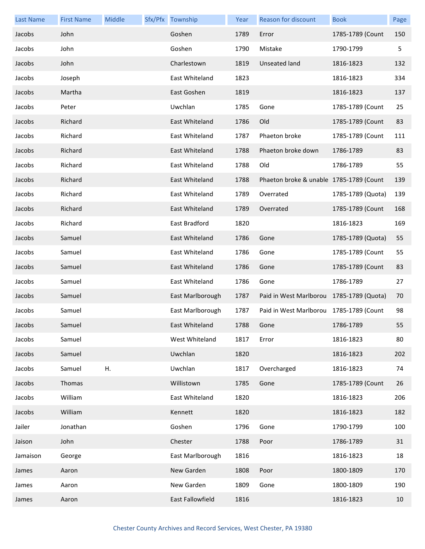| <b>Last Name</b> | <b>First Name</b> | Middle | Sfx/Pfx Township | Year | Reason for discount                      | <b>Book</b>       | Page |
|------------------|-------------------|--------|------------------|------|------------------------------------------|-------------------|------|
| Jacobs           | John              |        | Goshen           | 1789 | Error                                    | 1785-1789 (Count  | 150  |
| Jacobs           | John              |        | Goshen           | 1790 | Mistake                                  | 1790-1799         | 5    |
| Jacobs           | John              |        | Charlestown      | 1819 | Unseated land                            | 1816-1823         | 132  |
| Jacobs           | Joseph            |        | East Whiteland   | 1823 |                                          | 1816-1823         | 334  |
| Jacobs           | Martha            |        | East Goshen      | 1819 |                                          | 1816-1823         | 137  |
| Jacobs           | Peter             |        | Uwchlan          | 1785 | Gone                                     | 1785-1789 (Count  | 25   |
| Jacobs           | Richard           |        | East Whiteland   | 1786 | Old                                      | 1785-1789 (Count  | 83   |
| Jacobs           | Richard           |        | East Whiteland   | 1787 | Phaeton broke                            | 1785-1789 (Count  | 111  |
| Jacobs           | Richard           |        | East Whiteland   | 1788 | Phaeton broke down                       | 1786-1789         | 83   |
| Jacobs           | Richard           |        | East Whiteland   | 1788 | Old                                      | 1786-1789         | 55   |
| Jacobs           | Richard           |        | East Whiteland   | 1788 | Phaeton broke & unable 1785-1789 (Count  |                   | 139  |
| Jacobs           | Richard           |        | East Whiteland   | 1789 | Overrated                                | 1785-1789 (Quota) | 139  |
| Jacobs           | Richard           |        | East Whiteland   | 1789 | Overrated                                | 1785-1789 (Count  | 168  |
| Jacobs           | Richard           |        | East Bradford    | 1820 |                                          | 1816-1823         | 169  |
| Jacobs           | Samuel            |        | East Whiteland   | 1786 | Gone                                     | 1785-1789 (Quota) | 55   |
| Jacobs           | Samuel            |        | East Whiteland   | 1786 | Gone                                     | 1785-1789 (Count  | 55   |
| Jacobs           | Samuel            |        | East Whiteland   | 1786 | Gone                                     | 1785-1789 (Count  | 83   |
| Jacobs           | Samuel            |        | East Whiteland   | 1786 | Gone                                     | 1786-1789         | 27   |
| Jacobs           | Samuel            |        | East Marlborough | 1787 | Paid in West Marlborou 1785-1789 (Quota) |                   | 70   |
| Jacobs           | Samuel            |        | East Marlborough | 1787 | Paid in West Marlborou 1785-1789 (Count  |                   | 98   |
| Jacobs           | Samuel            |        | East Whiteland   | 1788 | Gone                                     | 1786-1789         | 55   |
| Jacobs           | Samuel            |        | West Whiteland   | 1817 | Error                                    | 1816-1823         | 80   |
| Jacobs           | Samuel            |        | Uwchlan          | 1820 |                                          | 1816-1823         | 202  |
| Jacobs           | Samuel            | Η.     | Uwchlan          | 1817 | Overcharged                              | 1816-1823         | 74   |
| Jacobs           | Thomas            |        | Willistown       | 1785 | Gone                                     | 1785-1789 (Count  | 26   |
| Jacobs           | William           |        | East Whiteland   | 1820 |                                          | 1816-1823         | 206  |
| Jacobs           | William           |        | Kennett          | 1820 |                                          | 1816-1823         | 182  |
| Jailer           | Jonathan          |        | Goshen           | 1796 | Gone                                     | 1790-1799         | 100  |
| Jaison           | John              |        | Chester          | 1788 | Poor                                     | 1786-1789         | 31   |
| Jamaison         | George            |        | East Marlborough | 1816 |                                          | 1816-1823         | 18   |
| James            | Aaron             |        | New Garden       | 1808 | Poor                                     | 1800-1809         | 170  |
| James            | Aaron             |        | New Garden       | 1809 | Gone                                     | 1800-1809         | 190  |
| James            | Aaron             |        | East Fallowfield | 1816 |                                          | 1816-1823         | 10   |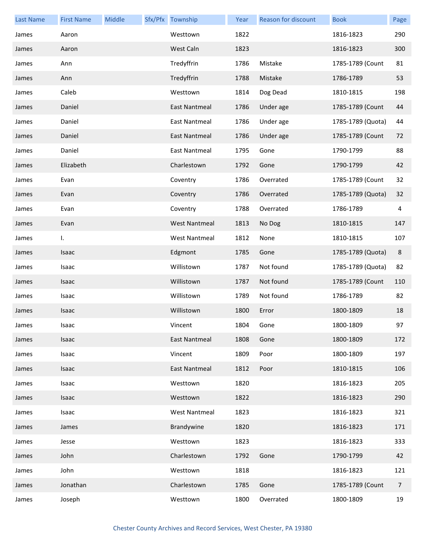| <b>Last Name</b> | <b>First Name</b> | Middle | Sfx/Pfx Township     | Year | Reason for discount | <b>Book</b>       | Page           |
|------------------|-------------------|--------|----------------------|------|---------------------|-------------------|----------------|
| James            | Aaron             |        | Westtown             | 1822 |                     | 1816-1823         | 290            |
| James            | Aaron             |        | West Caln            | 1823 |                     | 1816-1823         | 300            |
| James            | Ann               |        | Tredyffrin           | 1786 | Mistake             | 1785-1789 (Count  | 81             |
| James            | Ann               |        | Tredyffrin           | 1788 | Mistake             | 1786-1789         | 53             |
| James            | Caleb             |        | Westtown             | 1814 | Dog Dead            | 1810-1815         | 198            |
| James            | Daniel            |        | <b>East Nantmeal</b> | 1786 | Under age           | 1785-1789 (Count  | 44             |
| James            | Daniel            |        | East Nantmeal        | 1786 | Under age           | 1785-1789 (Quota) | 44             |
| James            | Daniel            |        | East Nantmeal        | 1786 | Under age           | 1785-1789 (Count  | 72             |
| James            | Daniel            |        | East Nantmeal        | 1795 | Gone                | 1790-1799         | 88             |
| James            | Elizabeth         |        | Charlestown          | 1792 | Gone                | 1790-1799         | 42             |
| James            | Evan              |        | Coventry             | 1786 | Overrated           | 1785-1789 (Count  | 32             |
| James            | Evan              |        | Coventry             | 1786 | Overrated           | 1785-1789 (Quota) | 32             |
| James            | Evan              |        | Coventry             | 1788 | Overrated           | 1786-1789         | 4              |
| James            | Evan              |        | <b>West Nantmeal</b> | 1813 | No Dog              | 1810-1815         | 147            |
| James            | I.                |        | <b>West Nantmeal</b> | 1812 | None                | 1810-1815         | 107            |
| James            | Isaac             |        | Edgmont              | 1785 | Gone                | 1785-1789 (Quota) | 8              |
| James            | Isaac             |        | Willistown           | 1787 | Not found           | 1785-1789 (Quota) | 82             |
| James            | Isaac             |        | Willistown           | 1787 | Not found           | 1785-1789 (Count  | 110            |
| James            | Isaac             |        | Willistown           | 1789 | Not found           | 1786-1789         | 82             |
| James            | Isaac             |        | Willistown           | 1800 | Error               | 1800-1809         | 18             |
| James            | Isaac             |        | Vincent              | 1804 | Gone                | 1800-1809         | 97             |
| James            | Isaac             |        | East Nantmeal        | 1808 | Gone                | 1800-1809         | 172            |
| James            | Isaac             |        | Vincent              | 1809 | Poor                | 1800-1809         | 197            |
| James            | Isaac             |        | <b>East Nantmeal</b> | 1812 | Poor                | 1810-1815         | 106            |
| James            | Isaac             |        | Westtown             | 1820 |                     | 1816-1823         | 205            |
| James            | Isaac             |        | Westtown             | 1822 |                     | 1816-1823         | 290            |
| James            | Isaac             |        | <b>West Nantmeal</b> | 1823 |                     | 1816-1823         | 321            |
| James            | James             |        | Brandywine           | 1820 |                     | 1816-1823         | 171            |
| James            | Jesse             |        | Westtown             | 1823 |                     | 1816-1823         | 333            |
| James            | John              |        | Charlestown          | 1792 | Gone                | 1790-1799         | 42             |
| James            | John              |        | Westtown             | 1818 |                     | 1816-1823         | 121            |
| James            | Jonathan          |        | Charlestown          | 1785 | Gone                | 1785-1789 (Count  | $\overline{7}$ |
| James            | Joseph            |        | Westtown             | 1800 | Overrated           | 1800-1809         | 19             |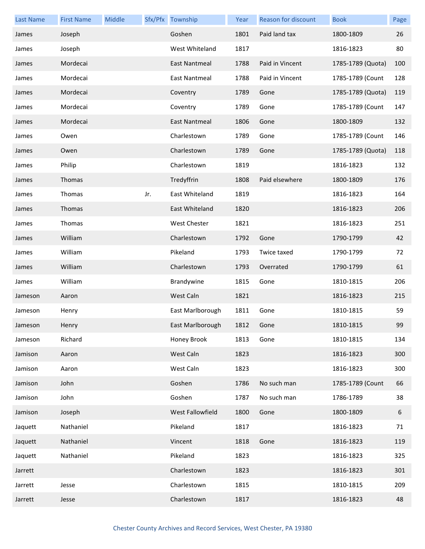| <b>Last Name</b> | <b>First Name</b> | Middle |     | Sfx/Pfx Township | Year | Reason for discount | <b>Book</b>       | Page |
|------------------|-------------------|--------|-----|------------------|------|---------------------|-------------------|------|
| James            | Joseph            |        |     | Goshen           | 1801 | Paid land tax       | 1800-1809         | 26   |
| James            | Joseph            |        |     | West Whiteland   | 1817 |                     | 1816-1823         | 80   |
| James            | Mordecai          |        |     | East Nantmeal    | 1788 | Paid in Vincent     | 1785-1789 (Quota) | 100  |
| James            | Mordecai          |        |     | East Nantmeal    | 1788 | Paid in Vincent     | 1785-1789 (Count  | 128  |
| James            | Mordecai          |        |     | Coventry         | 1789 | Gone                | 1785-1789 (Quota) | 119  |
| James            | Mordecai          |        |     | Coventry         | 1789 | Gone                | 1785-1789 (Count  | 147  |
| James            | Mordecai          |        |     | East Nantmeal    | 1806 | Gone                | 1800-1809         | 132  |
| James            | Owen              |        |     | Charlestown      | 1789 | Gone                | 1785-1789 (Count  | 146  |
| James            | Owen              |        |     | Charlestown      | 1789 | Gone                | 1785-1789 (Quota) | 118  |
| James            | Philip            |        |     | Charlestown      | 1819 |                     | 1816-1823         | 132  |
| James            | Thomas            |        |     | Tredyffrin       | 1808 | Paid elsewhere      | 1800-1809         | 176  |
| James            | Thomas            |        | Jr. | East Whiteland   | 1819 |                     | 1816-1823         | 164  |
| James            | Thomas            |        |     | East Whiteland   | 1820 |                     | 1816-1823         | 206  |
| James            | Thomas            |        |     | West Chester     | 1821 |                     | 1816-1823         | 251  |
| James            | William           |        |     | Charlestown      | 1792 | Gone                | 1790-1799         | 42   |
| James            | William           |        |     | Pikeland         | 1793 | Twice taxed         | 1790-1799         | 72   |
| James            | William           |        |     | Charlestown      | 1793 | Overrated           | 1790-1799         | 61   |
| James            | William           |        |     | Brandywine       | 1815 | Gone                | 1810-1815         | 206  |
| Jameson          | Aaron             |        |     | West Caln        | 1821 |                     | 1816-1823         | 215  |
| Jameson          | Henry             |        |     | East Marlborough | 1811 | Gone                | 1810-1815         | 59   |
| Jameson          | Henry             |        |     | East Marlborough | 1812 | Gone                | 1810-1815         | 99   |
| Jameson          | Richard           |        |     | Honey Brook      | 1813 | Gone                | 1810-1815         | 134  |
| Jamison          | Aaron             |        |     | West Caln        | 1823 |                     | 1816-1823         | 300  |
| Jamison          | Aaron             |        |     | West Caln        | 1823 |                     | 1816-1823         | 300  |
| Jamison          | John              |        |     | Goshen           | 1786 | No such man         | 1785-1789 (Count  | 66   |
| Jamison          | John              |        |     | Goshen           | 1787 | No such man         | 1786-1789         | 38   |
| Jamison          | Joseph            |        |     | West Fallowfield | 1800 | Gone                | 1800-1809         | 6    |
| Jaquett          | Nathaniel         |        |     | Pikeland         | 1817 |                     | 1816-1823         | 71   |
| Jaquett          | Nathaniel         |        |     | Vincent          | 1818 | Gone                | 1816-1823         | 119  |
| Jaquett          | Nathaniel         |        |     | Pikeland         | 1823 |                     | 1816-1823         | 325  |
| Jarrett          |                   |        |     | Charlestown      | 1823 |                     | 1816-1823         | 301  |
| Jarrett          | Jesse             |        |     | Charlestown      | 1815 |                     | 1810-1815         | 209  |
| Jarrett          | Jesse             |        |     | Charlestown      | 1817 |                     | 1816-1823         | 48   |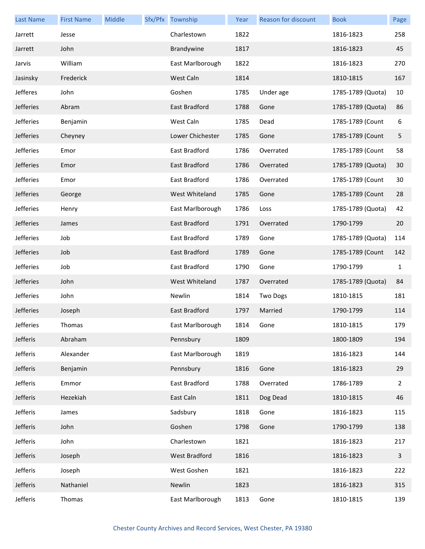| <b>Last Name</b> | <b>First Name</b> | Middle | Sfx/Pfx Township | Year | Reason for discount | <b>Book</b>       | Page                    |
|------------------|-------------------|--------|------------------|------|---------------------|-------------------|-------------------------|
| Jarrett          | Jesse             |        | Charlestown      | 1822 |                     | 1816-1823         | 258                     |
| Jarrett          | John              |        | Brandywine       | 1817 |                     | 1816-1823         | 45                      |
| Jarvis           | William           |        | East Marlborough | 1822 |                     | 1816-1823         | 270                     |
| Jasinsky         | Frederick         |        | West Caln        | 1814 |                     | 1810-1815         | 167                     |
| Jefferes         | John              |        | Goshen           | 1785 | Under age           | 1785-1789 (Quota) | 10                      |
| Jefferies        | Abram             |        | East Bradford    | 1788 | Gone                | 1785-1789 (Quota) | 86                      |
| Jefferies        | Benjamin          |        | West Caln        | 1785 | Dead                | 1785-1789 (Count  | 6                       |
| Jefferies        | Cheyney           |        | Lower Chichester | 1785 | Gone                | 1785-1789 (Count  | 5                       |
| Jefferies        | Emor              |        | East Bradford    | 1786 | Overrated           | 1785-1789 (Count  | 58                      |
| Jefferies        | Emor              |        | East Bradford    | 1786 | Overrated           | 1785-1789 (Quota) | 30                      |
| Jefferies        | Emor              |        | East Bradford    | 1786 | Overrated           | 1785-1789 (Count  | 30                      |
| Jefferies        | George            |        | West Whiteland   | 1785 | Gone                | 1785-1789 (Count  | 28                      |
| Jefferies        | Henry             |        | East Marlborough | 1786 | Loss                | 1785-1789 (Quota) | 42                      |
| Jefferies        | James             |        | East Bradford    | 1791 | Overrated           | 1790-1799         | 20                      |
| Jefferies        | Job               |        | East Bradford    | 1789 | Gone                | 1785-1789 (Quota) | 114                     |
| Jefferies        | Job               |        | East Bradford    | 1789 | Gone                | 1785-1789 (Count  | 142                     |
| Jefferies        | Job               |        | East Bradford    | 1790 | Gone                | 1790-1799         | $\mathbf{1}$            |
| Jefferies        | John              |        | West Whiteland   | 1787 | Overrated           | 1785-1789 (Quota) | 84                      |
| Jefferies        | John              |        | Newlin           | 1814 | <b>Two Dogs</b>     | 1810-1815         | 181                     |
| Jefferies        | Joseph            |        | East Bradford    | 1797 | Married             | 1790-1799         | 114                     |
| Jefferies        | Thomas            |        | East Marlborough | 1814 | Gone                | 1810-1815         | 179                     |
| Jefferis         | Abraham           |        | Pennsbury        | 1809 |                     | 1800-1809         | 194                     |
| Jefferis         | Alexander         |        | East Marlborough | 1819 |                     | 1816-1823         | 144                     |
| Jefferis         | Benjamin          |        | Pennsbury        | 1816 | Gone                | 1816-1823         | 29                      |
| Jefferis         | Emmor             |        | East Bradford    | 1788 | Overrated           | 1786-1789         | $\overline{2}$          |
| Jefferis         | Hezekiah          |        | East Caln        | 1811 | Dog Dead            | 1810-1815         | 46                      |
| Jefferis         | James             |        | Sadsbury         | 1818 | Gone                | 1816-1823         | 115                     |
| Jefferis         | John              |        | Goshen           | 1798 | Gone                | 1790-1799         | 138                     |
| Jefferis         | John              |        | Charlestown      | 1821 |                     | 1816-1823         | 217                     |
| Jefferis         | Joseph            |        | West Bradford    | 1816 |                     | 1816-1823         | $\overline{\mathbf{3}}$ |
| Jefferis         | Joseph            |        | West Goshen      | 1821 |                     | 1816-1823         | 222                     |
| Jefferis         | Nathaniel         |        | Newlin           | 1823 |                     | 1816-1823         | 315                     |
| Jefferis         | Thomas            |        | East Marlborough | 1813 | Gone                | 1810-1815         | 139                     |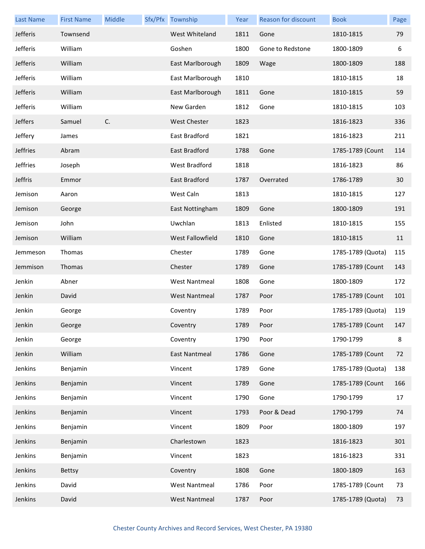| <b>Last Name</b> | <b>First Name</b> | Middle | Sfx/Pfx Township     | Year | Reason for discount | <b>Book</b>       | Page |
|------------------|-------------------|--------|----------------------|------|---------------------|-------------------|------|
| Jefferis         | Townsend          |        | West Whiteland       | 1811 | Gone                | 1810-1815         | 79   |
| Jefferis         | William           |        | Goshen               | 1800 | Gone to Redstone    | 1800-1809         | 6    |
| Jefferis         | William           |        | East Marlborough     | 1809 | Wage                | 1800-1809         | 188  |
| Jefferis         | William           |        | East Marlborough     | 1810 |                     | 1810-1815         | 18   |
| Jefferis         | William           |        | East Marlborough     | 1811 | Gone                | 1810-1815         | 59   |
| Jefferis         | William           |        | New Garden           | 1812 | Gone                | 1810-1815         | 103  |
| Jeffers          | Samuel            | C.     | <b>West Chester</b>  | 1823 |                     | 1816-1823         | 336  |
| Jeffery          | James             |        | East Bradford        | 1821 |                     | 1816-1823         | 211  |
| Jeffries         | Abram             |        | East Bradford        | 1788 | Gone                | 1785-1789 (Count  | 114  |
| Jeffries         | Joseph            |        | <b>West Bradford</b> | 1818 |                     | 1816-1823         | 86   |
| Jeffris          | Emmor             |        | East Bradford        | 1787 | Overrated           | 1786-1789         | 30   |
| Jemison          | Aaron             |        | West Caln            | 1813 |                     | 1810-1815         | 127  |
| Jemison          | George            |        | East Nottingham      | 1809 | Gone                | 1800-1809         | 191  |
| Jemison          | John              |        | Uwchlan              | 1813 | Enlisted            | 1810-1815         | 155  |
| Jemison          | William           |        | West Fallowfield     | 1810 | Gone                | 1810-1815         | 11   |
| Jemmeson         | Thomas            |        | Chester              | 1789 | Gone                | 1785-1789 (Quota) | 115  |
| Jemmison         | Thomas            |        | Chester              | 1789 | Gone                | 1785-1789 (Count  | 143  |
| Jenkin           | Abner             |        | <b>West Nantmeal</b> | 1808 | Gone                | 1800-1809         | 172  |
| Jenkin           | David             |        | <b>West Nantmeal</b> | 1787 | Poor                | 1785-1789 (Count  | 101  |
| Jenkin           | George            |        | Coventry             | 1789 | Poor                | 1785-1789 (Quota) | 119  |
| Jenkin           | George            |        | Coventry             | 1789 | Poor                | 1785-1789 (Count  | 147  |
| Jenkin           | George            |        | Coventry             | 1790 | Poor                | 1790-1799         | 8    |
| Jenkin           | William           |        | East Nantmeal        | 1786 | Gone                | 1785-1789 (Count  | 72   |
| Jenkins          | Benjamin          |        | Vincent              | 1789 | Gone                | 1785-1789 (Quota) | 138  |
| Jenkins          | Benjamin          |        | Vincent              | 1789 | Gone                | 1785-1789 (Count  | 166  |
| Jenkins          | Benjamin          |        | Vincent              | 1790 | Gone                | 1790-1799         | 17   |
| Jenkins          | Benjamin          |        | Vincent              | 1793 | Poor & Dead         | 1790-1799         | 74   |
| Jenkins          | Benjamin          |        | Vincent              | 1809 | Poor                | 1800-1809         | 197  |
| Jenkins          | Benjamin          |        | Charlestown          | 1823 |                     | 1816-1823         | 301  |
| Jenkins          | Benjamin          |        | Vincent              | 1823 |                     | 1816-1823         | 331  |
| Jenkins          | <b>Bettsy</b>     |        | Coventry             | 1808 | Gone                | 1800-1809         | 163  |
| Jenkins          | David             |        | <b>West Nantmeal</b> | 1786 | Poor                | 1785-1789 (Count  | 73   |
| Jenkins          | David             |        | <b>West Nantmeal</b> | 1787 | Poor                | 1785-1789 (Quota) | 73   |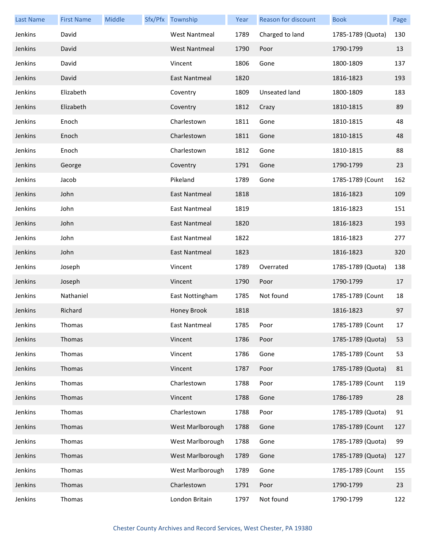| <b>Last Name</b> | <b>First Name</b> | Middle | Sfx/Pfx Township     | Year | Reason for discount | <b>Book</b>       | Page |
|------------------|-------------------|--------|----------------------|------|---------------------|-------------------|------|
| Jenkins          | David             |        | <b>West Nantmeal</b> | 1789 | Charged to land     | 1785-1789 (Quota) | 130  |
| Jenkins          | David             |        | <b>West Nantmeal</b> | 1790 | Poor                | 1790-1799         | 13   |
| Jenkins          | David             |        | Vincent              | 1806 | Gone                | 1800-1809         | 137  |
| Jenkins          | David             |        | East Nantmeal        | 1820 |                     | 1816-1823         | 193  |
| Jenkins          | Elizabeth         |        | Coventry             | 1809 | Unseated land       | 1800-1809         | 183  |
| Jenkins          | Elizabeth         |        | Coventry             | 1812 | Crazy               | 1810-1815         | 89   |
| Jenkins          | Enoch             |        | Charlestown          | 1811 | Gone                | 1810-1815         | 48   |
| Jenkins          | Enoch             |        | Charlestown          | 1811 | Gone                | 1810-1815         | 48   |
| Jenkins          | Enoch             |        | Charlestown          | 1812 | Gone                | 1810-1815         | 88   |
| Jenkins          | George            |        | Coventry             | 1791 | Gone                | 1790-1799         | 23   |
| Jenkins          | Jacob             |        | Pikeland             | 1789 | Gone                | 1785-1789 (Count  | 162  |
| Jenkins          | John              |        | East Nantmeal        | 1818 |                     | 1816-1823         | 109  |
| Jenkins          | John              |        | <b>East Nantmeal</b> | 1819 |                     | 1816-1823         | 151  |
| Jenkins          | John              |        | East Nantmeal        | 1820 |                     | 1816-1823         | 193  |
| Jenkins          | John              |        | <b>East Nantmeal</b> | 1822 |                     | 1816-1823         | 277  |
| Jenkins          | John              |        | <b>East Nantmeal</b> | 1823 |                     | 1816-1823         | 320  |
| Jenkins          | Joseph            |        | Vincent              | 1789 | Overrated           | 1785-1789 (Quota) | 138  |
| Jenkins          | Joseph            |        | Vincent              | 1790 | Poor                | 1790-1799         | 17   |
| Jenkins          | Nathaniel         |        | East Nottingham      | 1785 | Not found           | 1785-1789 (Count  | 18   |
| Jenkins          | Richard           |        | Honey Brook          | 1818 |                     | 1816-1823         | 97   |
| Jenkins          | Thomas            |        | East Nantmeal        | 1785 | Poor                | 1785-1789 (Count  | 17   |
| Jenkins          | Thomas            |        | Vincent              | 1786 | Poor                | 1785-1789 (Quota) | 53   |
| Jenkins          | Thomas            |        | Vincent              | 1786 | Gone                | 1785-1789 (Count  | 53   |
| Jenkins          | Thomas            |        | Vincent              | 1787 | Poor                | 1785-1789 (Quota) | 81   |
| Jenkins          | Thomas            |        | Charlestown          | 1788 | Poor                | 1785-1789 (Count  | 119  |
| Jenkins          | Thomas            |        | Vincent              | 1788 | Gone                | 1786-1789         | 28   |
| Jenkins          | Thomas            |        | Charlestown          | 1788 | Poor                | 1785-1789 (Quota) | 91   |
| Jenkins          | Thomas            |        | West Marlborough     | 1788 | Gone                | 1785-1789 (Count  | 127  |
| Jenkins          | Thomas            |        | West Marlborough     | 1788 | Gone                | 1785-1789 (Quota) | 99   |
| Jenkins          | Thomas            |        | West Marlborough     | 1789 | Gone                | 1785-1789 (Quota) | 127  |
| Jenkins          | Thomas            |        | West Marlborough     | 1789 | Gone                | 1785-1789 (Count  | 155  |
| Jenkins          | Thomas            |        | Charlestown          | 1791 | Poor                | 1790-1799         | 23   |
| Jenkins          | Thomas            |        | London Britain       | 1797 | Not found           | 1790-1799         | 122  |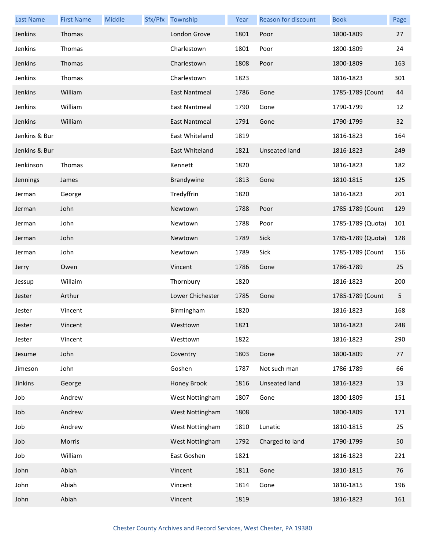| <b>Last Name</b> | <b>First Name</b> | Middle | Sfx/Pfx Township     | Year | Reason for discount  | <b>Book</b>       | Page |
|------------------|-------------------|--------|----------------------|------|----------------------|-------------------|------|
| Jenkins          | Thomas            |        | London Grove         | 1801 | Poor                 | 1800-1809         | 27   |
| Jenkins          | Thomas            |        | Charlestown          | 1801 | Poor                 | 1800-1809         | 24   |
| Jenkins          | Thomas            |        | Charlestown          | 1808 | Poor                 | 1800-1809         | 163  |
| Jenkins          | Thomas            |        | Charlestown          | 1823 |                      | 1816-1823         | 301  |
| Jenkins          | William           |        | East Nantmeal        | 1786 | Gone                 | 1785-1789 (Count  | 44   |
| Jenkins          | William           |        | East Nantmeal        | 1790 | Gone                 | 1790-1799         | 12   |
| Jenkins          | William           |        | <b>East Nantmeal</b> | 1791 | Gone                 | 1790-1799         | 32   |
| Jenkins & Bur    |                   |        | East Whiteland       | 1819 |                      | 1816-1823         | 164  |
| Jenkins & Bur    |                   |        | East Whiteland       | 1821 | <b>Unseated land</b> | 1816-1823         | 249  |
| Jenkinson        | Thomas            |        | Kennett              | 1820 |                      | 1816-1823         | 182  |
| Jennings         | James             |        | Brandywine           | 1813 | Gone                 | 1810-1815         | 125  |
| Jerman           | George            |        | Tredyffrin           | 1820 |                      | 1816-1823         | 201  |
| Jerman           | John              |        | Newtown              | 1788 | Poor                 | 1785-1789 (Count  | 129  |
| Jerman           | John              |        | Newtown              | 1788 | Poor                 | 1785-1789 (Quota) | 101  |
| Jerman           | John              |        | Newtown              | 1789 | Sick                 | 1785-1789 (Quota) | 128  |
| Jerman           | John              |        | Newtown              | 1789 | Sick                 | 1785-1789 (Count  | 156  |
| Jerry            | Owen              |        | Vincent              | 1786 | Gone                 | 1786-1789         | 25   |
| Jessup           | Willaim           |        | Thornbury            | 1820 |                      | 1816-1823         | 200  |
| Jester           | Arthur            |        | Lower Chichester     | 1785 | Gone                 | 1785-1789 (Count  | 5    |
| Jester           | Vincent           |        | Birmingham           | 1820 |                      | 1816-1823         | 168  |
| Jester           | Vincent           |        | Westtown             | 1821 |                      | 1816-1823         | 248  |
| Jester           | Vincent           |        | Westtown             | 1822 |                      | 1816-1823         | 290  |
| Jesume           | John              |        | Coventry             | 1803 | Gone                 | 1800-1809         | 77   |
| Jimeson          | John              |        | Goshen               | 1787 | Not such man         | 1786-1789         | 66   |
| Jinkins          | George            |        | Honey Brook          | 1816 | Unseated land        | 1816-1823         | 13   |
| Job              | Andrew            |        | West Nottingham      | 1807 | Gone                 | 1800-1809         | 151  |
| Job              | Andrew            |        | West Nottingham      | 1808 |                      | 1800-1809         | 171  |
| Job              | Andrew            |        | West Nottingham      | 1810 | Lunatic              | 1810-1815         | 25   |
| Job              | Morris            |        | West Nottingham      | 1792 | Charged to land      | 1790-1799         | 50   |
| Job              | William           |        | East Goshen          | 1821 |                      | 1816-1823         | 221  |
| John             | Abiah             |        | Vincent              | 1811 | Gone                 | 1810-1815         | 76   |
| John             | Abiah             |        | Vincent              | 1814 | Gone                 | 1810-1815         | 196  |
| John             | Abiah             |        | Vincent              | 1819 |                      | 1816-1823         | 161  |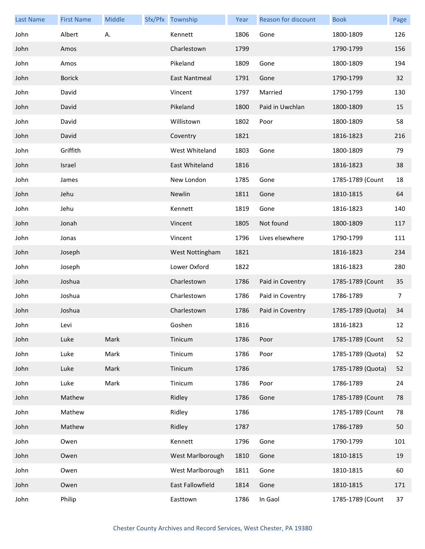| <b>Last Name</b> | <b>First Name</b> | Middle | Sfx/Pfx Township | Year | <b>Reason for discount</b> | <b>Book</b>       | Page           |
|------------------|-------------------|--------|------------------|------|----------------------------|-------------------|----------------|
| John             | Albert            | Α.     | Kennett          | 1806 | Gone                       | 1800-1809         | 126            |
| John             | Amos              |        | Charlestown      | 1799 |                            | 1790-1799         | 156            |
| John             | Amos              |        | Pikeland         | 1809 | Gone                       | 1800-1809         | 194            |
| John             | <b>Borick</b>     |        | East Nantmeal    | 1791 | Gone                       | 1790-1799         | 32             |
| John             | David             |        | Vincent          | 1797 | Married                    | 1790-1799         | 130            |
| John             | David             |        | Pikeland         | 1800 | Paid in Uwchlan            | 1800-1809         | 15             |
| John             | David             |        | Willistown       | 1802 | Poor                       | 1800-1809         | 58             |
| John             | David             |        | Coventry         | 1821 |                            | 1816-1823         | 216            |
| John             | Griffith          |        | West Whiteland   | 1803 | Gone                       | 1800-1809         | 79             |
| John             | Israel            |        | East Whiteland   | 1816 |                            | 1816-1823         | 38             |
| John             | James             |        | New London       | 1785 | Gone                       | 1785-1789 (Count  | 18             |
| John             | Jehu              |        | Newlin           | 1811 | Gone                       | 1810-1815         | 64             |
| John             | Jehu              |        | Kennett          | 1819 | Gone                       | 1816-1823         | 140            |
| John             | Jonah             |        | Vincent          | 1805 | Not found                  | 1800-1809         | 117            |
| John             | Jonas             |        | Vincent          | 1796 | Lives elsewhere            | 1790-1799         | 111            |
| John             | Joseph            |        | West Nottingham  | 1821 |                            | 1816-1823         | 234            |
| John             | Joseph            |        | Lower Oxford     | 1822 |                            | 1816-1823         | 280            |
| John             | Joshua            |        | Charlestown      | 1786 | Paid in Coventry           | 1785-1789 (Count  | 35             |
| John             | Joshua            |        | Charlestown      | 1786 | Paid in Coventry           | 1786-1789         | $\overline{7}$ |
| John             | Joshua            |        | Charlestown      | 1786 | Paid in Coventry           | 1785-1789 (Quota) | 34             |
| John             | Levi              |        | Goshen           | 1816 |                            | 1816-1823         | 12             |
| John             | Luke              | Mark   | Tinicum          | 1786 | Poor                       | 1785-1789 (Count  | 52             |
| John             | Luke              | Mark   | Tinicum          | 1786 | Poor                       | 1785-1789 (Quota) | 52             |
| John             | Luke              | Mark   | Tinicum          | 1786 |                            | 1785-1789 (Quota) | 52             |
| John             | Luke              | Mark   | Tinicum          | 1786 | Poor                       | 1786-1789         | 24             |
| John             | Mathew            |        | Ridley           | 1786 | Gone                       | 1785-1789 (Count  | 78             |
| John             | Mathew            |        | Ridley           | 1786 |                            | 1785-1789 (Count  | 78             |
| John             | Mathew            |        | Ridley           | 1787 |                            | 1786-1789         | 50             |
| John             | Owen              |        | Kennett          | 1796 | Gone                       | 1790-1799         | 101            |
| John             | Owen              |        | West Marlborough | 1810 | Gone                       | 1810-1815         | 19             |
| John             | Owen              |        | West Marlborough | 1811 | Gone                       | 1810-1815         | 60             |
| John             | Owen              |        | East Fallowfield | 1814 | Gone                       | 1810-1815         | 171            |
| John             | Philip            |        | Easttown         | 1786 | In Gaol                    | 1785-1789 (Count  | 37             |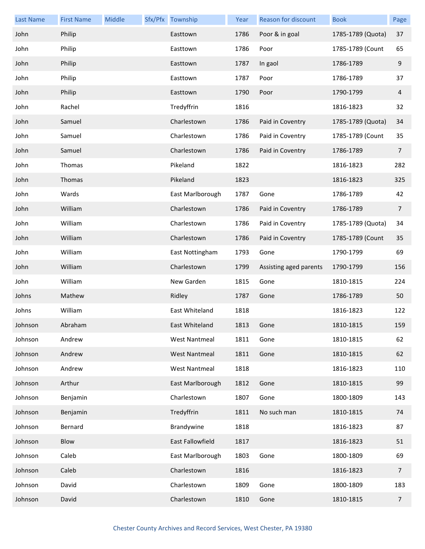| <b>Last Name</b> | <b>First Name</b> | Middle | Sfx/Pfx Township     | Year | Reason for discount    | <b>Book</b>       | Page           |
|------------------|-------------------|--------|----------------------|------|------------------------|-------------------|----------------|
| John             | Philip            |        | Easttown             | 1786 | Poor & in goal         | 1785-1789 (Quota) | 37             |
| John             | Philip            |        | Easttown             | 1786 | Poor                   | 1785-1789 (Count  | 65             |
| John             | Philip            |        | Easttown             | 1787 | In gaol                | 1786-1789         | 9              |
| John             | Philip            |        | Easttown             | 1787 | Poor                   | 1786-1789         | 37             |
| John             | Philip            |        | Easttown             | 1790 | Poor                   | 1790-1799         | $\overline{4}$ |
| John             | Rachel            |        | Tredyffrin           | 1816 |                        | 1816-1823         | 32             |
| John             | Samuel            |        | Charlestown          | 1786 | Paid in Coventry       | 1785-1789 (Quota) | 34             |
| John             | Samuel            |        | Charlestown          | 1786 | Paid in Coventry       | 1785-1789 (Count  | 35             |
| John             | Samuel            |        | Charlestown          | 1786 | Paid in Coventry       | 1786-1789         | $\overline{7}$ |
| John             | Thomas            |        | Pikeland             | 1822 |                        | 1816-1823         | 282            |
| John             | Thomas            |        | Pikeland             | 1823 |                        | 1816-1823         | 325            |
| John             | Wards             |        | East Marlborough     | 1787 | Gone                   | 1786-1789         | 42             |
| John             | William           |        | Charlestown          | 1786 | Paid in Coventry       | 1786-1789         | $\overline{7}$ |
| John             | William           |        | Charlestown          | 1786 | Paid in Coventry       | 1785-1789 (Quota) | 34             |
| John             | William           |        | Charlestown          | 1786 | Paid in Coventry       | 1785-1789 (Count  | 35             |
| John             | William           |        | East Nottingham      | 1793 | Gone                   | 1790-1799         | 69             |
| John             | William           |        | Charlestown          | 1799 | Assisting aged parents | 1790-1799         | 156            |
| John             | William           |        | New Garden           | 1815 | Gone                   | 1810-1815         | 224            |
| Johns            | Mathew            |        | Ridley               | 1787 | Gone                   | 1786-1789         | 50             |
| Johns            | William           |        | East Whiteland       | 1818 |                        | 1816-1823         | 122            |
| Johnson          | Abraham           |        | East Whiteland       | 1813 | Gone                   | 1810-1815         | 159            |
| Johnson          | Andrew            |        | <b>West Nantmeal</b> | 1811 | Gone                   | 1810-1815         | 62             |
| Johnson          | Andrew            |        | <b>West Nantmeal</b> | 1811 | Gone                   | 1810-1815         | 62             |
| Johnson          | Andrew            |        | <b>West Nantmeal</b> | 1818 |                        | 1816-1823         | 110            |
| Johnson          | Arthur            |        | East Marlborough     | 1812 | Gone                   | 1810-1815         | 99             |
| Johnson          | Benjamin          |        | Charlestown          | 1807 | Gone                   | 1800-1809         | 143            |
| Johnson          | Benjamin          |        | Tredyffrin           | 1811 | No such man            | 1810-1815         | 74             |
| Johnson          | Bernard           |        | Brandywine           | 1818 |                        | 1816-1823         | 87             |
| Johnson          | Blow              |        | East Fallowfield     | 1817 |                        | 1816-1823         | 51             |
| Johnson          | Caleb             |        | East Marlborough     | 1803 | Gone                   | 1800-1809         | 69             |
| Johnson          | Caleb             |        | Charlestown          | 1816 |                        | 1816-1823         | $\overline{7}$ |
| Johnson          | David             |        | Charlestown          | 1809 | Gone                   | 1800-1809         | 183            |
| Johnson          | David             |        | Charlestown          | 1810 | Gone                   | 1810-1815         | $\overline{7}$ |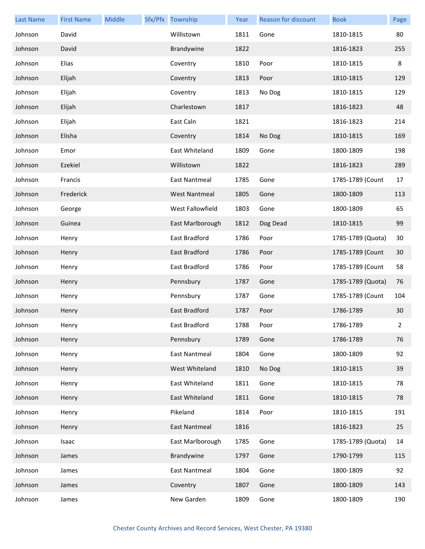| <b>Last Name</b> | <b>First Name</b> | Middle | Sfx/Pfx Township     | Year | Reason for discount | <b>Book</b>       | Page         |
|------------------|-------------------|--------|----------------------|------|---------------------|-------------------|--------------|
| Johnson          | David             |        | Willistown           | 1811 | Gone                | 1810-1815         | 80           |
| Johnson          | David             |        | Brandywine           | 1822 |                     | 1816-1823         | 255          |
| Johnson          | Elias             |        | Coventry             | 1810 | Poor                | 1810-1815         | $\,8\,$      |
| Johnson          | Elijah            |        | Coventry             | 1813 | Poor                | 1810-1815         | 129          |
| Johnson          | Elijah            |        | Coventry             | 1813 | No Dog              | 1810-1815         | 129          |
| Johnson          | Elijah            |        | Charlestown          | 1817 |                     | 1816-1823         | 48           |
| Johnson          | Elijah            |        | East Caln            | 1821 |                     | 1816-1823         | 214          |
| Johnson          | Elisha            |        | Coventry             | 1814 | No Dog              | 1810-1815         | 169          |
| Johnson          | Emor              |        | East Whiteland       | 1809 | Gone                | 1800-1809         | 198          |
| Johnson          | Ezekiel           |        | Willistown           | 1822 |                     | 1816-1823         | 289          |
| Johnson          | Francis           |        | <b>East Nantmeal</b> | 1785 | Gone                | 1785-1789 (Count  | 17           |
| Johnson          | Frederick         |        | <b>West Nantmeal</b> | 1805 | Gone                | 1800-1809         | 113          |
| Johnson          | George            |        | West Fallowfield     | 1803 | Gone                | 1800-1809         | 65           |
| Johnson          | Guinea            |        | East Marlborough     | 1812 | Dog Dead            | 1810-1815         | 99           |
| Johnson          | Henry             |        | East Bradford        | 1786 | Poor                | 1785-1789 (Quota) | 30           |
| Johnson          | Henry             |        | East Bradford        | 1786 | Poor                | 1785-1789 (Count  | 30           |
| Johnson          | Henry             |        | East Bradford        | 1786 | Poor                | 1785-1789 (Count  | 58           |
| Johnson          | Henry             |        | Pennsbury            | 1787 | Gone                | 1785-1789 (Quota) | 76           |
| Johnson          | Henry             |        | Pennsbury            | 1787 | Gone                | 1785-1789 (Count  | 104          |
| Johnson          | Henry             |        | East Bradford        | 1787 | Poor                | 1786-1789         | 30           |
| Johnson          | Henry             |        | East Bradford        | 1788 | Poor                | 1786-1789         | $\mathbf{2}$ |
| Johnson          | Henry             |        | Pennsbury            | 1789 | Gone                | 1786-1789         | 76           |
| Johnson          | Henry             |        | <b>East Nantmeal</b> | 1804 | Gone                | 1800-1809         | 92           |
| Johnson          | Henry             |        | West Whiteland       | 1810 | No Dog              | 1810-1815         | 39           |
| Johnson          | Henry             |        | East Whiteland       | 1811 | Gone                | 1810-1815         | 78           |
| Johnson          | Henry             |        | East Whiteland       | 1811 | Gone                | 1810-1815         | 78           |
| Johnson          | Henry             |        | Pikeland             | 1814 | Poor                | 1810-1815         | 191          |
| Johnson          | Henry             |        | <b>East Nantmeal</b> | 1816 |                     | 1816-1823         | 25           |
| Johnson          | Isaac             |        | East Marlborough     | 1785 | Gone                | 1785-1789 (Quota) | 14           |
| Johnson          | James             |        | Brandywine           | 1797 | Gone                | 1790-1799         | 115          |
| Johnson          | James             |        | East Nantmeal        | 1804 | Gone                | 1800-1809         | 92           |
| Johnson          | James             |        | Coventry             | 1807 | Gone                | 1800-1809         | 143          |
| Johnson          | James             |        | New Garden           | 1809 | Gone                | 1800-1809         | 190          |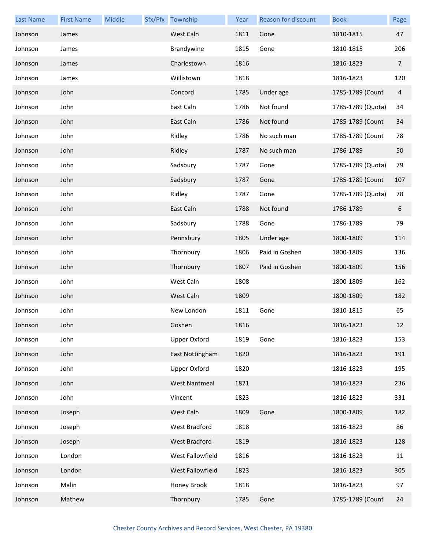| <b>Last Name</b> | <b>First Name</b> | Middle | Sfx/Pfx Township     | Year | Reason for discount | <b>Book</b>       | Page           |
|------------------|-------------------|--------|----------------------|------|---------------------|-------------------|----------------|
| Johnson          | James             |        | West Caln            | 1811 | Gone                | 1810-1815         | 47             |
| Johnson          | James             |        | Brandywine           | 1815 | Gone                | 1810-1815         | 206            |
| Johnson          | James             |        | Charlestown          | 1816 |                     | 1816-1823         | $\overline{7}$ |
| Johnson          | James             |        | Willistown           | 1818 |                     | 1816-1823         | 120            |
| Johnson          | John              |        | Concord              | 1785 | Under age           | 1785-1789 (Count  | $\overline{4}$ |
| Johnson          | John              |        | East Caln            | 1786 | Not found           | 1785-1789 (Quota) | 34             |
| Johnson          | John              |        | East Caln            | 1786 | Not found           | 1785-1789 (Count  | 34             |
| Johnson          | John              |        | Ridley               | 1786 | No such man         | 1785-1789 (Count  | 78             |
| Johnson          | John              |        | Ridley               | 1787 | No such man         | 1786-1789         | 50             |
| Johnson          | John              |        | Sadsbury             | 1787 | Gone                | 1785-1789 (Quota) | 79             |
| Johnson          | John              |        | Sadsbury             | 1787 | Gone                | 1785-1789 (Count  | 107            |
| Johnson          | John              |        | Ridley               | 1787 | Gone                | 1785-1789 (Quota) | 78             |
| Johnson          | John              |        | East Caln            | 1788 | Not found           | 1786-1789         | 6              |
| Johnson          | John              |        | Sadsbury             | 1788 | Gone                | 1786-1789         | 79             |
| Johnson          | John              |        | Pennsbury            | 1805 | Under age           | 1800-1809         | 114            |
| Johnson          | John              |        | Thornbury            | 1806 | Paid in Goshen      | 1800-1809         | 136            |
| Johnson          | John              |        | Thornbury            | 1807 | Paid in Goshen      | 1800-1809         | 156            |
| Johnson          | John              |        | West Caln            | 1808 |                     | 1800-1809         | 162            |
| Johnson          | John              |        | West Caln            | 1809 |                     | 1800-1809         | 182            |
| Johnson          | John              |        | New London           | 1811 | Gone                | 1810-1815         | 65             |
| Johnson          | John              |        | Goshen               | 1816 |                     | 1816-1823         | 12             |
| Johnson          | John              |        | <b>Upper Oxford</b>  | 1819 | Gone                | 1816-1823         | 153            |
| Johnson          | John              |        | East Nottingham      | 1820 |                     | 1816-1823         | 191            |
| Johnson          | John              |        | <b>Upper Oxford</b>  | 1820 |                     | 1816-1823         | 195            |
| Johnson          | John              |        | <b>West Nantmeal</b> | 1821 |                     | 1816-1823         | 236            |
| Johnson          | John              |        | Vincent              | 1823 |                     | 1816-1823         | 331            |
| Johnson          | Joseph            |        | West Caln            | 1809 | Gone                | 1800-1809         | 182            |
| Johnson          | Joseph            |        | West Bradford        | 1818 |                     | 1816-1823         | 86             |
| Johnson          | Joseph            |        | West Bradford        | 1819 |                     | 1816-1823         | 128            |
| Johnson          | London            |        | West Fallowfield     | 1816 |                     | 1816-1823         | 11             |
| Johnson          | London            |        | West Fallowfield     | 1823 |                     | 1816-1823         | 305            |
| Johnson          | Malin             |        | Honey Brook          | 1818 |                     | 1816-1823         | 97             |
| Johnson          | Mathew            |        | Thornbury            | 1785 | Gone                | 1785-1789 (Count  | 24             |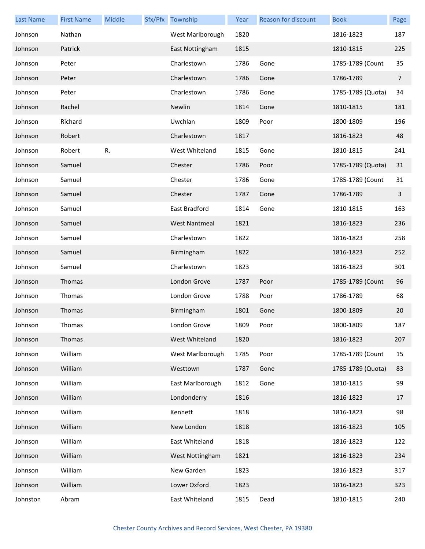| <b>Last Name</b> | <b>First Name</b> | Middle | Sfx/Pfx Township     | Year | Reason for discount | <b>Book</b>       | Page           |
|------------------|-------------------|--------|----------------------|------|---------------------|-------------------|----------------|
| Johnson          | Nathan            |        | West Marlborough     | 1820 |                     | 1816-1823         | 187            |
| Johnson          | Patrick           |        | East Nottingham      | 1815 |                     | 1810-1815         | 225            |
| Johnson          | Peter             |        | Charlestown          | 1786 | Gone                | 1785-1789 (Count  | 35             |
| Johnson          | Peter             |        | Charlestown          | 1786 | Gone                | 1786-1789         | $\overline{7}$ |
| Johnson          | Peter             |        | Charlestown          | 1786 | Gone                | 1785-1789 (Quota) | 34             |
| Johnson          | Rachel            |        | Newlin               | 1814 | Gone                | 1810-1815         | 181            |
| Johnson          | Richard           |        | Uwchlan              | 1809 | Poor                | 1800-1809         | 196            |
| Johnson          | Robert            |        | Charlestown          | 1817 |                     | 1816-1823         | 48             |
| Johnson          | Robert            | R.     | West Whiteland       | 1815 | Gone                | 1810-1815         | 241            |
| Johnson          | Samuel            |        | Chester              | 1786 | Poor                | 1785-1789 (Quota) | 31             |
| Johnson          | Samuel            |        | Chester              | 1786 | Gone                | 1785-1789 (Count  | 31             |
| Johnson          | Samuel            |        | Chester              | 1787 | Gone                | 1786-1789         | $\mathbf{3}$   |
| Johnson          | Samuel            |        | East Bradford        | 1814 | Gone                | 1810-1815         | 163            |
| Johnson          | Samuel            |        | <b>West Nantmeal</b> | 1821 |                     | 1816-1823         | 236            |
| Johnson          | Samuel            |        | Charlestown          | 1822 |                     | 1816-1823         | 258            |
| Johnson          | Samuel            |        | Birmingham           | 1822 |                     | 1816-1823         | 252            |
| Johnson          | Samuel            |        | Charlestown          | 1823 |                     | 1816-1823         | 301            |
| Johnson          | Thomas            |        | London Grove         | 1787 | Poor                | 1785-1789 (Count  | 96             |
| Johnson          | Thomas            |        | London Grove         | 1788 | Poor                | 1786-1789         | 68             |
| Johnson          | Thomas            |        | Birmingham           | 1801 | Gone                | 1800-1809         | 20             |
| Johnson          | Thomas            |        | London Grove         | 1809 | Poor                | 1800-1809         | 187            |
| Johnson          | Thomas            |        | West Whiteland       | 1820 |                     | 1816-1823         | 207            |
| Johnson          | William           |        | West Marlborough     | 1785 | Poor                | 1785-1789 (Count  | 15             |
| Johnson          | William           |        | Westtown             | 1787 | Gone                | 1785-1789 (Quota) | 83             |
| Johnson          | William           |        | East Marlborough     | 1812 | Gone                | 1810-1815         | 99             |
| Johnson          | William           |        | Londonderry          | 1816 |                     | 1816-1823         | 17             |
| Johnson          | William           |        | Kennett              | 1818 |                     | 1816-1823         | 98             |
| Johnson          | William           |        | New London           | 1818 |                     | 1816-1823         | 105            |
| Johnson          | William           |        | East Whiteland       | 1818 |                     | 1816-1823         | 122            |
| Johnson          | William           |        | West Nottingham      | 1821 |                     | 1816-1823         | 234            |
| Johnson          | William           |        | New Garden           | 1823 |                     | 1816-1823         | 317            |
| Johnson          | William           |        | Lower Oxford         | 1823 |                     | 1816-1823         | 323            |
| Johnston         | Abram             |        | East Whiteland       | 1815 | Dead                | 1810-1815         | 240            |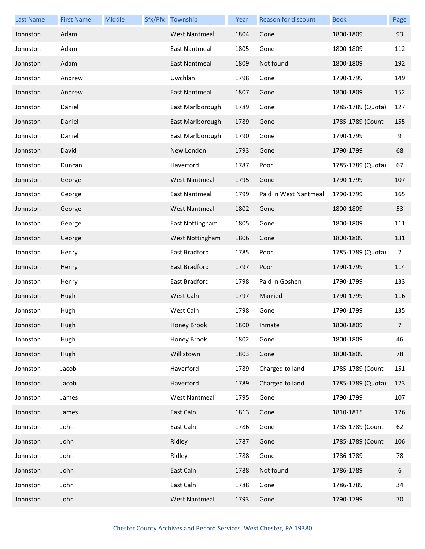| <b>Last Name</b> | <b>First Name</b> | Middle | Sfx/Pfx Township     | Year | <b>Reason for discount</b> | <b>Book</b>       | Page |
|------------------|-------------------|--------|----------------------|------|----------------------------|-------------------|------|
| Johnston         | Adam              |        | <b>West Nantmeal</b> | 1804 | Gone                       | 1800-1809         | 93   |
| Johnston         | Adam              |        | East Nantmeal        | 1805 | Gone                       | 1800-1809         | 112  |
| Johnston         | Adam              |        | East Nantmeal        | 1809 | Not found                  | 1800-1809         | 192  |
| Johnston         | Andrew            |        | Uwchlan              | 1798 | Gone                       | 1790-1799         | 149  |
| Johnston         | Andrew            |        | East Nantmeal        | 1807 | Gone                       | 1800-1809         | 152  |
| Johnston         | Daniel            |        | East Marlborough     | 1789 | Gone                       | 1785-1789 (Quota) | 127  |
| Johnston         | Daniel            |        | East Marlborough     | 1789 | Gone                       | 1785-1789 (Count  | 155  |
| Johnston         | Daniel            |        | East Marlborough     | 1790 | Gone                       | 1790-1799         | 9    |
| Johnston         | David             |        | New London           | 1793 | Gone                       | 1790-1799         | 68   |
| Johnston         | Duncan            |        | Haverford            | 1787 | Poor                       | 1785-1789 (Quota) | 67   |
| Johnston         | George            |        | <b>West Nantmeal</b> | 1795 | Gone                       | 1790-1799         | 107  |
| Johnston         | George            |        | <b>East Nantmeal</b> | 1799 | Paid in West Nantmeal      | 1790-1799         | 165  |
| Johnston         | George            |        | <b>West Nantmeal</b> | 1802 | Gone                       | 1800-1809         | 53   |
| Johnston         | George            |        | East Nottingham      | 1805 | Gone                       | 1800-1809         | 111  |
| Johnston         | George            |        | West Nottingham      | 1806 | Gone                       | 1800-1809         | 131  |
| Johnston         | Henry             |        | East Bradford        | 1785 | Poor                       | 1785-1789 (Quota) | 2    |
| Johnston         | Henry             |        | East Bradford        | 1797 | Poor                       | 1790-1799         | 114  |
| Johnston         | Henry             |        | East Bradford        | 1798 | Paid in Goshen             | 1790-1799         | 133  |
| Johnston         | Hugh              |        | West Caln            | 1797 | Married                    | 1790-1799         | 116  |
| Johnston         | Hugh              |        | West Caln            | 1798 | Gone                       | 1790-1799         | 135  |
| Johnston         | Hugh              |        | Honey Brook          | 1800 | Inmate                     | 1800-1809         | 7    |
| Johnston         | Hugh              |        | Honey Brook          | 1802 | Gone                       | 1800-1809         | 46   |
| Johnston         | Hugh              |        | Willistown           | 1803 | Gone                       | 1800-1809         | 78   |
| Johnston         | Jacob             |        | Haverford            | 1789 | Charged to land            | 1785-1789 (Count  | 151  |
| Johnston         | Jacob             |        | Haverford            | 1789 | Charged to land            | 1785-1789 (Quota) | 123  |
| Johnston         | James             |        | <b>West Nantmeal</b> | 1795 | Gone                       | 1790-1799         | 107  |
| Johnston         | James             |        | East Caln            | 1813 | Gone                       | 1810-1815         | 126  |
| Johnston         | John              |        | East Caln            | 1786 | Gone                       | 1785-1789 (Count  | 62   |
| Johnston         | John              |        | Ridley               | 1787 | Gone                       | 1785-1789 (Count  | 106  |
| Johnston         | John              |        | Ridley               | 1788 | Gone                       | 1786-1789         | 78   |
| Johnston         | John              |        | East Caln            | 1788 | Not found                  | 1786-1789         | 6    |
| Johnston         | John              |        | East Caln            | 1788 | Gone                       | 1786-1789         | 34   |
| Johnston         | John              |        | <b>West Nantmeal</b> | 1793 | Gone                       | 1790-1799         | 70   |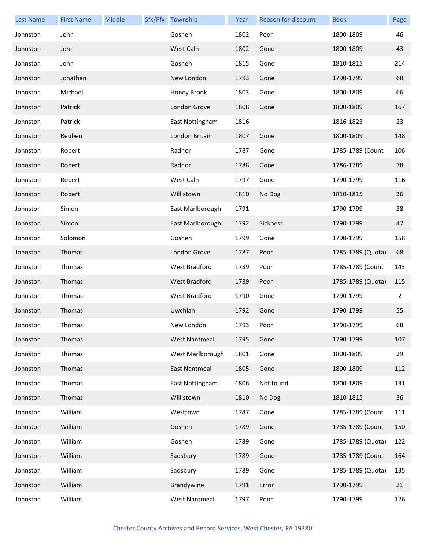| <b>Last Name</b> | <b>First Name</b> | Middle | Sfx/Pfx Township     | Year | Reason for discount | <b>Book</b>       | Page |
|------------------|-------------------|--------|----------------------|------|---------------------|-------------------|------|
| Johnston         | John              |        | Goshen               | 1802 | Poor                | 1800-1809         | 46   |
| Johnston         | John              |        | West Caln            | 1802 | Gone                | 1800-1809         | 43   |
| Johnston         | John              |        | Goshen               | 1815 | Gone                | 1810-1815         | 214  |
| Johnston         | Jonathan          |        | New London           | 1793 | Gone                | 1790-1799         | 68   |
| Johnston         | Michael           |        | Honey Brook          | 1803 | Gone                | 1800-1809         | 66   |
| Johnston         | Patrick           |        | London Grove         | 1808 | Gone                | 1800-1809         | 167  |
| Johnston         | Patrick           |        | East Nottingham      | 1816 |                     | 1816-1823         | 23   |
| Johnston         | Reuben            |        | London Britain       | 1807 | Gone                | 1800-1809         | 148  |
| Johnston         | Robert            |        | Radnor               | 1787 | Gone                | 1785-1789 (Count  | 106  |
| Johnston         | Robert            |        | Radnor               | 1788 | Gone                | 1786-1789         | 78   |
| Johnston         | Robert            |        | West Caln            | 1797 | Gone                | 1790-1799         | 116  |
| Johnston         | Robert            |        | Willistown           | 1810 | No Dog              | 1810-1815         | 36   |
| Johnston         | Simon             |        | East Marlborough     | 1791 |                     | 1790-1799         | 28   |
| Johnston         | Simon             |        | East Marlborough     | 1792 | Sickness            | 1790-1799         | 47   |
| Johnston         | Solomon           |        | Goshen               | 1799 | Gone                | 1790-1799         | 158  |
| Johnston         | Thomas            |        | London Grove         | 1787 | Poor                | 1785-1789 (Quota) | 68   |
| Johnston         | Thomas            |        | West Bradford        | 1789 | Poor                | 1785-1789 (Count  | 143  |
| Johnston         | Thomas            |        | <b>West Bradford</b> | 1789 | Poor                | 1785-1789 (Quota) | 115  |
| Johnston         | Thomas            |        | West Bradford        | 1790 | Gone                | 1790-1799         | 2    |
| Johnston         | Thomas            |        | Uwchlan              | 1792 | Gone                | 1790-1799         | 55   |
| Johnston         | Thomas            |        | New London           | 1793 | Poor                | 1790-1799         | 68   |
| Johnston         | Thomas            |        | <b>West Nantmeal</b> | 1795 | Gone                | 1790-1799         | 107  |
| Johnston         | Thomas            |        | West Marlborough     | 1801 | Gone                | 1800-1809         | 29   |
| Johnston         | Thomas            |        | <b>East Nantmeal</b> | 1805 | Gone                | 1800-1809         | 112  |
| Johnston         | Thomas            |        | East Nottingham      | 1806 | Not found           | 1800-1809         | 131  |
| Johnston         | Thomas            |        | Willistown           | 1810 | No Dog              | 1810-1815         | 36   |
| Johnston         | William           |        | Westtown             | 1787 | Gone                | 1785-1789 (Count  | 111  |
| Johnston         | William           |        | Goshen               | 1789 | Gone                | 1785-1789 (Count  | 150  |
| Johnston         | William           |        | Goshen               | 1789 | Gone                | 1785-1789 (Quota) | 122  |
| Johnston         | William           |        | Sadsbury             | 1789 | Gone                | 1785-1789 (Count  | 164  |
| Johnston         | William           |        | Sadsbury             | 1789 | Gone                | 1785-1789 (Quota) | 135  |
| Johnston         | William           |        | Brandywine           | 1791 | Error               | 1790-1799         | 21   |
| Johnston         | William           |        | <b>West Nantmeal</b> | 1797 | Poor                | 1790-1799         | 126  |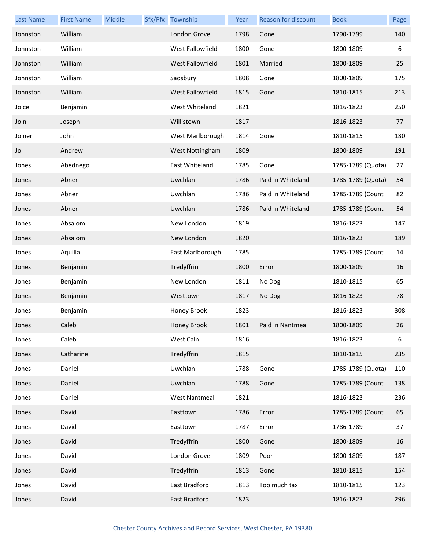| <b>Last Name</b> | <b>First Name</b> | Middle | Sfx/Pfx Township     | Year | Reason for discount | <b>Book</b>       | Page |
|------------------|-------------------|--------|----------------------|------|---------------------|-------------------|------|
| Johnston         | William           |        | London Grove         | 1798 | Gone                | 1790-1799         | 140  |
| Johnston         | William           |        | West Fallowfield     | 1800 | Gone                | 1800-1809         | 6    |
| Johnston         | William           |        | West Fallowfield     | 1801 | Married             | 1800-1809         | 25   |
| Johnston         | William           |        | Sadsbury             | 1808 | Gone                | 1800-1809         | 175  |
| Johnston         | William           |        | West Fallowfield     | 1815 | Gone                | 1810-1815         | 213  |
| Joice            | Benjamin          |        | West Whiteland       | 1821 |                     | 1816-1823         | 250  |
| Join             | Joseph            |        | Willistown           | 1817 |                     | 1816-1823         | 77   |
| Joiner           | John              |        | West Marlborough     | 1814 | Gone                | 1810-1815         | 180  |
| Jol              | Andrew            |        | West Nottingham      | 1809 |                     | 1800-1809         | 191  |
| Jones            | Abednego          |        | East Whiteland       | 1785 | Gone                | 1785-1789 (Quota) | 27   |
| Jones            | Abner             |        | Uwchlan              | 1786 | Paid in Whiteland   | 1785-1789 (Quota) | 54   |
| Jones            | Abner             |        | Uwchlan              | 1786 | Paid in Whiteland   | 1785-1789 (Count  | 82   |
| Jones            | Abner             |        | Uwchlan              | 1786 | Paid in Whiteland   | 1785-1789 (Count  | 54   |
| Jones            | Absalom           |        | New London           | 1819 |                     | 1816-1823         | 147  |
| Jones            | Absalom           |        | New London           | 1820 |                     | 1816-1823         | 189  |
| Jones            | Aquilla           |        | East Marlborough     | 1785 |                     | 1785-1789 (Count  | 14   |
| Jones            | Benjamin          |        | Tredyffrin           | 1800 | Error               | 1800-1809         | 16   |
| Jones            | Benjamin          |        | New London           | 1811 | No Dog              | 1810-1815         | 65   |
| Jones            | Benjamin          |        | Westtown             | 1817 | No Dog              | 1816-1823         | 78   |
| Jones            | Benjamin          |        | Honey Brook          | 1823 |                     | 1816-1823         | 308  |
| Jones            | Caleb             |        | Honey Brook          | 1801 | Paid in Nantmeal    | 1800-1809         | 26   |
| Jones            | Caleb             |        | West Caln            | 1816 |                     | 1816-1823         | 6    |
| Jones            | Catharine         |        | Tredyffrin           | 1815 |                     | 1810-1815         | 235  |
| Jones            | Daniel            |        | Uwchlan              | 1788 | Gone                | 1785-1789 (Quota) | 110  |
| Jones            | Daniel            |        | Uwchlan              | 1788 | Gone                | 1785-1789 (Count  | 138  |
| Jones            | Daniel            |        | <b>West Nantmeal</b> | 1821 |                     | 1816-1823         | 236  |
| Jones            | David             |        | Easttown             | 1786 | Error               | 1785-1789 (Count  | 65   |
| Jones            | David             |        | Easttown             | 1787 | Error               | 1786-1789         | 37   |
| Jones            | David             |        | Tredyffrin           | 1800 | Gone                | 1800-1809         | 16   |
| Jones            | David             |        | London Grove         | 1809 | Poor                | 1800-1809         | 187  |
| Jones            | David             |        | Tredyffrin           | 1813 | Gone                | 1810-1815         | 154  |
| Jones            | David             |        | East Bradford        | 1813 | Too much tax        | 1810-1815         | 123  |
| Jones            | David             |        | East Bradford        | 1823 |                     | 1816-1823         | 296  |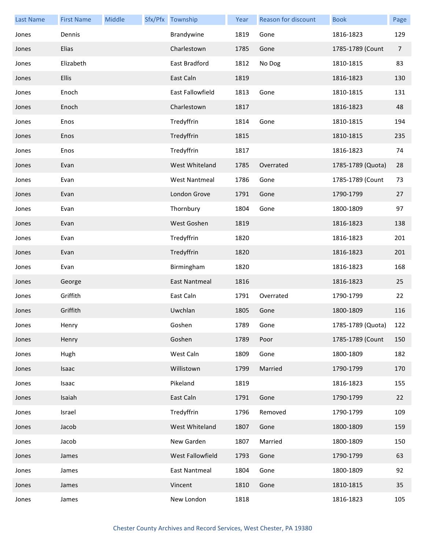| <b>Last Name</b> | <b>First Name</b> | Middle | Sfx/Pfx Township     | Year | Reason for discount | <b>Book</b>       | Page |
|------------------|-------------------|--------|----------------------|------|---------------------|-------------------|------|
| Jones            | Dennis            |        | Brandywine           | 1819 | Gone                | 1816-1823         | 129  |
| Jones            | Elias             |        | Charlestown          | 1785 | Gone                | 1785-1789 (Count  | 7    |
| Jones            | Elizabeth         |        | East Bradford        | 1812 | No Dog              | 1810-1815         | 83   |
| Jones            | <b>Ellis</b>      |        | East Caln            | 1819 |                     | 1816-1823         | 130  |
| Jones            | Enoch             |        | East Fallowfield     | 1813 | Gone                | 1810-1815         | 131  |
| Jones            | Enoch             |        | Charlestown          | 1817 |                     | 1816-1823         | 48   |
| Jones            | Enos              |        | Tredyffrin           | 1814 | Gone                | 1810-1815         | 194  |
| Jones            | Enos              |        | Tredyffrin           | 1815 |                     | 1810-1815         | 235  |
| Jones            | Enos              |        | Tredyffrin           | 1817 |                     | 1816-1823         | 74   |
| Jones            | Evan              |        | West Whiteland       | 1785 | Overrated           | 1785-1789 (Quota) | 28   |
| Jones            | Evan              |        | <b>West Nantmeal</b> | 1786 | Gone                | 1785-1789 (Count  | 73   |
| Jones            | Evan              |        | London Grove         | 1791 | Gone                | 1790-1799         | 27   |
| Jones            | Evan              |        | Thornbury            | 1804 | Gone                | 1800-1809         | 97   |
| Jones            | Evan              |        | West Goshen          | 1819 |                     | 1816-1823         | 138  |
| Jones            | Evan              |        | Tredyffrin           | 1820 |                     | 1816-1823         | 201  |
| Jones            | Evan              |        | Tredyffrin           | 1820 |                     | 1816-1823         | 201  |
| Jones            | Evan              |        | Birmingham           | 1820 |                     | 1816-1823         | 168  |
| Jones            | George            |        | East Nantmeal        | 1816 |                     | 1816-1823         | 25   |
| Jones            | Griffith          |        | East Caln            | 1791 | Overrated           | 1790-1799         | 22   |
| Jones            | Griffith          |        | Uwchlan              | 1805 | Gone                | 1800-1809         | 116  |
| Jones            | Henry             |        | Goshen               | 1789 | Gone                | 1785-1789 (Quota) | 122  |
| Jones            | Henry             |        | Goshen               | 1789 | Poor                | 1785-1789 (Count  | 150  |
| Jones            | Hugh              |        | West Caln            | 1809 | Gone                | 1800-1809         | 182  |
| Jones            | Isaac             |        | Willistown           | 1799 | Married             | 1790-1799         | 170  |
| Jones            | Isaac             |        | Pikeland             | 1819 |                     | 1816-1823         | 155  |
| Jones            | Isaiah            |        | East Caln            | 1791 | Gone                | 1790-1799         | 22   |
| Jones            | Israel            |        | Tredyffrin           | 1796 | Removed             | 1790-1799         | 109  |
| Jones            | Jacob             |        | West Whiteland       | 1807 | Gone                | 1800-1809         | 159  |
| Jones            | Jacob             |        | New Garden           | 1807 | Married             | 1800-1809         | 150  |
| Jones            | James             |        | West Fallowfield     | 1793 | Gone                | 1790-1799         | 63   |
| Jones            | James             |        | East Nantmeal        | 1804 | Gone                | 1800-1809         | 92   |
| Jones            | James             |        | Vincent              | 1810 | Gone                | 1810-1815         | 35   |
| Jones            | James             |        | New London           | 1818 |                     | 1816-1823         | 105  |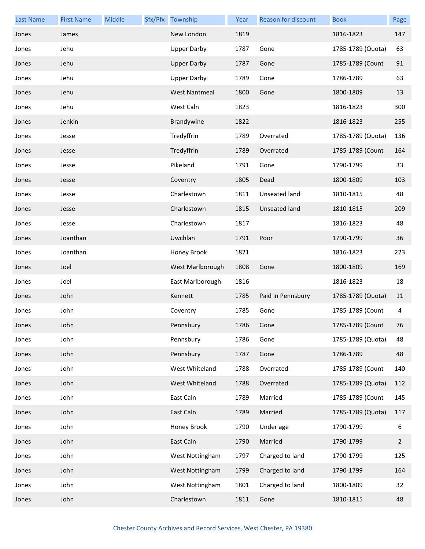| <b>Last Name</b> | <b>First Name</b> | Middle | Sfx/Pfx Township     | Year | Reason for discount | <b>Book</b>       | Page           |
|------------------|-------------------|--------|----------------------|------|---------------------|-------------------|----------------|
| Jones            | James             |        | New London           | 1819 |                     | 1816-1823         | 147            |
| Jones            | Jehu              |        | <b>Upper Darby</b>   | 1787 | Gone                | 1785-1789 (Quota) | 63             |
| Jones            | Jehu              |        | <b>Upper Darby</b>   | 1787 | Gone                | 1785-1789 (Count  | 91             |
| Jones            | Jehu              |        | <b>Upper Darby</b>   | 1789 | Gone                | 1786-1789         | 63             |
| Jones            | Jehu              |        | <b>West Nantmeal</b> | 1800 | Gone                | 1800-1809         | 13             |
| Jones            | Jehu              |        | West Caln            | 1823 |                     | 1816-1823         | 300            |
| Jones            | Jenkin            |        | Brandywine           | 1822 |                     | 1816-1823         | 255            |
| Jones            | Jesse             |        | Tredyffrin           | 1789 | Overrated           | 1785-1789 (Quota) | 136            |
| Jones            | Jesse             |        | Tredyffrin           | 1789 | Overrated           | 1785-1789 (Count  | 164            |
| Jones            | Jesse             |        | Pikeland             | 1791 | Gone                | 1790-1799         | 33             |
| Jones            | Jesse             |        | Coventry             | 1805 | Dead                | 1800-1809         | 103            |
| Jones            | Jesse             |        | Charlestown          | 1811 | Unseated land       | 1810-1815         | 48             |
| Jones            | Jesse             |        | Charlestown          | 1815 | Unseated land       | 1810-1815         | 209            |
| Jones            | Jesse             |        | Charlestown          | 1817 |                     | 1816-1823         | 48             |
| Jones            | Joanthan          |        | Uwchlan              | 1791 | Poor                | 1790-1799         | 36             |
| Jones            | Joanthan          |        | Honey Brook          | 1821 |                     | 1816-1823         | 223            |
| Jones            | Joel              |        | West Marlborough     | 1808 | Gone                | 1800-1809         | 169            |
| Jones            | Joel              |        | East Marlborough     | 1816 |                     | 1816-1823         | 18             |
| Jones            | John              |        | Kennett              | 1785 | Paid in Pennsbury   | 1785-1789 (Quota) | 11             |
| Jones            | John              |        | Coventry             | 1785 | Gone                | 1785-1789 (Count  | 4              |
| Jones            | John              |        | Pennsbury            | 1786 | Gone                | 1785-1789 (Count  | 76             |
| Jones            | John              |        | Pennsbury            | 1786 | Gone                | 1785-1789 (Quota) | 48             |
| Jones            | John              |        | Pennsbury            | 1787 | Gone                | 1786-1789         | 48             |
| Jones            | John              |        | West Whiteland       | 1788 | Overrated           | 1785-1789 (Count  | 140            |
| Jones            | John              |        | West Whiteland       | 1788 | Overrated           | 1785-1789 (Quota) | 112            |
| Jones            | John              |        | East Caln            | 1789 | Married             | 1785-1789 (Count  | 145            |
| Jones            | John              |        | East Caln            | 1789 | Married             | 1785-1789 (Quota) | 117            |
| Jones            | John              |        | Honey Brook          | 1790 | Under age           | 1790-1799         | 6              |
| Jones            | John              |        | East Caln            | 1790 | Married             | 1790-1799         | $\overline{2}$ |
| Jones            | John              |        | West Nottingham      | 1797 | Charged to land     | 1790-1799         | 125            |
| Jones            | John              |        | West Nottingham      | 1799 | Charged to land     | 1790-1799         | 164            |
| Jones            | John              |        | West Nottingham      | 1801 | Charged to land     | 1800-1809         | 32             |
| Jones            | John              |        | Charlestown          | 1811 | Gone                | 1810-1815         | 48             |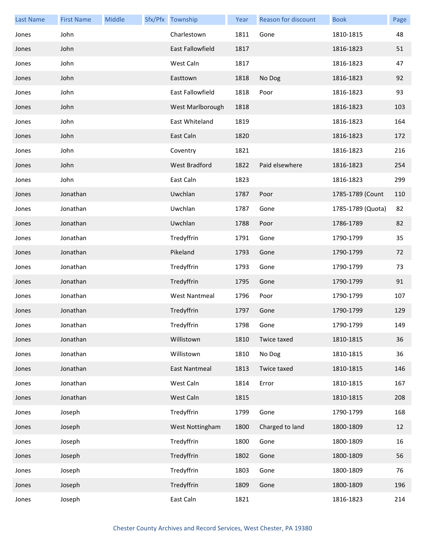| <b>Last Name</b> | <b>First Name</b> | Middle | Sfx/Pfx Township        | Year | Reason for discount | <b>Book</b>       | Page |
|------------------|-------------------|--------|-------------------------|------|---------------------|-------------------|------|
| Jones            | John              |        | Charlestown             | 1811 | Gone                | 1810-1815         | 48   |
| Jones            | John              |        | <b>East Fallowfield</b> | 1817 |                     | 1816-1823         | 51   |
| Jones            | John              |        | West Caln               | 1817 |                     | 1816-1823         | 47   |
| Jones            | John              |        | Easttown                | 1818 | No Dog              | 1816-1823         | 92   |
| Jones            | John              |        | East Fallowfield        | 1818 | Poor                | 1816-1823         | 93   |
| Jones            | John              |        | West Marlborough        | 1818 |                     | 1816-1823         | 103  |
| Jones            | John              |        | East Whiteland          | 1819 |                     | 1816-1823         | 164  |
| Jones            | John              |        | East Caln               | 1820 |                     | 1816-1823         | 172  |
| Jones            | John              |        | Coventry                | 1821 |                     | 1816-1823         | 216  |
| Jones            | John              |        | <b>West Bradford</b>    | 1822 | Paid elsewhere      | 1816-1823         | 254  |
| Jones            | John              |        | East Caln               | 1823 |                     | 1816-1823         | 299  |
| Jones            | Jonathan          |        | Uwchlan                 | 1787 | Poor                | 1785-1789 (Count  | 110  |
| Jones            | Jonathan          |        | Uwchlan                 | 1787 | Gone                | 1785-1789 (Quota) | 82   |
| Jones            | Jonathan          |        | Uwchlan                 | 1788 | Poor                | 1786-1789         | 82   |
| Jones            | Jonathan          |        | Tredyffrin              | 1791 | Gone                | 1790-1799         | 35   |
| Jones            | Jonathan          |        | Pikeland                | 1793 | Gone                | 1790-1799         | 72   |
| Jones            | Jonathan          |        | Tredyffrin              | 1793 | Gone                | 1790-1799         | 73   |
| Jones            | Jonathan          |        | Tredyffrin              | 1795 | Gone                | 1790-1799         | 91   |
| Jones            | Jonathan          |        | <b>West Nantmeal</b>    | 1796 | Poor                | 1790-1799         | 107  |
| Jones            | Jonathan          |        | Tredyffrin              | 1797 | Gone                | 1790-1799         | 129  |
| Jones            | Jonathan          |        | Tredyffrin              | 1798 | Gone                | 1790-1799         | 149  |
| Jones            | Jonathan          |        | Willistown              | 1810 | Twice taxed         | 1810-1815         | 36   |
| Jones            | Jonathan          |        | Willistown              | 1810 | No Dog              | 1810-1815         | 36   |
| Jones            | Jonathan          |        | East Nantmeal           | 1813 | Twice taxed         | 1810-1815         | 146  |
| Jones            | Jonathan          |        | West Caln               | 1814 | Error               | 1810-1815         | 167  |
| Jones            | Jonathan          |        | West Caln               | 1815 |                     | 1810-1815         | 208  |
| Jones            | Joseph            |        | Tredyffrin              | 1799 | Gone                | 1790-1799         | 168  |
| Jones            | Joseph            |        | West Nottingham         | 1800 | Charged to land     | 1800-1809         | 12   |
| Jones            | Joseph            |        | Tredyffrin              | 1800 | Gone                | 1800-1809         | 16   |
| Jones            | Joseph            |        | Tredyffrin              | 1802 | Gone                | 1800-1809         | 56   |
| Jones            | Joseph            |        | Tredyffrin              | 1803 | Gone                | 1800-1809         | 76   |
| Jones            | Joseph            |        | Tredyffrin              | 1809 | Gone                | 1800-1809         | 196  |
| Jones            | Joseph            |        | East Caln               | 1821 |                     | 1816-1823         | 214  |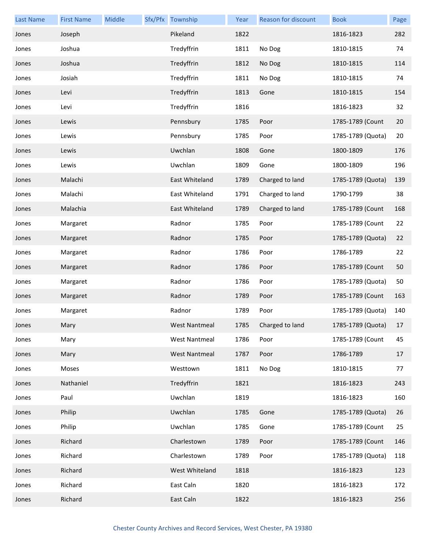| <b>Last Name</b> | <b>First Name</b> | Middle | Sfx/Pfx Township     | Year | Reason for discount | <b>Book</b>       | Page |
|------------------|-------------------|--------|----------------------|------|---------------------|-------------------|------|
| Jones            | Joseph            |        | Pikeland             | 1822 |                     | 1816-1823         | 282  |
| Jones            | Joshua            |        | Tredyffrin           | 1811 | No Dog              | 1810-1815         | 74   |
| Jones            | Joshua            |        | Tredyffrin           | 1812 | No Dog              | 1810-1815         | 114  |
| Jones            | Josiah            |        | Tredyffrin           | 1811 | No Dog              | 1810-1815         | 74   |
| Jones            | Levi              |        | Tredyffrin           | 1813 | Gone                | 1810-1815         | 154  |
| Jones            | Levi              |        | Tredyffrin           | 1816 |                     | 1816-1823         | 32   |
| Jones            | Lewis             |        | Pennsbury            | 1785 | Poor                | 1785-1789 (Count  | 20   |
| Jones            | Lewis             |        | Pennsbury            | 1785 | Poor                | 1785-1789 (Quota) | 20   |
| Jones            | Lewis             |        | Uwchlan              | 1808 | Gone                | 1800-1809         | 176  |
| Jones            | Lewis             |        | Uwchlan              | 1809 | Gone                | 1800-1809         | 196  |
| Jones            | Malachi           |        | East Whiteland       | 1789 | Charged to land     | 1785-1789 (Quota) | 139  |
| Jones            | Malachi           |        | East Whiteland       | 1791 | Charged to land     | 1790-1799         | 38   |
| Jones            | Malachia          |        | East Whiteland       | 1789 | Charged to land     | 1785-1789 (Count  | 168  |
| Jones            | Margaret          |        | Radnor               | 1785 | Poor                | 1785-1789 (Count  | 22   |
| Jones            | Margaret          |        | Radnor               | 1785 | Poor                | 1785-1789 (Quota) | 22   |
| Jones            | Margaret          |        | Radnor               | 1786 | Poor                | 1786-1789         | 22   |
| Jones            | Margaret          |        | Radnor               | 1786 | Poor                | 1785-1789 (Count  | 50   |
| Jones            | Margaret          |        | Radnor               | 1786 | Poor                | 1785-1789 (Quota) | 50   |
| Jones            | Margaret          |        | Radnor               | 1789 | Poor                | 1785-1789 (Count  | 163  |
| Jones            | Margaret          |        | Radnor               | 1789 | Poor                | 1785-1789 (Quota) | 140  |
| Jones            | Mary              |        | West Nantmeal        | 1785 | Charged to land     | 1785-1789 (Quota) | 17   |
| Jones            | Mary              |        | <b>West Nantmeal</b> | 1786 | Poor                | 1785-1789 (Count  | 45   |
| Jones            | Mary              |        | <b>West Nantmeal</b> | 1787 | Poor                | 1786-1789         | 17   |
| Jones            | Moses             |        | Westtown             | 1811 | No Dog              | 1810-1815         | 77   |
| Jones            | Nathaniel         |        | Tredyffrin           | 1821 |                     | 1816-1823         | 243  |
| Jones            | Paul              |        | Uwchlan              | 1819 |                     | 1816-1823         | 160  |
| Jones            | Philip            |        | Uwchlan              | 1785 | Gone                | 1785-1789 (Quota) | 26   |
| Jones            | Philip            |        | Uwchlan              | 1785 | Gone                | 1785-1789 (Count  | 25   |
| Jones            | Richard           |        | Charlestown          | 1789 | Poor                | 1785-1789 (Count  | 146  |
| Jones            | Richard           |        | Charlestown          | 1789 | Poor                | 1785-1789 (Quota) | 118  |
| Jones            | Richard           |        | West Whiteland       | 1818 |                     | 1816-1823         | 123  |
| Jones            | Richard           |        | East Caln            | 1820 |                     | 1816-1823         | 172  |
| Jones            | Richard           |        | East Caln            | 1822 |                     | 1816-1823         | 256  |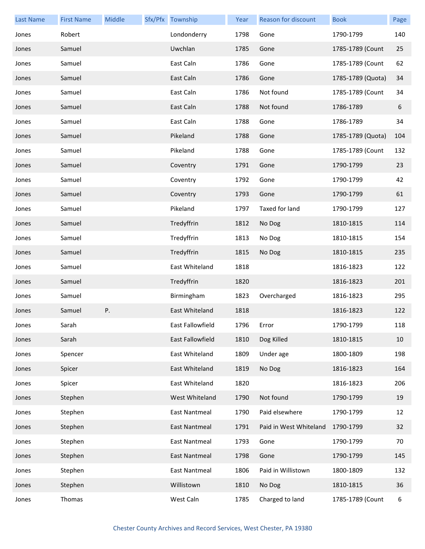| <b>Last Name</b> | <b>First Name</b> | Middle | Sfx/Pfx Township | Year | Reason for discount    | <b>Book</b>       | Page |
|------------------|-------------------|--------|------------------|------|------------------------|-------------------|------|
| Jones            | Robert            |        | Londonderry      | 1798 | Gone                   | 1790-1799         | 140  |
| Jones            | Samuel            |        | Uwchlan          | 1785 | Gone                   | 1785-1789 (Count  | 25   |
| Jones            | Samuel            |        | East Caln        | 1786 | Gone                   | 1785-1789 (Count  | 62   |
| Jones            | Samuel            |        | East Caln        | 1786 | Gone                   | 1785-1789 (Quota) | 34   |
| Jones            | Samuel            |        | East Caln        | 1786 | Not found              | 1785-1789 (Count  | 34   |
| Jones            | Samuel            |        | East Caln        | 1788 | Not found              | 1786-1789         | 6    |
| Jones            | Samuel            |        | East Caln        | 1788 | Gone                   | 1786-1789         | 34   |
| Jones            | Samuel            |        | Pikeland         | 1788 | Gone                   | 1785-1789 (Quota) | 104  |
| Jones            | Samuel            |        | Pikeland         | 1788 | Gone                   | 1785-1789 (Count  | 132  |
| Jones            | Samuel            |        | Coventry         | 1791 | Gone                   | 1790-1799         | 23   |
| Jones            | Samuel            |        | Coventry         | 1792 | Gone                   | 1790-1799         | 42   |
| Jones            | Samuel            |        | Coventry         | 1793 | Gone                   | 1790-1799         | 61   |
| Jones            | Samuel            |        | Pikeland         | 1797 | Taxed for land         | 1790-1799         | 127  |
| Jones            | Samuel            |        | Tredyffrin       | 1812 | No Dog                 | 1810-1815         | 114  |
| Jones            | Samuel            |        | Tredyffrin       | 1813 | No Dog                 | 1810-1815         | 154  |
| Jones            | Samuel            |        | Tredyffrin       | 1815 | No Dog                 | 1810-1815         | 235  |
| Jones            | Samuel            |        | East Whiteland   | 1818 |                        | 1816-1823         | 122  |
| Jones            | Samuel            |        | Tredyffrin       | 1820 |                        | 1816-1823         | 201  |
| Jones            | Samuel            |        | Birmingham       | 1823 | Overcharged            | 1816-1823         | 295  |
| Jones            | Samuel            | Ρ.     | East Whiteland   | 1818 |                        | 1816-1823         | 122  |
| Jones            | Sarah             |        | East Fallowfield | 1796 | Error                  | 1790-1799         | 118  |
| Jones            | Sarah             |        | East Fallowfield | 1810 | Dog Killed             | 1810-1815         | 10   |
| Jones            | Spencer           |        | East Whiteland   | 1809 | Under age              | 1800-1809         | 198  |
| Jones            | Spicer            |        | East Whiteland   | 1819 | No Dog                 | 1816-1823         | 164  |
| Jones            | Spicer            |        | East Whiteland   | 1820 |                        | 1816-1823         | 206  |
| Jones            | Stephen           |        | West Whiteland   | 1790 | Not found              | 1790-1799         | 19   |
| Jones            | Stephen           |        | East Nantmeal    | 1790 | Paid elsewhere         | 1790-1799         | 12   |
| Jones            | Stephen           |        | East Nantmeal    | 1791 | Paid in West Whiteland | 1790-1799         | 32   |
| Jones            | Stephen           |        | East Nantmeal    | 1793 | Gone                   | 1790-1799         | 70   |
| Jones            | Stephen           |        | East Nantmeal    | 1798 | Gone                   | 1790-1799         | 145  |
| Jones            | Stephen           |        | East Nantmeal    | 1806 | Paid in Willistown     | 1800-1809         | 132  |
| Jones            | Stephen           |        | Willistown       | 1810 | No Dog                 | 1810-1815         | 36   |
| Jones            | Thomas            |        | West Caln        | 1785 | Charged to land        | 1785-1789 (Count  | 6    |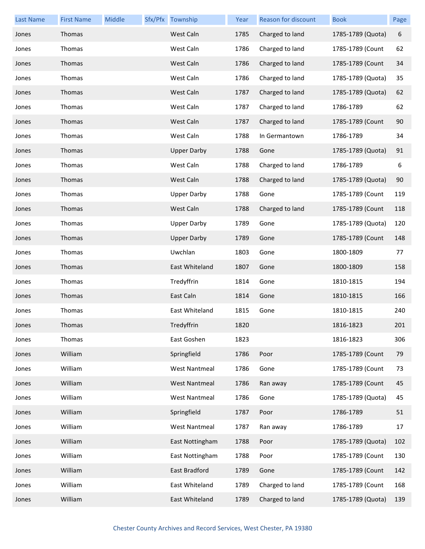| <b>Last Name</b> | <b>First Name</b> | Middle | Sfx/Pfx Township     | Year | Reason for discount | <b>Book</b>       | Page |
|------------------|-------------------|--------|----------------------|------|---------------------|-------------------|------|
| Jones            | Thomas            |        | West Caln            | 1785 | Charged to land     | 1785-1789 (Quota) | 6    |
| Jones            | Thomas            |        | West Caln            | 1786 | Charged to land     | 1785-1789 (Count  | 62   |
| Jones            | Thomas            |        | West Caln            | 1786 | Charged to land     | 1785-1789 (Count  | 34   |
| Jones            | Thomas            |        | West Caln            | 1786 | Charged to land     | 1785-1789 (Quota) | 35   |
| Jones            | Thomas            |        | West Caln            | 1787 | Charged to land     | 1785-1789 (Quota) | 62   |
| Jones            | Thomas            |        | West Caln            | 1787 | Charged to land     | 1786-1789         | 62   |
| Jones            | Thomas            |        | West Caln            | 1787 | Charged to land     | 1785-1789 (Count  | 90   |
| Jones            | Thomas            |        | West Caln            | 1788 | In Germantown       | 1786-1789         | 34   |
| Jones            | Thomas            |        | <b>Upper Darby</b>   | 1788 | Gone                | 1785-1789 (Quota) | 91   |
| Jones            | Thomas            |        | West Caln            | 1788 | Charged to land     | 1786-1789         | 6    |
| Jones            | Thomas            |        | West Caln            | 1788 | Charged to land     | 1785-1789 (Quota) | 90   |
| Jones            | Thomas            |        | <b>Upper Darby</b>   | 1788 | Gone                | 1785-1789 (Count  | 119  |
| Jones            | Thomas            |        | West Caln            | 1788 | Charged to land     | 1785-1789 (Count  | 118  |
| Jones            | Thomas            |        | <b>Upper Darby</b>   | 1789 | Gone                | 1785-1789 (Quota) | 120  |
| Jones            | Thomas            |        | <b>Upper Darby</b>   | 1789 | Gone                | 1785-1789 (Count  | 148  |
| Jones            | Thomas            |        | Uwchlan              | 1803 | Gone                | 1800-1809         | 77   |
| Jones            | Thomas            |        | East Whiteland       | 1807 | Gone                | 1800-1809         | 158  |
| Jones            | Thomas            |        | Tredyffrin           | 1814 | Gone                | 1810-1815         | 194  |
| Jones            | Thomas            |        | East Caln            | 1814 | Gone                | 1810-1815         | 166  |
| Jones            | Thomas            |        | East Whiteland       | 1815 | Gone                | 1810-1815         | 240  |
| Jones            | Thomas            |        | Tredyffrin           | 1820 |                     | 1816-1823         | 201  |
| Jones            | Thomas            |        | East Goshen          | 1823 |                     | 1816-1823         | 306  |
| Jones            | William           |        | Springfield          | 1786 | Poor                | 1785-1789 (Count  | 79   |
| Jones            | William           |        | <b>West Nantmeal</b> | 1786 | Gone                | 1785-1789 (Count  | 73   |
| Jones            | William           |        | <b>West Nantmeal</b> | 1786 | Ran away            | 1785-1789 (Count  | 45   |
| Jones            | William           |        | <b>West Nantmeal</b> | 1786 | Gone                | 1785-1789 (Quota) | 45   |
| Jones            | William           |        | Springfield          | 1787 | Poor                | 1786-1789         | 51   |
| Jones            | William           |        | <b>West Nantmeal</b> | 1787 | Ran away            | 1786-1789         | 17   |
| Jones            | William           |        | East Nottingham      | 1788 | Poor                | 1785-1789 (Quota) | 102  |
| Jones            | William           |        | East Nottingham      | 1788 | Poor                | 1785-1789 (Count  | 130  |
| Jones            | William           |        | East Bradford        | 1789 | Gone                | 1785-1789 (Count  | 142  |
| Jones            | William           |        | East Whiteland       | 1789 | Charged to land     | 1785-1789 (Count  | 168  |
| Jones            | William           |        | East Whiteland       | 1789 | Charged to land     | 1785-1789 (Quota) | 139  |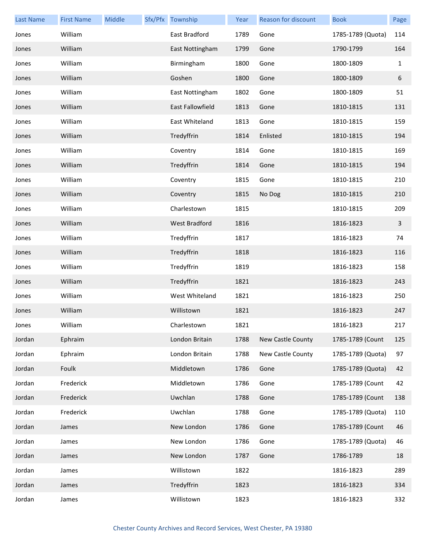| <b>Last Name</b> | <b>First Name</b> | Middle | Sfx/Pfx Township        | Year | <b>Reason for discount</b> | <b>Book</b>       | Page         |
|------------------|-------------------|--------|-------------------------|------|----------------------------|-------------------|--------------|
| Jones            | William           |        | East Bradford           | 1789 | Gone                       | 1785-1789 (Quota) | 114          |
| Jones            | William           |        | East Nottingham         | 1799 | Gone                       | 1790-1799         | 164          |
| Jones            | William           |        | Birmingham              | 1800 | Gone                       | 1800-1809         | $\mathbf{1}$ |
| Jones            | William           |        | Goshen                  | 1800 | Gone                       | 1800-1809         | 6            |
| Jones            | William           |        | East Nottingham         | 1802 | Gone                       | 1800-1809         | 51           |
| Jones            | William           |        | <b>East Fallowfield</b> | 1813 | Gone                       | 1810-1815         | 131          |
| Jones            | William           |        | East Whiteland          | 1813 | Gone                       | 1810-1815         | 159          |
| Jones            | William           |        | Tredyffrin              | 1814 | Enlisted                   | 1810-1815         | 194          |
| Jones            | William           |        | Coventry                | 1814 | Gone                       | 1810-1815         | 169          |
| Jones            | William           |        | Tredyffrin              | 1814 | Gone                       | 1810-1815         | 194          |
| Jones            | William           |        | Coventry                | 1815 | Gone                       | 1810-1815         | 210          |
| Jones            | William           |        | Coventry                | 1815 | No Dog                     | 1810-1815         | 210          |
| Jones            | William           |        | Charlestown             | 1815 |                            | 1810-1815         | 209          |
| Jones            | William           |        | <b>West Bradford</b>    | 1816 |                            | 1816-1823         | $\mathbf{3}$ |
| Jones            | William           |        | Tredyffrin              | 1817 |                            | 1816-1823         | 74           |
| Jones            | William           |        | Tredyffrin              | 1818 |                            | 1816-1823         | 116          |
| Jones            | William           |        | Tredyffrin              | 1819 |                            | 1816-1823         | 158          |
| Jones            | William           |        | Tredyffrin              | 1821 |                            | 1816-1823         | 243          |
| Jones            | William           |        | West Whiteland          | 1821 |                            | 1816-1823         | 250          |
| Jones            | William           |        | Willistown              | 1821 |                            | 1816-1823         | 247          |
| Jones            | William           |        | Charlestown             | 1821 |                            | 1816-1823         | 217          |
| Jordan           | Ephraim           |        | London Britain          | 1788 | New Castle County          | 1785-1789 (Count  | 125          |
| Jordan           | Ephraim           |        | London Britain          | 1788 | New Castle County          | 1785-1789 (Quota) | 97           |
| Jordan           | Foulk             |        | Middletown              | 1786 | Gone                       | 1785-1789 (Quota) | 42           |
| Jordan           | Frederick         |        | Middletown              | 1786 | Gone                       | 1785-1789 (Count  | 42           |
| Jordan           | Frederick         |        | Uwchlan                 | 1788 | Gone                       | 1785-1789 (Count  | 138          |
| Jordan           | Frederick         |        | Uwchlan                 | 1788 | Gone                       | 1785-1789 (Quota) | 110          |
| Jordan           | James             |        | New London              | 1786 | Gone                       | 1785-1789 (Count  | 46           |
| Jordan           | James             |        | New London              | 1786 | Gone                       | 1785-1789 (Quota) | 46           |
| Jordan           | James             |        | New London              | 1787 | Gone                       | 1786-1789         | 18           |
| Jordan           | James             |        | Willistown              | 1822 |                            | 1816-1823         | 289          |
| Jordan           | James             |        | Tredyffrin              | 1823 |                            | 1816-1823         | 334          |
| Jordan           | James             |        | Willistown              | 1823 |                            | 1816-1823         | 332          |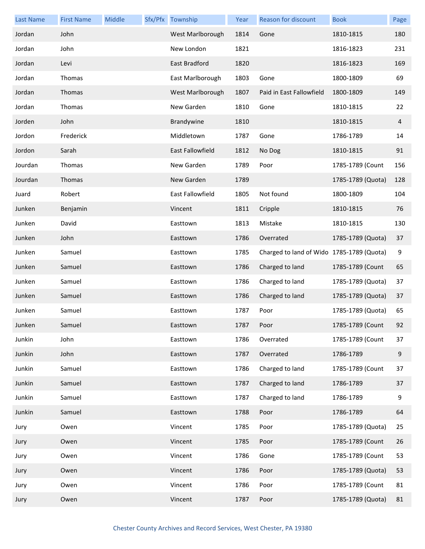| <b>Last Name</b> | <b>First Name</b> | Middle | Sfx/Pfx Township        | Year | <b>Reason for discount</b>                | <b>Book</b>       | Page             |
|------------------|-------------------|--------|-------------------------|------|-------------------------------------------|-------------------|------------------|
| Jordan           | John              |        | West Marlborough        | 1814 | Gone                                      | 1810-1815         | 180              |
| Jordan           | John              |        | New London              | 1821 |                                           | 1816-1823         | 231              |
| Jordan           | Levi              |        | East Bradford           | 1820 |                                           | 1816-1823         | 169              |
| Jordan           | Thomas            |        | East Marlborough        | 1803 | Gone                                      | 1800-1809         | 69               |
| Jordan           | Thomas            |        | West Marlborough        | 1807 | Paid in East Fallowfield                  | 1800-1809         | 149              |
| Jordan           | Thomas            |        | New Garden              | 1810 | Gone                                      | 1810-1815         | 22               |
| Jorden           | John              |        | Brandywine              | 1810 |                                           | 1810-1815         | 4                |
| Jordon           | Frederick         |        | Middletown              | 1787 | Gone                                      | 1786-1789         | 14               |
| Jordon           | Sarah             |        | East Fallowfield        | 1812 | No Dog                                    | 1810-1815         | 91               |
| Jourdan          | Thomas            |        | New Garden              | 1789 | Poor                                      | 1785-1789 (Count  | 156              |
| Jourdan          | Thomas            |        | New Garden              | 1789 |                                           | 1785-1789 (Quota) | 128              |
| Juard            | Robert            |        | <b>East Fallowfield</b> | 1805 | Not found                                 | 1800-1809         | 104              |
| Junken           | Benjamin          |        | Vincent                 | 1811 | Cripple                                   | 1810-1815         | 76               |
| Junken           | David             |        | Easttown                | 1813 | Mistake                                   | 1810-1815         | 130              |
| Junken           | John              |        | Easttown                | 1786 | Overrated                                 | 1785-1789 (Quota) | 37               |
| Junken           | Samuel            |        | Easttown                | 1785 | Charged to land of Wido 1785-1789 (Quota) |                   | 9                |
| Junken           | Samuel            |        | Easttown                | 1786 | Charged to land                           | 1785-1789 (Count  | 65               |
| Junken           | Samuel            |        | Easttown                | 1786 | Charged to land                           | 1785-1789 (Quota) | 37               |
| Junken           | Samuel            |        | Easttown                | 1786 | Charged to land                           | 1785-1789 (Quota) | 37               |
| Junken           | Samuel            |        | Easttown                | 1787 | Poor                                      | 1785-1789 (Quota) | 65               |
| Junken           | Samuel            |        | Easttown                | 1787 | Poor                                      | 1785-1789 (Count  | 92               |
| Junkin           | John              |        | Easttown                | 1786 | Overrated                                 | 1785-1789 (Count  | 37               |
| Junkin           | John              |        | Easttown                | 1787 | Overrated                                 | 1786-1789         | $\boldsymbol{9}$ |
| Junkin           | Samuel            |        | Easttown                | 1786 | Charged to land                           | 1785-1789 (Count  | 37               |
| Junkin           | Samuel            |        | Easttown                | 1787 | Charged to land                           | 1786-1789         | 37               |
| Junkin           | Samuel            |        | Easttown                | 1787 | Charged to land                           | 1786-1789         | 9                |
| Junkin           | Samuel            |        | Easttown                | 1788 | Poor                                      | 1786-1789         | 64               |
| Jury             | Owen              |        | Vincent                 | 1785 | Poor                                      | 1785-1789 (Quota) | 25               |
| Jury             | Owen              |        | Vincent                 | 1785 | Poor                                      | 1785-1789 (Count  | 26               |
| Jury             | Owen              |        | Vincent                 | 1786 | Gone                                      | 1785-1789 (Count  | 53               |
| Jury             | Owen              |        | Vincent                 | 1786 | Poor                                      | 1785-1789 (Quota) | 53               |
| Jury             | Owen              |        | Vincent                 | 1786 | Poor                                      | 1785-1789 (Count  | 81               |
| Jury             | Owen              |        | Vincent                 | 1787 | Poor                                      | 1785-1789 (Quota) | 81               |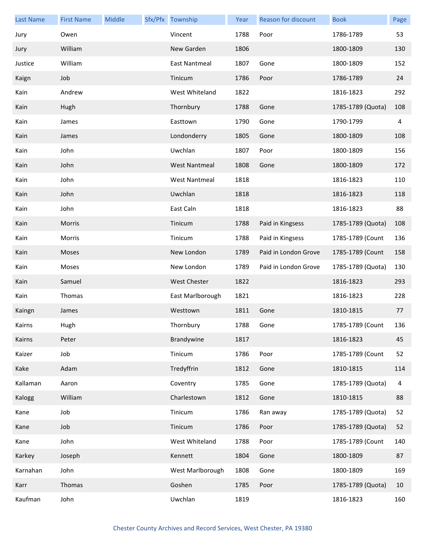| <b>Last Name</b> | <b>First Name</b> | Middle | Sfx/Pfx Township     | Year | Reason for discount  | <b>Book</b>       | Page |
|------------------|-------------------|--------|----------------------|------|----------------------|-------------------|------|
| Jury             | Owen              |        | Vincent              | 1788 | Poor                 | 1786-1789         | 53   |
| Jury             | William           |        | New Garden           | 1806 |                      | 1800-1809         | 130  |
| Justice          | William           |        | East Nantmeal        | 1807 | Gone                 | 1800-1809         | 152  |
| Kaign            | Job               |        | Tinicum              | 1786 | Poor                 | 1786-1789         | 24   |
| Kain             | Andrew            |        | West Whiteland       | 1822 |                      | 1816-1823         | 292  |
| Kain             | Hugh              |        | Thornbury            | 1788 | Gone                 | 1785-1789 (Quota) | 108  |
| Kain             | James             |        | Easttown             | 1790 | Gone                 | 1790-1799         | 4    |
| Kain             | James             |        | Londonderry          | 1805 | Gone                 | 1800-1809         | 108  |
| Kain             | John              |        | Uwchlan              | 1807 | Poor                 | 1800-1809         | 156  |
| Kain             | John              |        | <b>West Nantmeal</b> | 1808 | Gone                 | 1800-1809         | 172  |
| Kain             | John              |        | <b>West Nantmeal</b> | 1818 |                      | 1816-1823         | 110  |
| Kain             | John              |        | Uwchlan              | 1818 |                      | 1816-1823         | 118  |
| Kain             | John              |        | East Caln            | 1818 |                      | 1816-1823         | 88   |
| Kain             | Morris            |        | Tinicum              | 1788 | Paid in Kingsess     | 1785-1789 (Quota) | 108  |
| Kain             | Morris            |        | Tinicum              | 1788 | Paid in Kingsess     | 1785-1789 (Count  | 136  |
| Kain             | Moses             |        | New London           | 1789 | Paid in London Grove | 1785-1789 (Count  | 158  |
| Kain             | Moses             |        | New London           | 1789 | Paid in London Grove | 1785-1789 (Quota) | 130  |
| Kain             | Samuel            |        | <b>West Chester</b>  | 1822 |                      | 1816-1823         | 293  |
| Kain             | Thomas            |        | East Marlborough     | 1821 |                      | 1816-1823         | 228  |
| Kaingn           | James             |        | Westtown             | 1811 | Gone                 | 1810-1815         | 77   |
| Kairns           | Hugh              |        | Thornbury            | 1788 | Gone                 | 1785-1789 (Count  | 136  |
| Kairns           | Peter             |        | Brandywine           | 1817 |                      | 1816-1823         | 45   |
| Kaizer           | Job               |        | Tinicum              | 1786 | Poor                 | 1785-1789 (Count  | 52   |
| Kake             | Adam              |        | Tredyffrin           | 1812 | Gone                 | 1810-1815         | 114  |
| Kallaman         | Aaron             |        | Coventry             | 1785 | Gone                 | 1785-1789 (Quota) | 4    |
| Kalogg           | William           |        | Charlestown          | 1812 | Gone                 | 1810-1815         | 88   |
| Kane             | Job               |        | Tinicum              | 1786 | Ran away             | 1785-1789 (Quota) | 52   |
| Kane             | Job               |        | Tinicum              | 1786 | Poor                 | 1785-1789 (Quota) | 52   |
| Kane             | John              |        | West Whiteland       | 1788 | Poor                 | 1785-1789 (Count  | 140  |
| Karkey           | Joseph            |        | Kennett              | 1804 | Gone                 | 1800-1809         | 87   |
| Karnahan         | John              |        | West Marlborough     | 1808 | Gone                 | 1800-1809         | 169  |
| Karr             | Thomas            |        | Goshen               | 1785 | Poor                 | 1785-1789 (Quota) | 10   |
| Kaufman          | John              |        | Uwchlan              | 1819 |                      | 1816-1823         | 160  |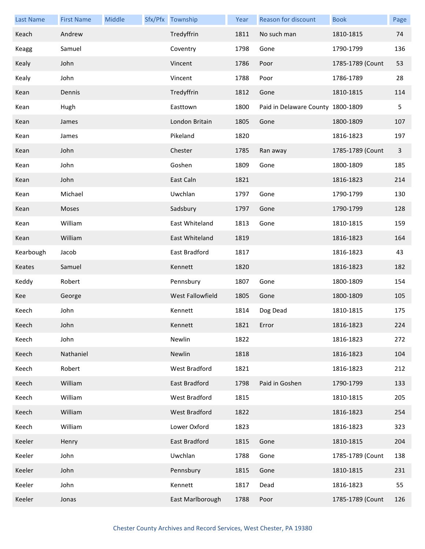| <b>Last Name</b> | <b>First Name</b> | Middle | Sfx/Pfx Township     | Year | Reason for discount               | <b>Book</b>      | Page         |
|------------------|-------------------|--------|----------------------|------|-----------------------------------|------------------|--------------|
| Keach            | Andrew            |        | Tredyffrin           | 1811 | No such man                       | 1810-1815        | 74           |
| Keagg            | Samuel            |        | Coventry             | 1798 | Gone                              | 1790-1799        | 136          |
| Kealy            | John              |        | Vincent              | 1786 | Poor                              | 1785-1789 (Count | 53           |
| Kealy            | John              |        | Vincent              | 1788 | Poor                              | 1786-1789        | 28           |
| Kean             | Dennis            |        | Tredyffrin           | 1812 | Gone                              | 1810-1815        | 114          |
| Kean             | Hugh              |        | Easttown             | 1800 | Paid in Delaware County 1800-1809 |                  | 5            |
| Kean             | James             |        | London Britain       | 1805 | Gone                              | 1800-1809        | 107          |
| Kean             | James             |        | Pikeland             | 1820 |                                   | 1816-1823        | 197          |
| Kean             | John              |        | Chester              | 1785 | Ran away                          | 1785-1789 (Count | $\mathbf{3}$ |
| Kean             | John              |        | Goshen               | 1809 | Gone                              | 1800-1809        | 185          |
| Kean             | John              |        | East Caln            | 1821 |                                   | 1816-1823        | 214          |
| Kean             | Michael           |        | Uwchlan              | 1797 | Gone                              | 1790-1799        | 130          |
| Kean             | Moses             |        | Sadsbury             | 1797 | Gone                              | 1790-1799        | 128          |
| Kean             | William           |        | East Whiteland       | 1813 | Gone                              | 1810-1815        | 159          |
| Kean             | William           |        | East Whiteland       | 1819 |                                   | 1816-1823        | 164          |
| Kearbough        | Jacob             |        | East Bradford        | 1817 |                                   | 1816-1823        | 43           |
| Keates           | Samuel            |        | Kennett              | 1820 |                                   | 1816-1823        | 182          |
| Keddy            | Robert            |        | Pennsbury            | 1807 | Gone                              | 1800-1809        | 154          |
| Kee              | George            |        | West Fallowfield     | 1805 | Gone                              | 1800-1809        | 105          |
| Keech            | John              |        | Kennett              | 1814 | Dog Dead                          | 1810-1815        | 175          |
| Keech            | John              |        | Kennett              | 1821 | Error                             | 1816-1823        | 224          |
| Keech            | John              |        | Newlin               | 1822 |                                   | 1816-1823        | 272          |
| Keech            | Nathaniel         |        | Newlin               | 1818 |                                   | 1816-1823        | 104          |
| Keech            | Robert            |        | <b>West Bradford</b> | 1821 |                                   | 1816-1823        | 212          |
| Keech            | William           |        | East Bradford        | 1798 | Paid in Goshen                    | 1790-1799        | 133          |
| Keech            | William           |        | West Bradford        | 1815 |                                   | 1810-1815        | 205          |
| Keech            | William           |        | West Bradford        | 1822 |                                   | 1816-1823        | 254          |
| Keech            | William           |        | Lower Oxford         | 1823 |                                   | 1816-1823        | 323          |
| Keeler           | Henry             |        | East Bradford        | 1815 | Gone                              | 1810-1815        | 204          |
| Keeler           | John              |        | Uwchlan              | 1788 | Gone                              | 1785-1789 (Count | 138          |
| Keeler           | John              |        | Pennsbury            | 1815 | Gone                              | 1810-1815        | 231          |
| Keeler           | John              |        | Kennett              | 1817 | Dead                              | 1816-1823        | 55           |
| Keeler           | Jonas             |        | East Marlborough     | 1788 | Poor                              | 1785-1789 (Count | 126          |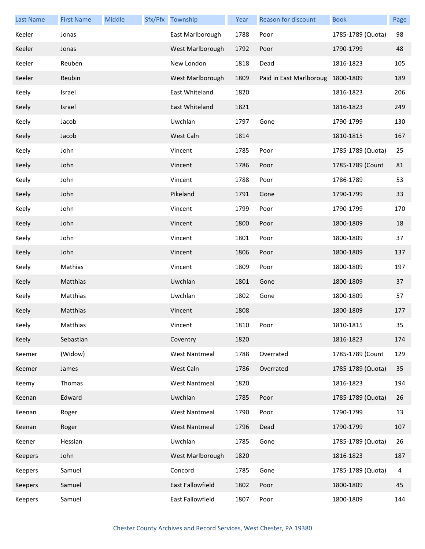| <b>Last Name</b> | <b>First Name</b> | Middle | Sfx/Pfx Township     | Year | Reason for discount               | <b>Book</b>       | Page |
|------------------|-------------------|--------|----------------------|------|-----------------------------------|-------------------|------|
| Keeler           | Jonas             |        | East Marlborough     | 1788 | Poor                              | 1785-1789 (Quota) | 98   |
| Keeler           | Jonas             |        | West Marlborough     | 1792 | Poor                              | 1790-1799         | 48   |
| Keeler           | Reuben            |        | New London           | 1818 | Dead                              | 1816-1823         | 105  |
| Keeler           | Reubin            |        | West Marlborough     | 1809 | Paid in East Marlboroug 1800-1809 |                   | 189  |
| Keely            | Israel            |        | East Whiteland       | 1820 |                                   | 1816-1823         | 206  |
| Keely            | Israel            |        | East Whiteland       | 1821 |                                   | 1816-1823         | 249  |
| Keely            | Jacob             |        | Uwchlan              | 1797 | Gone                              | 1790-1799         | 130  |
| Keely            | Jacob             |        | West Caln            | 1814 |                                   | 1810-1815         | 167  |
| Keely            | John              |        | Vincent              | 1785 | Poor                              | 1785-1789 (Quota) | 25   |
| Keely            | John              |        | Vincent              | 1786 | Poor                              | 1785-1789 (Count  | 81   |
| Keely            | John              |        | Vincent              | 1788 | Poor                              | 1786-1789         | 53   |
| Keely            | John              |        | Pikeland             | 1791 | Gone                              | 1790-1799         | 33   |
| Keely            | John              |        | Vincent              | 1799 | Poor                              | 1790-1799         | 170  |
| Keely            | John              |        | Vincent              | 1800 | Poor                              | 1800-1809         | 18   |
| Keely            | John              |        | Vincent              | 1801 | Poor                              | 1800-1809         | 37   |
| Keely            | John              |        | Vincent              | 1806 | Poor                              | 1800-1809         | 137  |
| Keely            | Mathias           |        | Vincent              | 1809 | Poor                              | 1800-1809         | 197  |
| Keely            | Matthias          |        | Uwchlan              | 1801 | Gone                              | 1800-1809         | 37   |
| Keely            | Matthias          |        | Uwchlan              | 1802 | Gone                              | 1800-1809         | 57   |
| Keely            | Matthias          |        | Vincent              | 1808 |                                   | 1800-1809         | 177  |
| Keely            | Matthias          |        | Vincent              | 1810 | Poor                              | 1810-1815         | 35   |
| Keely            | Sebastian         |        | Coventry             | 1820 |                                   | 1816-1823         | 174  |
| Keemer           | (Widow)           |        | <b>West Nantmeal</b> | 1788 | Overrated                         | 1785-1789 (Count  | 129  |
| Keemer           | James             |        | West Caln            | 1786 | Overrated                         | 1785-1789 (Quota) | 35   |
| Keemy            | Thomas            |        | <b>West Nantmeal</b> | 1820 |                                   | 1816-1823         | 194  |
| Keenan           | Edward            |        | Uwchlan              | 1785 | Poor                              | 1785-1789 (Quota) | 26   |
| Keenan           | Roger             |        | <b>West Nantmeal</b> | 1790 | Poor                              | 1790-1799         | 13   |
| Keenan           | Roger             |        | <b>West Nantmeal</b> | 1796 | Dead                              | 1790-1799         | 107  |
| Keener           | Hessian           |        | Uwchlan              | 1785 | Gone                              | 1785-1789 (Quota) | 26   |
| Keepers          | John              |        | West Marlborough     | 1820 |                                   | 1816-1823         | 187  |
| Keepers          | Samuel            |        | Concord              | 1785 | Gone                              | 1785-1789 (Quota) | 4    |
| Keepers          | Samuel            |        | East Fallowfield     | 1802 | Poor                              | 1800-1809         | 45   |
| Keepers          | Samuel            |        | East Fallowfield     | 1807 | Poor                              | 1800-1809         | 144  |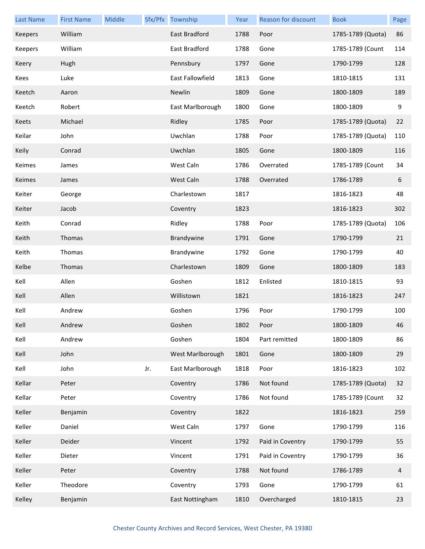| <b>Last Name</b> | <b>First Name</b> | Middle |     | Sfx/Pfx Township | Year | Reason for discount | <b>Book</b>       | Page           |
|------------------|-------------------|--------|-----|------------------|------|---------------------|-------------------|----------------|
| <b>Keepers</b>   | William           |        |     | East Bradford    | 1788 | Poor                | 1785-1789 (Quota) | 86             |
| Keepers          | William           |        |     | East Bradford    | 1788 | Gone                | 1785-1789 (Count  | 114            |
| Keery            | Hugh              |        |     | Pennsbury        | 1797 | Gone                | 1790-1799         | 128            |
| Kees             | Luke              |        |     | East Fallowfield | 1813 | Gone                | 1810-1815         | 131            |
| Keetch           | Aaron             |        |     | Newlin           | 1809 | Gone                | 1800-1809         | 189            |
| Keetch           | Robert            |        |     | East Marlborough | 1800 | Gone                | 1800-1809         | 9              |
| Keets            | Michael           |        |     | Ridley           | 1785 | Poor                | 1785-1789 (Quota) | 22             |
| Keilar           | John              |        |     | Uwchlan          | 1788 | Poor                | 1785-1789 (Quota) | 110            |
| Keily            | Conrad            |        |     | Uwchlan          | 1805 | Gone                | 1800-1809         | 116            |
| Keimes           | James             |        |     | West Caln        | 1786 | Overrated           | 1785-1789 (Count  | 34             |
| Keimes           | James             |        |     | West Caln        | 1788 | Overrated           | 1786-1789         | 6              |
| Keiter           | George            |        |     | Charlestown      | 1817 |                     | 1816-1823         | 48             |
| Keiter           | Jacob             |        |     | Coventry         | 1823 |                     | 1816-1823         | 302            |
| Keith            | Conrad            |        |     | Ridley           | 1788 | Poor                | 1785-1789 (Quota) | 106            |
| Keith            | Thomas            |        |     | Brandywine       | 1791 | Gone                | 1790-1799         | 21             |
| Keith            | Thomas            |        |     | Brandywine       | 1792 | Gone                | 1790-1799         | 40             |
| Kelbe            | Thomas            |        |     | Charlestown      | 1809 | Gone                | 1800-1809         | 183            |
| Kell             | Allen             |        |     | Goshen           | 1812 | Enlisted            | 1810-1815         | 93             |
| Kell             | Allen             |        |     | Willistown       | 1821 |                     | 1816-1823         | 247            |
| Kell             | Andrew            |        |     | Goshen           | 1796 | Poor                | 1790-1799         | 100            |
| Kell             | Andrew            |        |     | Goshen           | 1802 | Poor                | 1800-1809         | 46             |
| Kell             | Andrew            |        |     | Goshen           | 1804 | Part remitted       | 1800-1809         | 86             |
| Kell             | John              |        |     | West Marlborough | 1801 | Gone                | 1800-1809         | 29             |
| Kell             | John              |        | Jr. | East Marlborough | 1818 | Poor                | 1816-1823         | 102            |
| Kellar           | Peter             |        |     | Coventry         | 1786 | Not found           | 1785-1789 (Quota) | 32             |
| Kellar           | Peter             |        |     | Coventry         | 1786 | Not found           | 1785-1789 (Count  | 32             |
| Keller           | Benjamin          |        |     | Coventry         | 1822 |                     | 1816-1823         | 259            |
| Keller           | Daniel            |        |     | West Caln        | 1797 | Gone                | 1790-1799         | 116            |
| Keller           | Deider            |        |     | Vincent          | 1792 | Paid in Coventry    | 1790-1799         | 55             |
| Keller           | Dieter            |        |     | Vincent          | 1791 | Paid in Coventry    | 1790-1799         | 36             |
| Keller           | Peter             |        |     | Coventry         | 1788 | Not found           | 1786-1789         | $\overline{4}$ |
| Keller           | Theodore          |        |     | Coventry         | 1793 | Gone                | 1790-1799         | 61             |
| Kelley           | Benjamin          |        |     | East Nottingham  | 1810 | Overcharged         | 1810-1815         | 23             |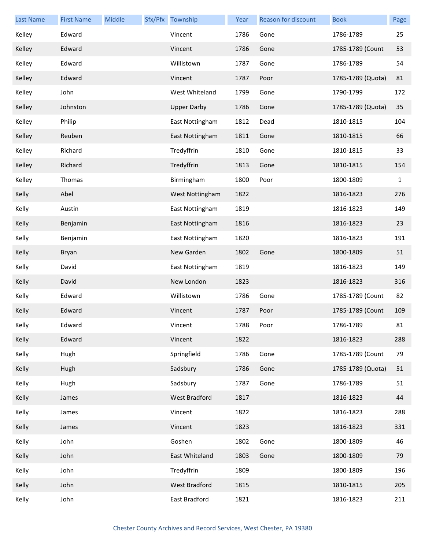| <b>Last Name</b> | <b>First Name</b> | Middle | Sfx/Pfx Township   | Year | Reason for discount | <b>Book</b>       | Page |
|------------------|-------------------|--------|--------------------|------|---------------------|-------------------|------|
| Kelley           | Edward            |        | Vincent            | 1786 | Gone                | 1786-1789         | 25   |
| Kelley           | Edward            |        | Vincent            | 1786 | Gone                | 1785-1789 (Count  | 53   |
| Kelley           | Edward            |        | Willistown         | 1787 | Gone                | 1786-1789         | 54   |
| Kelley           | Edward            |        | Vincent            | 1787 | Poor                | 1785-1789 (Quota) | 81   |
| Kelley           | John              |        | West Whiteland     | 1799 | Gone                | 1790-1799         | 172  |
| Kelley           | Johnston          |        | <b>Upper Darby</b> | 1786 | Gone                | 1785-1789 (Quota) | 35   |
| Kelley           | Philip            |        | East Nottingham    | 1812 | Dead                | 1810-1815         | 104  |
| Kelley           | Reuben            |        | East Nottingham    | 1811 | Gone                | 1810-1815         | 66   |
| Kelley           | Richard           |        | Tredyffrin         | 1810 | Gone                | 1810-1815         | 33   |
| Kelley           | Richard           |        | Tredyffrin         | 1813 | Gone                | 1810-1815         | 154  |
| Kelley           | Thomas            |        | Birmingham         | 1800 | Poor                | 1800-1809         | 1    |
| Kelly            | Abel              |        | West Nottingham    | 1822 |                     | 1816-1823         | 276  |
| Kelly            | Austin            |        | East Nottingham    | 1819 |                     | 1816-1823         | 149  |
| Kelly            | Benjamin          |        | East Nottingham    | 1816 |                     | 1816-1823         | 23   |
| Kelly            | Benjamin          |        | East Nottingham    | 1820 |                     | 1816-1823         | 191  |
| Kelly            | Bryan             |        | New Garden         | 1802 | Gone                | 1800-1809         | 51   |
| Kelly            | David             |        | East Nottingham    | 1819 |                     | 1816-1823         | 149  |
| Kelly            | David             |        | New London         | 1823 |                     | 1816-1823         | 316  |
| Kelly            | Edward            |        | Willistown         | 1786 | Gone                | 1785-1789 (Count  | 82   |
| Kelly            | Edward            |        | Vincent            | 1787 | Poor                | 1785-1789 (Count  | 109  |
| Kelly            | Edward            |        | Vincent            | 1788 | Poor                | 1786-1789         | 81   |
| Kelly            | Edward            |        | Vincent            | 1822 |                     | 1816-1823         | 288  |
| Kelly            | Hugh              |        | Springfield        | 1786 | Gone                | 1785-1789 (Count  | 79   |
| Kelly            | Hugh              |        | Sadsbury           | 1786 | Gone                | 1785-1789 (Quota) | 51   |
| Kelly            | Hugh              |        | Sadsbury           | 1787 | Gone                | 1786-1789         | 51   |
| Kelly            | James             |        | West Bradford      | 1817 |                     | 1816-1823         | 44   |
| Kelly            | James             |        | Vincent            | 1822 |                     | 1816-1823         | 288  |
| Kelly            | James             |        | Vincent            | 1823 |                     | 1816-1823         | 331  |
| Kelly            | John              |        | Goshen             | 1802 | Gone                | 1800-1809         | 46   |
| Kelly            | John              |        | East Whiteland     | 1803 | Gone                | 1800-1809         | 79   |
| Kelly            | John              |        | Tredyffrin         | 1809 |                     | 1800-1809         | 196  |
| Kelly            | John              |        | West Bradford      | 1815 |                     | 1810-1815         | 205  |
| Kelly            | John              |        | East Bradford      | 1821 |                     | 1816-1823         | 211  |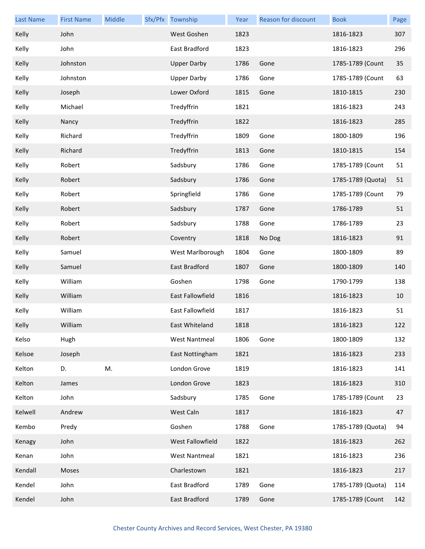| <b>Last Name</b> | <b>First Name</b> | Middle | Sfx/Pfx Township     | Year | Reason for discount | <b>Book</b>       | Page |
|------------------|-------------------|--------|----------------------|------|---------------------|-------------------|------|
| Kelly            | John              |        | West Goshen          | 1823 |                     | 1816-1823         | 307  |
| Kelly            | John              |        | East Bradford        | 1823 |                     | 1816-1823         | 296  |
| Kelly            | Johnston          |        | <b>Upper Darby</b>   | 1786 | Gone                | 1785-1789 (Count  | 35   |
| Kelly            | Johnston          |        | <b>Upper Darby</b>   | 1786 | Gone                | 1785-1789 (Count  | 63   |
| Kelly            | Joseph            |        | Lower Oxford         | 1815 | Gone                | 1810-1815         | 230  |
| Kelly            | Michael           |        | Tredyffrin           | 1821 |                     | 1816-1823         | 243  |
| Kelly            | Nancy             |        | Tredyffrin           | 1822 |                     | 1816-1823         | 285  |
| Kelly            | Richard           |        | Tredyffrin           | 1809 | Gone                | 1800-1809         | 196  |
| Kelly            | Richard           |        | Tredyffrin           | 1813 | Gone                | 1810-1815         | 154  |
| Kelly            | Robert            |        | Sadsbury             | 1786 | Gone                | 1785-1789 (Count  | 51   |
| Kelly            | Robert            |        | Sadsbury             | 1786 | Gone                | 1785-1789 (Quota) | 51   |
| Kelly            | Robert            |        | Springfield          | 1786 | Gone                | 1785-1789 (Count  | 79   |
| Kelly            | Robert            |        | Sadsbury             | 1787 | Gone                | 1786-1789         | 51   |
| Kelly            | Robert            |        | Sadsbury             | 1788 | Gone                | 1786-1789         | 23   |
| Kelly            | Robert            |        | Coventry             | 1818 | No Dog              | 1816-1823         | 91   |
| Kelly            | Samuel            |        | West Marlborough     | 1804 | Gone                | 1800-1809         | 89   |
| Kelly            | Samuel            |        | East Bradford        | 1807 | Gone                | 1800-1809         | 140  |
| Kelly            | William           |        | Goshen               | 1798 | Gone                | 1790-1799         | 138  |
| Kelly            | William           |        | East Fallowfield     | 1816 |                     | 1816-1823         | 10   |
| Kelly            | William           |        | East Fallowfield     | 1817 |                     | 1816-1823         | 51   |
| <b>Kelly</b>     | William           |        | East Whiteland       | 1818 |                     | 1816-1823         | 122  |
| Kelso            | Hugh              |        | <b>West Nantmeal</b> | 1806 | Gone                | 1800-1809         | 132  |
| Kelsoe           | Joseph            |        | East Nottingham      | 1821 |                     | 1816-1823         | 233  |
| Kelton           | D.                | M.     | London Grove         | 1819 |                     | 1816-1823         | 141  |
| Kelton           | James             |        | London Grove         | 1823 |                     | 1816-1823         | 310  |
| Kelton           | John              |        | Sadsbury             | 1785 | Gone                | 1785-1789 (Count  | 23   |
| Kelwell          | Andrew            |        | West Caln            | 1817 |                     | 1816-1823         | 47   |
| Kembo            | Predy             |        | Goshen               | 1788 | Gone                | 1785-1789 (Quota) | 94   |
| Kenagy           | John              |        | West Fallowfield     | 1822 |                     | 1816-1823         | 262  |
| Kenan            | John              |        | <b>West Nantmeal</b> | 1821 |                     | 1816-1823         | 236  |
| Kendall          | Moses             |        | Charlestown          | 1821 |                     | 1816-1823         | 217  |
| Kendel           | John              |        | East Bradford        | 1789 | Gone                | 1785-1789 (Quota) | 114  |
| Kendel           | John              |        | East Bradford        | 1789 | Gone                | 1785-1789 (Count  | 142  |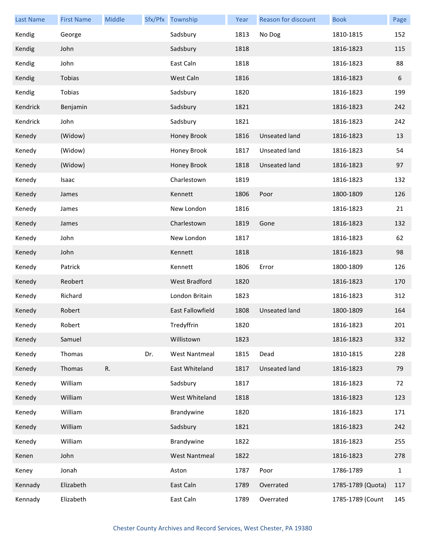| <b>Last Name</b> | <b>First Name</b> | Middle |     | Sfx/Pfx Township     | Year | Reason for discount  | <b>Book</b>       | Page         |
|------------------|-------------------|--------|-----|----------------------|------|----------------------|-------------------|--------------|
| Kendig           | George            |        |     | Sadsbury             | 1813 | No Dog               | 1810-1815         | 152          |
| Kendig           | John              |        |     | Sadsbury             | 1818 |                      | 1816-1823         | 115          |
| Kendig           | John              |        |     | East Caln            | 1818 |                      | 1816-1823         | 88           |
| Kendig           | Tobias            |        |     | West Caln            | 1816 |                      | 1816-1823         | 6            |
| Kendig           | Tobias            |        |     | Sadsbury             | 1820 |                      | 1816-1823         | 199          |
| Kendrick         | Benjamin          |        |     | Sadsbury             | 1821 |                      | 1816-1823         | 242          |
| Kendrick         | John              |        |     | Sadsbury             | 1821 |                      | 1816-1823         | 242          |
| Kenedy           | (Widow)           |        |     | Honey Brook          | 1816 | <b>Unseated land</b> | 1816-1823         | 13           |
| Kenedy           | (Widow)           |        |     | Honey Brook          | 1817 | Unseated land        | 1816-1823         | 54           |
| Kenedy           | (Widow)           |        |     | Honey Brook          | 1818 | Unseated land        | 1816-1823         | 97           |
| Kenedy           | Isaac             |        |     | Charlestown          | 1819 |                      | 1816-1823         | 132          |
| Kenedy           | James             |        |     | Kennett              | 1806 | Poor                 | 1800-1809         | 126          |
| Kenedy           | James             |        |     | New London           | 1816 |                      | 1816-1823         | 21           |
| Kenedy           | James             |        |     | Charlestown          | 1819 | Gone                 | 1816-1823         | 132          |
| Kenedy           | John              |        |     | New London           | 1817 |                      | 1816-1823         | 62           |
| Kenedy           | John              |        |     | Kennett              | 1818 |                      | 1816-1823         | 98           |
| Kenedy           | Patrick           |        |     | Kennett              | 1806 | Error                | 1800-1809         | 126          |
| Kenedy           | Reobert           |        |     | West Bradford        | 1820 |                      | 1816-1823         | 170          |
| Kenedy           | Richard           |        |     | London Britain       | 1823 |                      | 1816-1823         | 312          |
| Kenedy           | Robert            |        |     | East Fallowfield     | 1808 | <b>Unseated land</b> | 1800-1809         | 164          |
| Kenedy           | Robert            |        |     | Tredyffrin           | 1820 |                      | 1816-1823         | 201          |
| Kenedy           | Samuel            |        |     | Willistown           | 1823 |                      | 1816-1823         | 332          |
| Kenedy           | Thomas            |        | Dr. | <b>West Nantmeal</b> | 1815 | Dead                 | 1810-1815         | 228          |
| Kenedy           | Thomas            | R.     |     | East Whiteland       | 1817 | <b>Unseated land</b> | 1816-1823         | 79           |
| Kenedy           | William           |        |     | Sadsbury             | 1817 |                      | 1816-1823         | 72           |
| Kenedy           | William           |        |     | West Whiteland       | 1818 |                      | 1816-1823         | 123          |
| Kenedy           | William           |        |     | Brandywine           | 1820 |                      | 1816-1823         | 171          |
| Kenedy           | William           |        |     | Sadsbury             | 1821 |                      | 1816-1823         | 242          |
| Kenedy           | William           |        |     | Brandywine           | 1822 |                      | 1816-1823         | 255          |
| Kenen            | John              |        |     | <b>West Nantmeal</b> | 1822 |                      | 1816-1823         | 278          |
| Keney            | Jonah             |        |     | Aston                | 1787 | Poor                 | 1786-1789         | $\mathbf{1}$ |
| Kennady          | Elizabeth         |        |     | East Caln            | 1789 | Overrated            | 1785-1789 (Quota) | 117          |
| Kennady          | Elizabeth         |        |     | East Caln            | 1789 | Overrated            | 1785-1789 (Count  | 145          |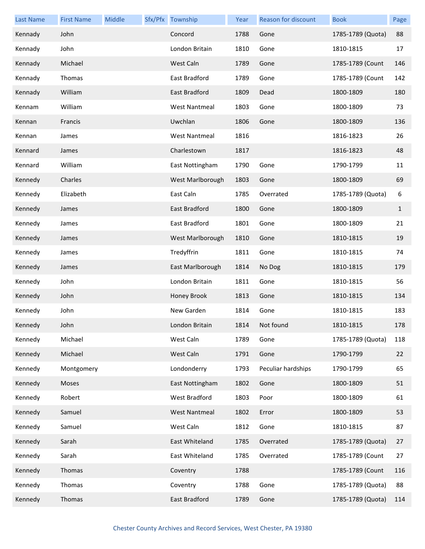| <b>Last Name</b> | <b>First Name</b> | Middle | Sfx/Pfx Township     | Year | <b>Reason for discount</b> | <b>Book</b>       | Page         |
|------------------|-------------------|--------|----------------------|------|----------------------------|-------------------|--------------|
| Kennady          | John              |        | Concord              | 1788 | Gone                       | 1785-1789 (Quota) | 88           |
| Kennady          | John              |        | London Britain       | 1810 | Gone                       | 1810-1815         | 17           |
| Kennady          | Michael           |        | West Caln            | 1789 | Gone                       | 1785-1789 (Count  | 146          |
| Kennady          | Thomas            |        | East Bradford        | 1789 | Gone                       | 1785-1789 (Count  | 142          |
| Kennady          | William           |        | East Bradford        | 1809 | Dead                       | 1800-1809         | 180          |
| Kennam           | William           |        | <b>West Nantmeal</b> | 1803 | Gone                       | 1800-1809         | 73           |
| Kennan           | Francis           |        | Uwchlan              | 1806 | Gone                       | 1800-1809         | 136          |
| Kennan           | James             |        | <b>West Nantmeal</b> | 1816 |                            | 1816-1823         | 26           |
| Kennard          | James             |        | Charlestown          | 1817 |                            | 1816-1823         | 48           |
| Kennard          | William           |        | East Nottingham      | 1790 | Gone                       | 1790-1799         | 11           |
| Kennedy          | Charles           |        | West Marlborough     | 1803 | Gone                       | 1800-1809         | 69           |
| Kennedy          | Elizabeth         |        | East Caln            | 1785 | Overrated                  | 1785-1789 (Quota) | 6            |
| Kennedy          | James             |        | East Bradford        | 1800 | Gone                       | 1800-1809         | $\mathbf{1}$ |
| Kennedy          | James             |        | East Bradford        | 1801 | Gone                       | 1800-1809         | 21           |
| Kennedy          | James             |        | West Marlborough     | 1810 | Gone                       | 1810-1815         | 19           |
| Kennedy          | James             |        | Tredyffrin           | 1811 | Gone                       | 1810-1815         | 74           |
| Kennedy          | James             |        | East Marlborough     | 1814 | No Dog                     | 1810-1815         | 179          |
| Kennedy          | John              |        | London Britain       | 1811 | Gone                       | 1810-1815         | 56           |
| Kennedy          | John              |        | Honey Brook          | 1813 | Gone                       | 1810-1815         | 134          |
| Kennedy          | John              |        | New Garden           | 1814 | Gone                       | 1810-1815         | 183          |
| Kennedy          | John              |        | London Britain       | 1814 | Not found                  | 1810-1815         | 178          |
| Kennedy          | Michael           |        | West Caln            | 1789 | Gone                       | 1785-1789 (Quota) | 118          |
| Kennedy          | Michael           |        | West Caln            | 1791 | Gone                       | 1790-1799         | 22           |
| Kennedy          | Montgomery        |        | Londonderry          | 1793 | Peculiar hardships         | 1790-1799         | 65           |
| Kennedy          | Moses             |        | East Nottingham      | 1802 | Gone                       | 1800-1809         | 51           |
| Kennedy          | Robert            |        | West Bradford        | 1803 | Poor                       | 1800-1809         | 61           |
| Kennedy          | Samuel            |        | <b>West Nantmeal</b> | 1802 | Error                      | 1800-1809         | 53           |
| Kennedy          | Samuel            |        | West Caln            | 1812 | Gone                       | 1810-1815         | 87           |
| Kennedy          | Sarah             |        | East Whiteland       | 1785 | Overrated                  | 1785-1789 (Quota) | 27           |
| Kennedy          | Sarah             |        | East Whiteland       | 1785 | Overrated                  | 1785-1789 (Count  | 27           |
| Kennedy          | Thomas            |        | Coventry             | 1788 |                            | 1785-1789 (Count  | 116          |
| Kennedy          | Thomas            |        | Coventry             | 1788 | Gone                       | 1785-1789 (Quota) | 88           |
| Kennedy          | Thomas            |        | East Bradford        | 1789 | Gone                       | 1785-1789 (Quota) | 114          |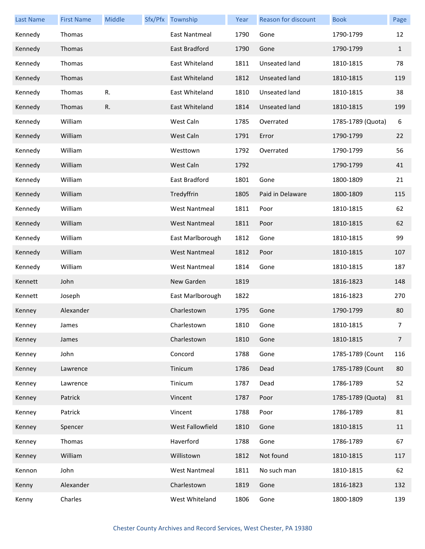| <b>Last Name</b> | <b>First Name</b> | Middle | Sfx/Pfx Township     | Year | <b>Reason for discount</b> | <b>Book</b>       | Page           |
|------------------|-------------------|--------|----------------------|------|----------------------------|-------------------|----------------|
| Kennedy          | Thomas            |        | East Nantmeal        | 1790 | Gone                       | 1790-1799         | 12             |
| Kennedy          | Thomas            |        | East Bradford        | 1790 | Gone                       | 1790-1799         | $\mathbf{1}$   |
| Kennedy          | Thomas            |        | East Whiteland       | 1811 | Unseated land              | 1810-1815         | 78             |
| Kennedy          | Thomas            |        | East Whiteland       | 1812 | Unseated land              | 1810-1815         | 119            |
| Kennedy          | Thomas            | R.     | East Whiteland       | 1810 | Unseated land              | 1810-1815         | 38             |
| Kennedy          | Thomas            | R.     | East Whiteland       | 1814 | Unseated land              | 1810-1815         | 199            |
| Kennedy          | William           |        | West Caln            | 1785 | Overrated                  | 1785-1789 (Quota) | 6              |
| Kennedy          | William           |        | West Caln            | 1791 | Error                      | 1790-1799         | 22             |
| Kennedy          | William           |        | Westtown             | 1792 | Overrated                  | 1790-1799         | 56             |
| Kennedy          | William           |        | West Caln            | 1792 |                            | 1790-1799         | 41             |
| Kennedy          | William           |        | East Bradford        | 1801 | Gone                       | 1800-1809         | 21             |
| Kennedy          | William           |        | Tredyffrin           | 1805 | Paid in Delaware           | 1800-1809         | 115            |
| Kennedy          | William           |        | <b>West Nantmeal</b> | 1811 | Poor                       | 1810-1815         | 62             |
| Kennedy          | William           |        | <b>West Nantmeal</b> | 1811 | Poor                       | 1810-1815         | 62             |
| Kennedy          | William           |        | East Marlborough     | 1812 | Gone                       | 1810-1815         | 99             |
| Kennedy          | William           |        | <b>West Nantmeal</b> | 1812 | Poor                       | 1810-1815         | 107            |
| Kennedy          | William           |        | <b>West Nantmeal</b> | 1814 | Gone                       | 1810-1815         | 187            |
| Kennett          | John              |        | New Garden           | 1819 |                            | 1816-1823         | 148            |
| Kennett          | Joseph            |        | East Marlborough     | 1822 |                            | 1816-1823         | 270            |
| Kenney           | Alexander         |        | Charlestown          | 1795 | Gone                       | 1790-1799         | 80             |
| Kenney           | James             |        | Charlestown          | 1810 | Gone                       | 1810-1815         | $7^{\circ}$    |
| Kenney           | James             |        | Charlestown          | 1810 | Gone                       | 1810-1815         | $\overline{7}$ |
| Kenney           | John              |        | Concord              | 1788 | Gone                       | 1785-1789 (Count  | 116            |
| Kenney           | Lawrence          |        | Tinicum              | 1786 | Dead                       | 1785-1789 (Count  | 80             |
| Kenney           | Lawrence          |        | Tinicum              | 1787 | Dead                       | 1786-1789         | 52             |
| Kenney           | Patrick           |        | Vincent              | 1787 | Poor                       | 1785-1789 (Quota) | 81             |
| Kenney           | Patrick           |        | Vincent              | 1788 | Poor                       | 1786-1789         | 81             |
| Kenney           | Spencer           |        | West Fallowfield     | 1810 | Gone                       | 1810-1815         | 11             |
| Kenney           | Thomas            |        | Haverford            | 1788 | Gone                       | 1786-1789         | 67             |
| Kenney           | William           |        | Willistown           | 1812 | Not found                  | 1810-1815         | 117            |
| Kennon           | John              |        | <b>West Nantmeal</b> | 1811 | No such man                | 1810-1815         | 62             |
| Kenny            | Alexander         |        | Charlestown          | 1819 | Gone                       | 1816-1823         | 132            |
| Kenny            | Charles           |        | West Whiteland       | 1806 | Gone                       | 1800-1809         | 139            |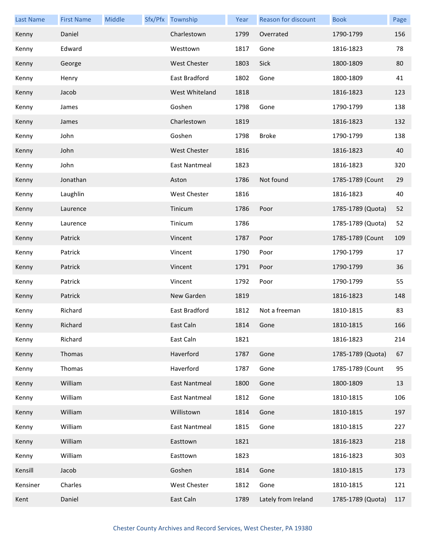| <b>Last Name</b> | <b>First Name</b> | Middle | Sfx/Pfx Township     | Year | Reason for discount | <b>Book</b>       | Page |
|------------------|-------------------|--------|----------------------|------|---------------------|-------------------|------|
| Kenny            | Daniel            |        | Charlestown          | 1799 | Overrated           | 1790-1799         | 156  |
| Kenny            | Edward            |        | Westtown             | 1817 | Gone                | 1816-1823         | 78   |
| Kenny            | George            |        | <b>West Chester</b>  | 1803 | Sick                | 1800-1809         | 80   |
| Kenny            | Henry             |        | East Bradford        | 1802 | Gone                | 1800-1809         | 41   |
| Kenny            | Jacob             |        | West Whiteland       | 1818 |                     | 1816-1823         | 123  |
| Kenny            | James             |        | Goshen               | 1798 | Gone                | 1790-1799         | 138  |
| Kenny            | James             |        | Charlestown          | 1819 |                     | 1816-1823         | 132  |
| Kenny            | John              |        | Goshen               | 1798 | <b>Broke</b>        | 1790-1799         | 138  |
| Kenny            | John              |        | <b>West Chester</b>  | 1816 |                     | 1816-1823         | 40   |
| Kenny            | John              |        | East Nantmeal        | 1823 |                     | 1816-1823         | 320  |
| Kenny            | Jonathan          |        | Aston                | 1786 | Not found           | 1785-1789 (Count  | 29   |
| Kenny            | Laughlin          |        | West Chester         | 1816 |                     | 1816-1823         | 40   |
| Kenny            | Laurence          |        | Tinicum              | 1786 | Poor                | 1785-1789 (Quota) | 52   |
| Kenny            | Laurence          |        | Tinicum              | 1786 |                     | 1785-1789 (Quota) | 52   |
| Kenny            | Patrick           |        | Vincent              | 1787 | Poor                | 1785-1789 (Count  | 109  |
| Kenny            | Patrick           |        | Vincent              | 1790 | Poor                | 1790-1799         | 17   |
| Kenny            | Patrick           |        | Vincent              | 1791 | Poor                | 1790-1799         | 36   |
| Kenny            | Patrick           |        | Vincent              | 1792 | Poor                | 1790-1799         | 55   |
| Kenny            | Patrick           |        | New Garden           | 1819 |                     | 1816-1823         | 148  |
| Kenny            | Richard           |        | East Bradford        | 1812 | Not a freeman       | 1810-1815         | 83   |
| Kenny            | Richard           |        | East Caln            | 1814 | Gone                | 1810-1815         | 166  |
| Kenny            | Richard           |        | East Caln            | 1821 |                     | 1816-1823         | 214  |
| Kenny            | Thomas            |        | Haverford            | 1787 | Gone                | 1785-1789 (Quota) | 67   |
| Kenny            | Thomas            |        | Haverford            | 1787 | Gone                | 1785-1789 (Count  | 95   |
| Kenny            | William           |        | <b>East Nantmeal</b> | 1800 | Gone                | 1800-1809         | 13   |
| Kenny            | William           |        | East Nantmeal        | 1812 | Gone                | 1810-1815         | 106  |
| Kenny            | William           |        | Willistown           | 1814 | Gone                | 1810-1815         | 197  |
| Kenny            | William           |        | East Nantmeal        | 1815 | Gone                | 1810-1815         | 227  |
| Kenny            | William           |        | Easttown             | 1821 |                     | 1816-1823         | 218  |
| Kenny            | William           |        | Easttown             | 1823 |                     | 1816-1823         | 303  |
| Kensill          | Jacob             |        | Goshen               | 1814 | Gone                | 1810-1815         | 173  |
| Kensiner         | Charles           |        | West Chester         | 1812 | Gone                | 1810-1815         | 121  |
| Kent             | Daniel            |        | East Caln            | 1789 | Lately from Ireland | 1785-1789 (Quota) | 117  |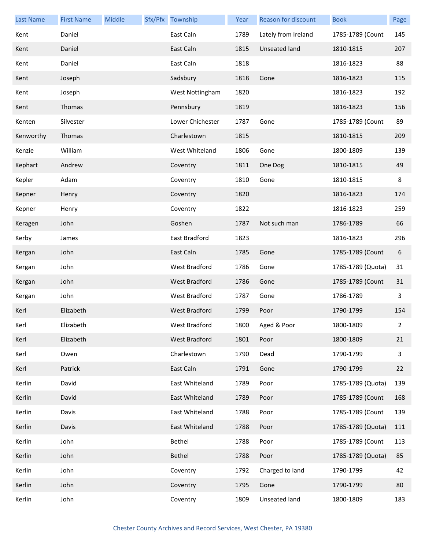| <b>Last Name</b> | <b>First Name</b> | Middle | Sfx/Pfx Township     | Year | Reason for discount  | <b>Book</b>       | Page         |
|------------------|-------------------|--------|----------------------|------|----------------------|-------------------|--------------|
| Kent             | Daniel            |        | East Caln            | 1789 | Lately from Ireland  | 1785-1789 (Count  | 145          |
| Kent             | Daniel            |        | East Caln            | 1815 | Unseated land        | 1810-1815         | 207          |
| Kent             | Daniel            |        | East Caln            | 1818 |                      | 1816-1823         | 88           |
| Kent             | Joseph            |        | Sadsbury             | 1818 | Gone                 | 1816-1823         | 115          |
| Kent             | Joseph            |        | West Nottingham      | 1820 |                      | 1816-1823         | 192          |
| Kent             | Thomas            |        | Pennsbury            | 1819 |                      | 1816-1823         | 156          |
| Kenten           | Silvester         |        | Lower Chichester     | 1787 | Gone                 | 1785-1789 (Count  | 89           |
| Kenworthy        | Thomas            |        | Charlestown          | 1815 |                      | 1810-1815         | 209          |
| Kenzie           | William           |        | West Whiteland       | 1806 | Gone                 | 1800-1809         | 139          |
| Kephart          | Andrew            |        | Coventry             | 1811 | One Dog              | 1810-1815         | 49           |
| Kepler           | Adam              |        | Coventry             | 1810 | Gone                 | 1810-1815         | 8            |
| Kepner           | Henry             |        | Coventry             | 1820 |                      | 1816-1823         | 174          |
| Kepner           | Henry             |        | Coventry             | 1822 |                      | 1816-1823         | 259          |
| Keragen          | John              |        | Goshen               | 1787 | Not such man         | 1786-1789         | 66           |
| Kerby            | James             |        | East Bradford        | 1823 |                      | 1816-1823         | 296          |
| Kergan           | John              |        | East Caln            | 1785 | Gone                 | 1785-1789 (Count  | 6            |
| Kergan           | John              |        | West Bradford        | 1786 | Gone                 | 1785-1789 (Quota) | 31           |
| Kergan           | John              |        | <b>West Bradford</b> | 1786 | Gone                 | 1785-1789 (Count  | 31           |
| Kergan           | John              |        | West Bradford        | 1787 | Gone                 | 1786-1789         | 3            |
| Kerl             | Elizabeth         |        | West Bradford        | 1799 | Poor                 | 1790-1799         | 154          |
| Kerl             | Elizabeth         |        | West Bradford        | 1800 | Aged & Poor          | 1800-1809         | $\mathbf{2}$ |
| Kerl             | Elizabeth         |        | West Bradford        | 1801 | Poor                 | 1800-1809         | 21           |
| Kerl             | Owen              |        | Charlestown          | 1790 | Dead                 | 1790-1799         | $\mathbf{3}$ |
| Kerl             | Patrick           |        | East Caln            | 1791 | Gone                 | 1790-1799         | 22           |
| Kerlin           | David             |        | East Whiteland       | 1789 | Poor                 | 1785-1789 (Quota) | 139          |
| Kerlin           | David             |        | East Whiteland       | 1789 | Poor                 | 1785-1789 (Count  | 168          |
| Kerlin           | Davis             |        | East Whiteland       | 1788 | Poor                 | 1785-1789 (Count  | 139          |
| Kerlin           | Davis             |        | East Whiteland       | 1788 | Poor                 | 1785-1789 (Quota) | 111          |
| Kerlin           | John              |        | Bethel               | 1788 | Poor                 | 1785-1789 (Count  | 113          |
| Kerlin           | John              |        | Bethel               | 1788 | Poor                 | 1785-1789 (Quota) | 85           |
| Kerlin           | John              |        | Coventry             | 1792 | Charged to land      | 1790-1799         | 42           |
| Kerlin           | John              |        | Coventry             | 1795 | Gone                 | 1790-1799         | 80           |
| Kerlin           | John              |        | Coventry             | 1809 | <b>Unseated land</b> | 1800-1809         | 183          |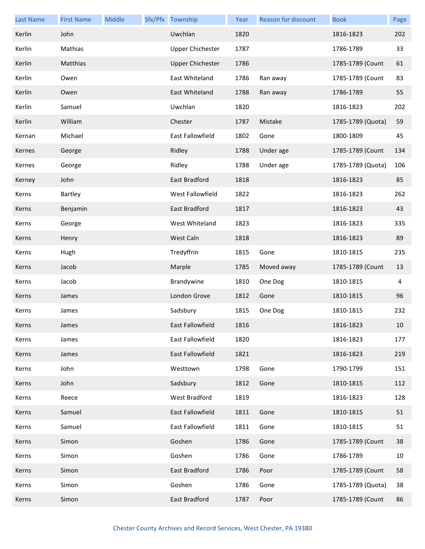| <b>Last Name</b> | <b>First Name</b> | Middle | Sfx/Pfx Township        | Year | Reason for discount | <b>Book</b>       | Page |
|------------------|-------------------|--------|-------------------------|------|---------------------|-------------------|------|
| Kerlin           | John              |        | Uwchlan                 | 1820 |                     | 1816-1823         | 202  |
| Kerlin           | Mathias           |        | <b>Upper Chichester</b> | 1787 |                     | 1786-1789         | 33   |
| Kerlin           | Matthias          |        | <b>Upper Chichester</b> | 1786 |                     | 1785-1789 (Count  | 61   |
| Kerlin           | Owen              |        | East Whiteland          | 1786 | Ran away            | 1785-1789 (Count  | 83   |
| Kerlin           | Owen              |        | East Whiteland          | 1788 | Ran away            | 1786-1789         | 55   |
| Kerlin           | Samuel            |        | Uwchlan                 | 1820 |                     | 1816-1823         | 202  |
| Kerlin           | William           |        | Chester                 | 1787 | Mistake             | 1785-1789 (Quota) | 59   |
| Kernan           | Michael           |        | East Fallowfield        | 1802 | Gone                | 1800-1809         | 45   |
| Kernes           | George            |        | Ridley                  | 1788 | Under age           | 1785-1789 (Count  | 134  |
| Kernes           | George            |        | Ridley                  | 1788 | Under age           | 1785-1789 (Quota) | 106  |
| Kerney           | John              |        | East Bradford           | 1818 |                     | 1816-1823         | 85   |
| Kerns            | Bartley           |        | <b>West Fallowfield</b> | 1822 |                     | 1816-1823         | 262  |
| Kerns            | Benjamin          |        | East Bradford           | 1817 |                     | 1816-1823         | 43   |
| Kerns            | George            |        | West Whiteland          | 1823 |                     | 1816-1823         | 335  |
| Kerns            | Henry             |        | West Caln               | 1818 |                     | 1816-1823         | 89   |
| Kerns            | Hugh              |        | Tredyffrin              | 1815 | Gone                | 1810-1815         | 235  |
| Kerns            | Jacob             |        | Marple                  | 1785 | Moved away          | 1785-1789 (Count  | 13   |
| Kerns            | Jacob             |        | Brandywine              | 1810 | One Dog             | 1810-1815         | 4    |
| Kerns            | James             |        | London Grove            | 1812 | Gone                | 1810-1815         | 96   |
| Kerns            | James             |        | Sadsbury                | 1815 | One Dog             | 1810-1815         | 232  |
| Kerns            | James             |        | East Fallowfield        | 1816 |                     | 1816-1823         | 10   |
| Kerns            | James             |        | East Fallowfield        | 1820 |                     | 1816-1823         | 177  |
| Kerns            | James             |        | East Fallowfield        | 1821 |                     | 1816-1823         | 219  |
| Kerns            | John              |        | Westtown                | 1798 | Gone                | 1790-1799         | 151  |
| Kerns            | John              |        | Sadsbury                | 1812 | Gone                | 1810-1815         | 112  |
| Kerns            | Reece             |        | <b>West Bradford</b>    | 1819 |                     | 1816-1823         | 128  |
| Kerns            | Samuel            |        | East Fallowfield        | 1811 | Gone                | 1810-1815         | 51   |
| Kerns            | Samuel            |        | East Fallowfield        | 1811 | Gone                | 1810-1815         | 51   |
| Kerns            | Simon             |        | Goshen                  | 1786 | Gone                | 1785-1789 (Count  | 38   |
| Kerns            | Simon             |        | Goshen                  | 1786 | Gone                | 1786-1789         | 10   |
| Kerns            | Simon             |        | East Bradford           | 1786 | Poor                | 1785-1789 (Count  | 58   |
| Kerns            | Simon             |        | Goshen                  | 1786 | Gone                | 1785-1789 (Quota) | 38   |
| Kerns            | Simon             |        | East Bradford           | 1787 | Poor                | 1785-1789 (Count  | 86   |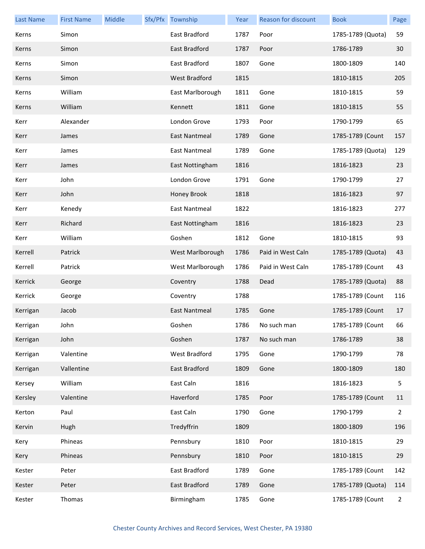| <b>Last Name</b> | <b>First Name</b> | Middle | Sfx/Pfx Township     | Year | <b>Reason for discount</b> | <b>Book</b>       | Page           |
|------------------|-------------------|--------|----------------------|------|----------------------------|-------------------|----------------|
| Kerns            | Simon             |        | East Bradford        | 1787 | Poor                       | 1785-1789 (Quota) | 59             |
| Kerns            | Simon             |        | East Bradford        | 1787 | Poor                       | 1786-1789         | 30             |
| Kerns            | Simon             |        | East Bradford        | 1807 | Gone                       | 1800-1809         | 140            |
| Kerns            | Simon             |        | West Bradford        | 1815 |                            | 1810-1815         | 205            |
| Kerns            | William           |        | East Marlborough     | 1811 | Gone                       | 1810-1815         | 59             |
| Kerns            | William           |        | Kennett              | 1811 | Gone                       | 1810-1815         | 55             |
| Kerr             | Alexander         |        | London Grove         | 1793 | Poor                       | 1790-1799         | 65             |
| Kerr             | James             |        | East Nantmeal        | 1789 | Gone                       | 1785-1789 (Count  | 157            |
| Kerr             | James             |        | <b>East Nantmeal</b> | 1789 | Gone                       | 1785-1789 (Quota) | 129            |
| Kerr             | James             |        | East Nottingham      | 1816 |                            | 1816-1823         | 23             |
| Kerr             | John              |        | London Grove         | 1791 | Gone                       | 1790-1799         | 27             |
| Kerr             | John              |        | Honey Brook          | 1818 |                            | 1816-1823         | 97             |
| Kerr             | Kenedy            |        | <b>East Nantmeal</b> | 1822 |                            | 1816-1823         | 277            |
| Kerr             | Richard           |        | East Nottingham      | 1816 |                            | 1816-1823         | 23             |
| Kerr             | William           |        | Goshen               | 1812 | Gone                       | 1810-1815         | 93             |
| Kerrell          | Patrick           |        | West Marlborough     | 1786 | Paid in West Caln          | 1785-1789 (Quota) | 43             |
| Kerrell          | Patrick           |        | West Marlborough     | 1786 | Paid in West Caln          | 1785-1789 (Count  | 43             |
| Kerrick          | George            |        | Coventry             | 1788 | Dead                       | 1785-1789 (Quota) | 88             |
| Kerrick          | George            |        | Coventry             | 1788 |                            | 1785-1789 (Count  | 116            |
| Kerrigan         | Jacob             |        | <b>East Nantmeal</b> | 1785 | Gone                       | 1785-1789 (Count  | 17             |
| Kerrigan         | John              |        | Goshen               | 1786 | No such man                | 1785-1789 (Count  | 66             |
| Kerrigan         | John              |        | Goshen               | 1787 | No such man                | 1786-1789         | 38             |
| Kerrigan         | Valentine         |        | West Bradford        | 1795 | Gone                       | 1790-1799         | 78             |
| Kerrigan         | Vallentine        |        | East Bradford        | 1809 | Gone                       | 1800-1809         | 180            |
| Kersey           | William           |        | East Caln            | 1816 |                            | 1816-1823         | 5              |
| Kersley          | Valentine         |        | Haverford            | 1785 | Poor                       | 1785-1789 (Count  | 11             |
| Kerton           | Paul              |        | East Caln            | 1790 | Gone                       | 1790-1799         | $\overline{2}$ |
| Kervin           | Hugh              |        | Tredyffrin           | 1809 |                            | 1800-1809         | 196            |
| Kery             | Phineas           |        | Pennsbury            | 1810 | Poor                       | 1810-1815         | 29             |
| Kery             | Phineas           |        | Pennsbury            | 1810 | Poor                       | 1810-1815         | 29             |
| Kester           | Peter             |        | East Bradford        | 1789 | Gone                       | 1785-1789 (Count  | 142            |
| Kester           | Peter             |        | East Bradford        | 1789 | Gone                       | 1785-1789 (Quota) | 114            |
| Kester           | Thomas            |        | Birmingham           | 1785 | Gone                       | 1785-1789 (Count  | $\overline{2}$ |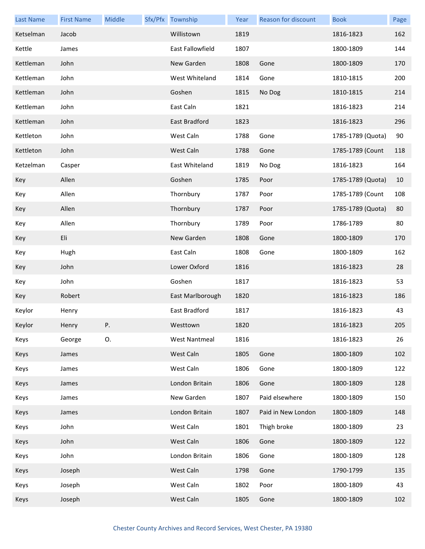| <b>Last Name</b> | <b>First Name</b> | Middle | Sfx/Pfx Township     | Year | <b>Reason for discount</b> | <b>Book</b>       | Page |
|------------------|-------------------|--------|----------------------|------|----------------------------|-------------------|------|
| Ketselman        | Jacob             |        | Willistown           | 1819 |                            | 1816-1823         | 162  |
| Kettle           | James             |        | East Fallowfield     | 1807 |                            | 1800-1809         | 144  |
| Kettleman        | John              |        | New Garden           | 1808 | Gone                       | 1800-1809         | 170  |
| Kettleman        | John              |        | West Whiteland       | 1814 | Gone                       | 1810-1815         | 200  |
| Kettleman        | John              |        | Goshen               | 1815 | No Dog                     | 1810-1815         | 214  |
| Kettleman        | John              |        | East Caln            | 1821 |                            | 1816-1823         | 214  |
| Kettleman        | John              |        | East Bradford        | 1823 |                            | 1816-1823         | 296  |
| Kettleton        | John              |        | West Caln            | 1788 | Gone                       | 1785-1789 (Quota) | 90   |
| Kettleton        | John              |        | West Caln            | 1788 | Gone                       | 1785-1789 (Count  | 118  |
| Ketzelman        | Casper            |        | East Whiteland       | 1819 | No Dog                     | 1816-1823         | 164  |
| Key              | Allen             |        | Goshen               | 1785 | Poor                       | 1785-1789 (Quota) | 10   |
| Key              | Allen             |        | Thornbury            | 1787 | Poor                       | 1785-1789 (Count  | 108  |
| Key              | Allen             |        | Thornbury            | 1787 | Poor                       | 1785-1789 (Quota) | 80   |
| Key              | Allen             |        | Thornbury            | 1789 | Poor                       | 1786-1789         | 80   |
| Key              | Eli               |        | New Garden           | 1808 | Gone                       | 1800-1809         | 170  |
| Key              | Hugh              |        | East Caln            | 1808 | Gone                       | 1800-1809         | 162  |
| Key              | John              |        | Lower Oxford         | 1816 |                            | 1816-1823         | 28   |
| Key              | John              |        | Goshen               | 1817 |                            | 1816-1823         | 53   |
| Key              | Robert            |        | East Marlborough     | 1820 |                            | 1816-1823         | 186  |
| Keylor           | Henry             |        | East Bradford        | 1817 |                            | 1816-1823         | 43   |
| Keylor           | Henry             | P.     | Westtown             | 1820 |                            | 1816-1823         | 205  |
| Keys             | George            | О.     | <b>West Nantmeal</b> | 1816 |                            | 1816-1823         | 26   |
| Keys             | James             |        | West Caln            | 1805 | Gone                       | 1800-1809         | 102  |
| Keys             | James             |        | West Caln            | 1806 | Gone                       | 1800-1809         | 122  |
| Keys             | James             |        | London Britain       | 1806 | Gone                       | 1800-1809         | 128  |
| Keys             | James             |        | New Garden           | 1807 | Paid elsewhere             | 1800-1809         | 150  |
| Keys             | James             |        | London Britain       | 1807 | Paid in New London         | 1800-1809         | 148  |
| Keys             | John              |        | West Caln            | 1801 | Thigh broke                | 1800-1809         | 23   |
| Keys             | John              |        | West Caln            | 1806 | Gone                       | 1800-1809         | 122  |
| Keys             | John              |        | London Britain       | 1806 | Gone                       | 1800-1809         | 128  |
| Keys             | Joseph            |        | West Caln            | 1798 | Gone                       | 1790-1799         | 135  |
| Keys             | Joseph            |        | West Caln            | 1802 | Poor                       | 1800-1809         | 43   |
| Keys             | Joseph            |        | West Caln            | 1805 | Gone                       | 1800-1809         | 102  |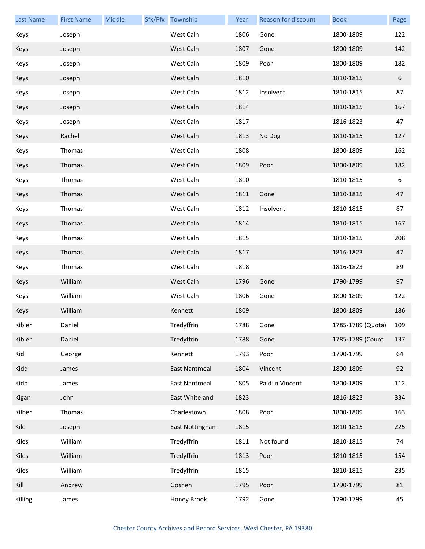| <b>Last Name</b> | <b>First Name</b> | Middle | Sfx/Pfx Township     | Year | Reason for discount | <b>Book</b>       | Page |
|------------------|-------------------|--------|----------------------|------|---------------------|-------------------|------|
| Keys             | Joseph            |        | West Caln            | 1806 | Gone                | 1800-1809         | 122  |
| Keys             | Joseph            |        | West Caln            | 1807 | Gone                | 1800-1809         | 142  |
| Keys             | Joseph            |        | West Caln            | 1809 | Poor                | 1800-1809         | 182  |
| Keys             | Joseph            |        | West Caln            | 1810 |                     | 1810-1815         | 6    |
| Keys             | Joseph            |        | West Caln            | 1812 | Insolvent           | 1810-1815         | 87   |
| Keys             | Joseph            |        | West Caln            | 1814 |                     | 1810-1815         | 167  |
| Keys             | Joseph            |        | West Caln            | 1817 |                     | 1816-1823         | 47   |
| Keys             | Rachel            |        | West Caln            | 1813 | No Dog              | 1810-1815         | 127  |
| Keys             | Thomas            |        | West Caln            | 1808 |                     | 1800-1809         | 162  |
| Keys             | Thomas            |        | West Caln            | 1809 | Poor                | 1800-1809         | 182  |
| Keys             | Thomas            |        | West Caln            | 1810 |                     | 1810-1815         | 6    |
| Keys             | Thomas            |        | West Caln            | 1811 | Gone                | 1810-1815         | 47   |
| Keys             | Thomas            |        | West Caln            | 1812 | Insolvent           | 1810-1815         | 87   |
| Keys             | Thomas            |        | West Caln            | 1814 |                     | 1810-1815         | 167  |
| Keys             | Thomas            |        | West Caln            | 1815 |                     | 1810-1815         | 208  |
| Keys             | Thomas            |        | West Caln            | 1817 |                     | 1816-1823         | 47   |
| Keys             | Thomas            |        | West Caln            | 1818 |                     | 1816-1823         | 89   |
| Keys             | William           |        | West Caln            | 1796 | Gone                | 1790-1799         | 97   |
| Keys             | William           |        | West Caln            | 1806 | Gone                | 1800-1809         | 122  |
| Keys             | William           |        | Kennett              | 1809 |                     | 1800-1809         | 186  |
| Kibler           | Daniel            |        | Tredyffrin           | 1788 | Gone                | 1785-1789 (Quota) | 109  |
| Kibler           | Daniel            |        | Tredyffrin           | 1788 | Gone                | 1785-1789 (Count  | 137  |
| Kid              | George            |        | Kennett              | 1793 | Poor                | 1790-1799         | 64   |
| Kidd             | James             |        | <b>East Nantmeal</b> | 1804 | Vincent             | 1800-1809         | 92   |
| Kidd             | James             |        | East Nantmeal        | 1805 | Paid in Vincent     | 1800-1809         | 112  |
| Kigan            | John              |        | East Whiteland       | 1823 |                     | 1816-1823         | 334  |
| Kilber           | Thomas            |        | Charlestown          | 1808 | Poor                | 1800-1809         | 163  |
| Kile             | Joseph            |        | East Nottingham      | 1815 |                     | 1810-1815         | 225  |
| Kiles            | William           |        | Tredyffrin           | 1811 | Not found           | 1810-1815         | 74   |
| Kiles            | William           |        | Tredyffrin           | 1813 | Poor                | 1810-1815         | 154  |
| Kiles            | William           |        | Tredyffrin           | 1815 |                     | 1810-1815         | 235  |
| Kill             | Andrew            |        | Goshen               | 1795 | Poor                | 1790-1799         | 81   |
| Killing          | James             |        | Honey Brook          | 1792 | Gone                | 1790-1799         | 45   |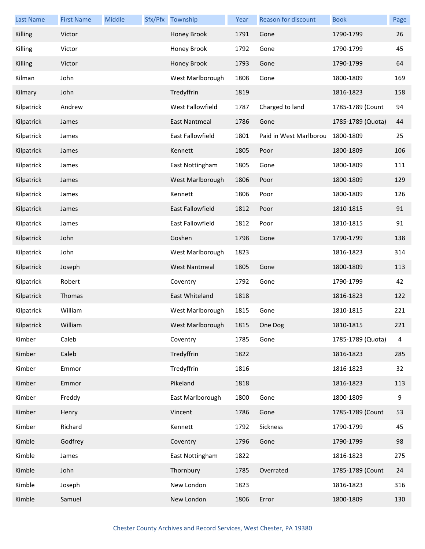| <b>Last Name</b> | <b>First Name</b> | Middle | Sfx/Pfx Township        | Year | Reason for discount    | <b>Book</b>       | Page |
|------------------|-------------------|--------|-------------------------|------|------------------------|-------------------|------|
| Killing          | Victor            |        | Honey Brook             | 1791 | Gone                   | 1790-1799         | 26   |
| Killing          | Victor            |        | Honey Brook             | 1792 | Gone                   | 1790-1799         | 45   |
| Killing          | Victor            |        | Honey Brook             | 1793 | Gone                   | 1790-1799         | 64   |
| Kilman           | John              |        | West Marlborough        | 1808 | Gone                   | 1800-1809         | 169  |
| Kilmary          | John              |        | Tredyffrin              | 1819 |                        | 1816-1823         | 158  |
| Kilpatrick       | Andrew            |        | West Fallowfield        | 1787 | Charged to land        | 1785-1789 (Count  | 94   |
| Kilpatrick       | James             |        | East Nantmeal           | 1786 | Gone                   | 1785-1789 (Quota) | 44   |
| Kilpatrick       | James             |        | <b>East Fallowfield</b> | 1801 | Paid in West Marlborou | 1800-1809         | 25   |
| Kilpatrick       | James             |        | Kennett                 | 1805 | Poor                   | 1800-1809         | 106  |
| Kilpatrick       | James             |        | East Nottingham         | 1805 | Gone                   | 1800-1809         | 111  |
| Kilpatrick       | James             |        | West Marlborough        | 1806 | Poor                   | 1800-1809         | 129  |
| Kilpatrick       | James             |        | Kennett                 | 1806 | Poor                   | 1800-1809         | 126  |
| Kilpatrick       | James             |        | East Fallowfield        | 1812 | Poor                   | 1810-1815         | 91   |
| Kilpatrick       | James             |        | East Fallowfield        | 1812 | Poor                   | 1810-1815         | 91   |
| Kilpatrick       | John              |        | Goshen                  | 1798 | Gone                   | 1790-1799         | 138  |
| Kilpatrick       | John              |        | West Marlborough        | 1823 |                        | 1816-1823         | 314  |
| Kilpatrick       | Joseph            |        | <b>West Nantmeal</b>    | 1805 | Gone                   | 1800-1809         | 113  |
| Kilpatrick       | Robert            |        | Coventry                | 1792 | Gone                   | 1790-1799         | 42   |
| Kilpatrick       | Thomas            |        | East Whiteland          | 1818 |                        | 1816-1823         | 122  |
| Kilpatrick       | William           |        | West Marlborough        | 1815 | Gone                   | 1810-1815         | 221  |
| Kilpatrick       | William           |        | West Marlborough        | 1815 | One Dog                | 1810-1815         | 221  |
| Kimber           | Caleb             |        | Coventry                | 1785 | Gone                   | 1785-1789 (Quota) | 4    |
| Kimber           | Caleb             |        | Tredyffrin              | 1822 |                        | 1816-1823         | 285  |
| Kimber           | Emmor             |        | Tredyffrin              | 1816 |                        | 1816-1823         | 32   |
| Kimber           | Emmor             |        | Pikeland                | 1818 |                        | 1816-1823         | 113  |
| Kimber           | Freddy            |        | East Marlborough        | 1800 | Gone                   | 1800-1809         | 9    |
| Kimber           | Henry             |        | Vincent                 | 1786 | Gone                   | 1785-1789 (Count  | 53   |
| Kimber           | Richard           |        | Kennett                 | 1792 | Sickness               | 1790-1799         | 45   |
| Kimble           | Godfrey           |        | Coventry                | 1796 | Gone                   | 1790-1799         | 98   |
| Kimble           | James             |        | East Nottingham         | 1822 |                        | 1816-1823         | 275  |
| Kimble           | John              |        | Thornbury               | 1785 | Overrated              | 1785-1789 (Count  | 24   |
| Kimble           | Joseph            |        | New London              | 1823 |                        | 1816-1823         | 316  |
| Kimble           | Samuel            |        | New London              | 1806 | Error                  | 1800-1809         | 130  |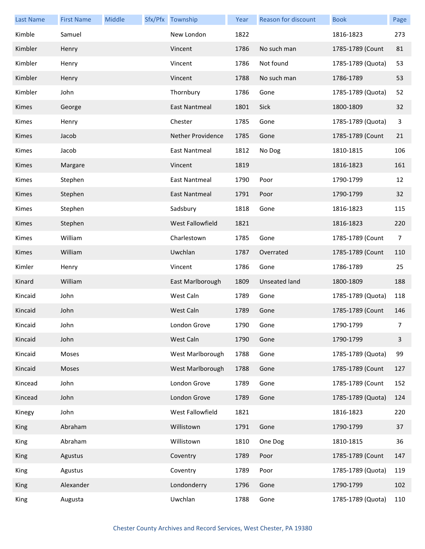| <b>Last Name</b> | <b>First Name</b> | Middle | Sfx/Pfx Township         | Year | Reason for discount  | <b>Book</b>       | Page        |
|------------------|-------------------|--------|--------------------------|------|----------------------|-------------------|-------------|
| Kimble           | Samuel            |        | New London               | 1822 |                      | 1816-1823         | 273         |
| Kimbler          | Henry             |        | Vincent                  | 1786 | No such man          | 1785-1789 (Count  | 81          |
| Kimbler          | Henry             |        | Vincent                  | 1786 | Not found            | 1785-1789 (Quota) | 53          |
| Kimbler          | Henry             |        | Vincent                  | 1788 | No such man          | 1786-1789         | 53          |
| Kimbler          | John              |        | Thornbury                | 1786 | Gone                 | 1785-1789 (Quota) | 52          |
| Kimes            | George            |        | <b>East Nantmeal</b>     | 1801 | Sick                 | 1800-1809         | 32          |
| Kimes            | Henry             |        | Chester                  | 1785 | Gone                 | 1785-1789 (Quota) | 3           |
| Kimes            | Jacob             |        | <b>Nether Providence</b> | 1785 | Gone                 | 1785-1789 (Count  | 21          |
| Kimes            | Jacob             |        | <b>East Nantmeal</b>     | 1812 | No Dog               | 1810-1815         | 106         |
| Kimes            | Margare           |        | Vincent                  | 1819 |                      | 1816-1823         | 161         |
| Kimes            | Stephen           |        | <b>East Nantmeal</b>     | 1790 | Poor                 | 1790-1799         | 12          |
| Kimes            | Stephen           |        | <b>East Nantmeal</b>     | 1791 | Poor                 | 1790-1799         | 32          |
| Kimes            | Stephen           |        | Sadsbury                 | 1818 | Gone                 | 1816-1823         | 115         |
| Kimes            | Stephen           |        | West Fallowfield         | 1821 |                      | 1816-1823         | 220         |
| Kimes            | William           |        | Charlestown              | 1785 | Gone                 | 1785-1789 (Count  | 7           |
| Kimes            | William           |        | Uwchlan                  | 1787 | Overrated            | 1785-1789 (Count  | 110         |
| Kimler           | Henry             |        | Vincent                  | 1786 | Gone                 | 1786-1789         | 25          |
| Kinard           | William           |        | East Marlborough         | 1809 | <b>Unseated land</b> | 1800-1809         | 188         |
| Kincaid          | John              |        | West Caln                | 1789 | Gone                 | 1785-1789 (Quota) | 118         |
| Kincaid          | John              |        | West Caln                | 1789 | Gone                 | 1785-1789 (Count  | 146         |
| Kincaid          | John              |        | London Grove             | 1790 | Gone                 | 1790-1799         | $7^{\circ}$ |
| Kincaid          | John              |        | West Caln                | 1790 | Gone                 | 1790-1799         | 3           |
| Kincaid          | Moses             |        | West Marlborough         | 1788 | Gone                 | 1785-1789 (Quota) | 99          |
| Kincaid          | Moses             |        | West Marlborough         | 1788 | Gone                 | 1785-1789 (Count  | 127         |
| Kincead          | John              |        | London Grove             | 1789 | Gone                 | 1785-1789 (Count  | 152         |
| Kincead          | John              |        | London Grove             | 1789 | Gone                 | 1785-1789 (Quota) | 124         |
| Kinegy           | John              |        | West Fallowfield         | 1821 |                      | 1816-1823         | 220         |
| King             | Abraham           |        | Willistown               | 1791 | Gone                 | 1790-1799         | 37          |
| King             | Abraham           |        | Willistown               | 1810 | One Dog              | 1810-1815         | 36          |
| King             | Agustus           |        | Coventry                 | 1789 | Poor                 | 1785-1789 (Count  | 147         |
| King             | Agustus           |        | Coventry                 | 1789 | Poor                 | 1785-1789 (Quota) | 119         |
| King             | Alexander         |        | Londonderry              | 1796 | Gone                 | 1790-1799         | 102         |
| King             | Augusta           |        | Uwchlan                  | 1788 | Gone                 | 1785-1789 (Quota) | 110         |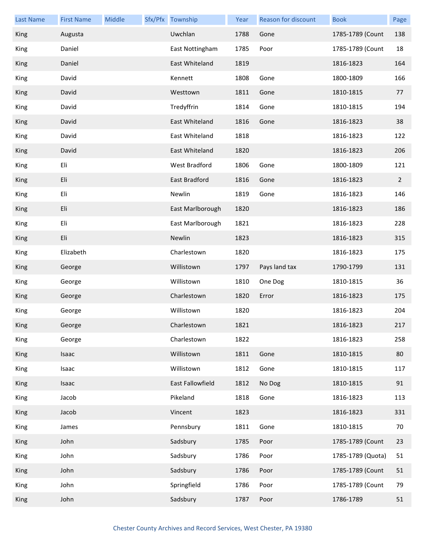| <b>Last Name</b> | <b>First Name</b> | Middle | Sfx/Pfx Township     | Year | <b>Reason for discount</b> | <b>Book</b>       | Page           |
|------------------|-------------------|--------|----------------------|------|----------------------------|-------------------|----------------|
| King             | Augusta           |        | Uwchlan              | 1788 | Gone                       | 1785-1789 (Count  | 138            |
| King             | Daniel            |        | East Nottingham      | 1785 | Poor                       | 1785-1789 (Count  | 18             |
| King             | Daniel            |        | East Whiteland       | 1819 |                            | 1816-1823         | 164            |
| King             | David             |        | Kennett              | 1808 | Gone                       | 1800-1809         | 166            |
| King             | David             |        | Westtown             | 1811 | Gone                       | 1810-1815         | 77             |
| King             | David             |        | Tredyffrin           | 1814 | Gone                       | 1810-1815         | 194            |
| King             | David             |        | East Whiteland       | 1816 | Gone                       | 1816-1823         | 38             |
| King             | David             |        | East Whiteland       | 1818 |                            | 1816-1823         | 122            |
| King             | David             |        | East Whiteland       | 1820 |                            | 1816-1823         | 206            |
| King             | Eli               |        | <b>West Bradford</b> | 1806 | Gone                       | 1800-1809         | 121            |
| King             | Eli               |        | East Bradford        | 1816 | Gone                       | 1816-1823         | $\overline{2}$ |
| King             | Eli               |        | Newlin               | 1819 | Gone                       | 1816-1823         | 146            |
| King             | Eli               |        | East Marlborough     | 1820 |                            | 1816-1823         | 186            |
| King             | Eli               |        | East Marlborough     | 1821 |                            | 1816-1823         | 228            |
| King             | Eli               |        | Newlin               | 1823 |                            | 1816-1823         | 315            |
| King             | Elizabeth         |        | Charlestown          | 1820 |                            | 1816-1823         | 175            |
| King             | George            |        | Willistown           | 1797 | Pays land tax              | 1790-1799         | 131            |
| King             | George            |        | Willistown           | 1810 | One Dog                    | 1810-1815         | 36             |
| King             | George            |        | Charlestown          | 1820 | Error                      | 1816-1823         | 175            |
| King             | George            |        | Willistown           | 1820 |                            | 1816-1823         | 204            |
| <b>King</b>      | George            |        | Charlestown          | 1821 |                            | 1816-1823         | 217            |
| King             | George            |        | Charlestown          | 1822 |                            | 1816-1823         | 258            |
| King             | Isaac             |        | Willistown           | 1811 | Gone                       | 1810-1815         | 80             |
| King             | Isaac             |        | Willistown           | 1812 | Gone                       | 1810-1815         | 117            |
| King             | Isaac             |        | East Fallowfield     | 1812 | No Dog                     | 1810-1815         | 91             |
| King             | Jacob             |        | Pikeland             | 1818 | Gone                       | 1816-1823         | 113            |
| King             | Jacob             |        | Vincent              | 1823 |                            | 1816-1823         | 331            |
| King             | James             |        | Pennsbury            | 1811 | Gone                       | 1810-1815         | 70             |
| King             | John              |        | Sadsbury             | 1785 | Poor                       | 1785-1789 (Count  | 23             |
| King             | John              |        | Sadsbury             | 1786 | Poor                       | 1785-1789 (Quota) | 51             |
| King             | John              |        | Sadsbury             | 1786 | Poor                       | 1785-1789 (Count  | 51             |
| King             | John              |        | Springfield          | 1786 | Poor                       | 1785-1789 (Count  | 79             |
| King             | John              |        | Sadsbury             | 1787 | Poor                       | 1786-1789         | 51             |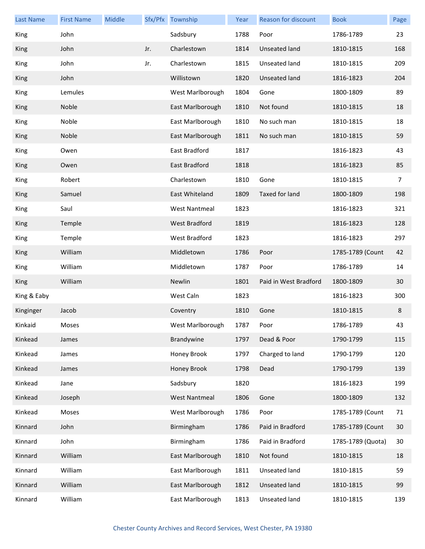| <b>Last Name</b> | <b>First Name</b> | Middle |     | Sfx/Pfx Township     | Year | Reason for discount   | <b>Book</b>       | Page |
|------------------|-------------------|--------|-----|----------------------|------|-----------------------|-------------------|------|
| King             | John              |        |     | Sadsbury             | 1788 | Poor                  | 1786-1789         | 23   |
| King             | John              |        | Jr. | Charlestown          | 1814 | Unseated land         | 1810-1815         | 168  |
| King             | John              |        | Jr. | Charlestown          | 1815 | Unseated land         | 1810-1815         | 209  |
| King             | John              |        |     | Willistown           | 1820 | Unseated land         | 1816-1823         | 204  |
| King             | Lemules           |        |     | West Marlborough     | 1804 | Gone                  | 1800-1809         | 89   |
| King             | Noble             |        |     | East Marlborough     | 1810 | Not found             | 1810-1815         | 18   |
| King             | Noble             |        |     | East Marlborough     | 1810 | No such man           | 1810-1815         | 18   |
| King             | Noble             |        |     | East Marlborough     | 1811 | No such man           | 1810-1815         | 59   |
| King             | Owen              |        |     | East Bradford        | 1817 |                       | 1816-1823         | 43   |
| King             | Owen              |        |     | East Bradford        | 1818 |                       | 1816-1823         | 85   |
| King             | Robert            |        |     | Charlestown          | 1810 | Gone                  | 1810-1815         | 7    |
| King             | Samuel            |        |     | East Whiteland       | 1809 | Taxed for land        | 1800-1809         | 198  |
| King             | Saul              |        |     | <b>West Nantmeal</b> | 1823 |                       | 1816-1823         | 321  |
| King             | Temple            |        |     | <b>West Bradford</b> | 1819 |                       | 1816-1823         | 128  |
| King             | Temple            |        |     | West Bradford        | 1823 |                       | 1816-1823         | 297  |
| King             | William           |        |     | Middletown           | 1786 | Poor                  | 1785-1789 (Count  | 42   |
| King             | William           |        |     | Middletown           | 1787 | Poor                  | 1786-1789         | 14   |
| King             | William           |        |     | Newlin               | 1801 | Paid in West Bradford | 1800-1809         | 30   |
| King & Eaby      |                   |        |     | West Caln            | 1823 |                       | 1816-1823         | 300  |
| Kinginger        | Jacob             |        |     | Coventry             | 1810 | Gone                  | 1810-1815         | 8    |
| Kinkaid          | Moses             |        |     | West Marlborough     | 1787 | Poor                  | 1786-1789         | 43   |
| Kinkead          | James             |        |     | Brandywine           | 1797 | Dead & Poor           | 1790-1799         | 115  |
| Kinkead          | James             |        |     | Honey Brook          | 1797 | Charged to land       | 1790-1799         | 120  |
| Kinkead          | James             |        |     | Honey Brook          | 1798 | Dead                  | 1790-1799         | 139  |
| Kinkead          | Jane              |        |     | Sadsbury             | 1820 |                       | 1816-1823         | 199  |
| Kinkead          | Joseph            |        |     | <b>West Nantmeal</b> | 1806 | Gone                  | 1800-1809         | 132  |
| Kinkead          | Moses             |        |     | West Marlborough     | 1786 | Poor                  | 1785-1789 (Count  | 71   |
| Kinnard          | John              |        |     | Birmingham           | 1786 | Paid in Bradford      | 1785-1789 (Count  | 30   |
| Kinnard          | John              |        |     | Birmingham           | 1786 | Paid in Bradford      | 1785-1789 (Quota) | 30   |
| Kinnard          | William           |        |     | East Marlborough     | 1810 | Not found             | 1810-1815         | 18   |
| Kinnard          | William           |        |     | East Marlborough     | 1811 | Unseated land         | 1810-1815         | 59   |
| Kinnard          | William           |        |     | East Marlborough     | 1812 | Unseated land         | 1810-1815         | 99   |
| Kinnard          | William           |        |     | East Marlborough     | 1813 | Unseated land         | 1810-1815         | 139  |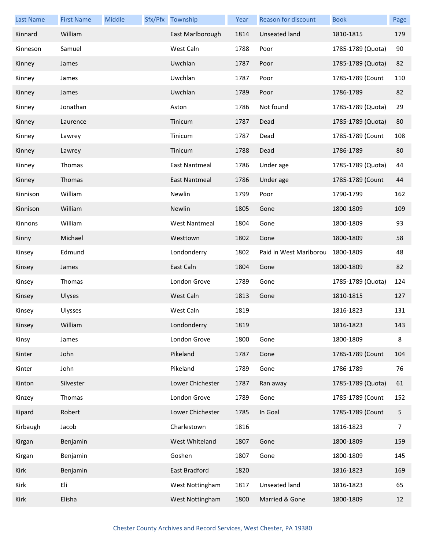| <b>Last Name</b> | <b>First Name</b> | <b>Middle</b> | Sfx/Pfx Township     | Year | Reason for discount    | <b>Book</b>       | Page |
|------------------|-------------------|---------------|----------------------|------|------------------------|-------------------|------|
| Kinnard          | William           |               | East Marlborough     | 1814 | Unseated land          | 1810-1815         | 179  |
| Kinneson         | Samuel            |               | West Caln            | 1788 | Poor                   | 1785-1789 (Quota) | 90   |
| Kinney           | James             |               | Uwchlan              | 1787 | Poor                   | 1785-1789 (Quota) | 82   |
| Kinney           | James             |               | Uwchlan              | 1787 | Poor                   | 1785-1789 (Count  | 110  |
| Kinney           | James             |               | Uwchlan              | 1789 | Poor                   | 1786-1789         | 82   |
| Kinney           | Jonathan          |               | Aston                | 1786 | Not found              | 1785-1789 (Quota) | 29   |
| Kinney           | Laurence          |               | Tinicum              | 1787 | Dead                   | 1785-1789 (Quota) | 80   |
| Kinney           | Lawrey            |               | Tinicum              | 1787 | Dead                   | 1785-1789 (Count  | 108  |
| Kinney           | Lawrey            |               | Tinicum              | 1788 | Dead                   | 1786-1789         | 80   |
| Kinney           | Thomas            |               | East Nantmeal        | 1786 | Under age              | 1785-1789 (Quota) | 44   |
| Kinney           | Thomas            |               | East Nantmeal        | 1786 | Under age              | 1785-1789 (Count  | 44   |
| Kinnison         | William           |               | Newlin               | 1799 | Poor                   | 1790-1799         | 162  |
| Kinnison         | William           |               | <b>Newlin</b>        | 1805 | Gone                   | 1800-1809         | 109  |
| Kinnons          | William           |               | <b>West Nantmeal</b> | 1804 | Gone                   | 1800-1809         | 93   |
| Kinny            | Michael           |               | Westtown             | 1802 | Gone                   | 1800-1809         | 58   |
| Kinsey           | Edmund            |               | Londonderry          | 1802 | Paid in West Marlborou | 1800-1809         | 48   |
| Kinsey           | James             |               | East Caln            | 1804 | Gone                   | 1800-1809         | 82   |
| Kinsey           | Thomas            |               | London Grove         | 1789 | Gone                   | 1785-1789 (Quota) | 124  |
| Kinsey           | Ulyses            |               | West Caln            | 1813 | Gone                   | 1810-1815         | 127  |
| Kinsey           | Ulysses           |               | West Caln            | 1819 |                        | 1816-1823         | 131  |
| Kinsey           | William           |               | Londonderry          | 1819 |                        | 1816-1823         | 143  |
| Kinsy            | James             |               | London Grove         | 1800 | Gone                   | 1800-1809         | 8    |
| Kinter           | John              |               | Pikeland             | 1787 | Gone                   | 1785-1789 (Count  | 104  |
| Kinter           | John              |               | Pikeland             | 1789 | Gone                   | 1786-1789         | 76   |
| Kinton           | Silvester         |               | Lower Chichester     | 1787 | Ran away               | 1785-1789 (Quota) | 61   |
| Kinzey           | Thomas            |               | London Grove         | 1789 | Gone                   | 1785-1789 (Count  | 152  |
| Kipard           | Robert            |               | Lower Chichester     | 1785 | In Goal                | 1785-1789 (Count  | 5    |
| Kirbaugh         | Jacob             |               | Charlestown          | 1816 |                        | 1816-1823         | 7    |
| Kirgan           | Benjamin          |               | West Whiteland       | 1807 | Gone                   | 1800-1809         | 159  |
| Kirgan           | Benjamin          |               | Goshen               | 1807 | Gone                   | 1800-1809         | 145  |
| Kirk             | Benjamin          |               | East Bradford        | 1820 |                        | 1816-1823         | 169  |
| Kirk             | Eli               |               | West Nottingham      | 1817 | Unseated land          | 1816-1823         | 65   |
| Kirk             | Elisha            |               | West Nottingham      | 1800 | Married & Gone         | 1800-1809         | 12   |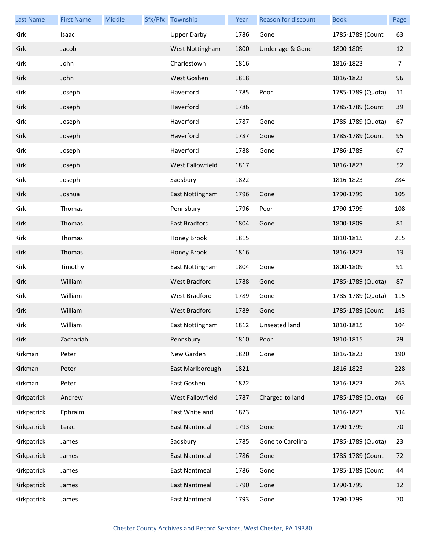| <b>Last Name</b> | <b>First Name</b> | Middle | Sfx/Pfx Township     | Year | <b>Reason for discount</b> | <b>Book</b>       | Page |
|------------------|-------------------|--------|----------------------|------|----------------------------|-------------------|------|
| Kirk             | Isaac             |        | <b>Upper Darby</b>   | 1786 | Gone                       | 1785-1789 (Count  | 63   |
| Kirk             | Jacob             |        | West Nottingham      | 1800 | Under age & Gone           | 1800-1809         | 12   |
| Kirk             | John              |        | Charlestown          | 1816 |                            | 1816-1823         | 7    |
| Kirk             | John              |        | West Goshen          | 1818 |                            | 1816-1823         | 96   |
| Kirk             | Joseph            |        | Haverford            | 1785 | Poor                       | 1785-1789 (Quota) | 11   |
| Kirk             | Joseph            |        | Haverford            | 1786 |                            | 1785-1789 (Count  | 39   |
| Kirk             | Joseph            |        | Haverford            | 1787 | Gone                       | 1785-1789 (Quota) | 67   |
| Kirk             | Joseph            |        | Haverford            | 1787 | Gone                       | 1785-1789 (Count  | 95   |
| Kirk             | Joseph            |        | Haverford            | 1788 | Gone                       | 1786-1789         | 67   |
| Kirk             | Joseph            |        | West Fallowfield     | 1817 |                            | 1816-1823         | 52   |
| Kirk             | Joseph            |        | Sadsbury             | 1822 |                            | 1816-1823         | 284  |
| Kirk             | Joshua            |        | East Nottingham      | 1796 | Gone                       | 1790-1799         | 105  |
| Kirk             | Thomas            |        | Pennsbury            | 1796 | Poor                       | 1790-1799         | 108  |
| Kirk             | Thomas            |        | East Bradford        | 1804 | Gone                       | 1800-1809         | 81   |
| Kirk             | Thomas            |        | Honey Brook          | 1815 |                            | 1810-1815         | 215  |
| Kirk             | Thomas            |        | Honey Brook          | 1816 |                            | 1816-1823         | 13   |
| Kirk             | Timothy           |        | East Nottingham      | 1804 | Gone                       | 1800-1809         | 91   |
| Kirk             | William           |        | <b>West Bradford</b> | 1788 | Gone                       | 1785-1789 (Quota) | 87   |
| Kirk             | William           |        | <b>West Bradford</b> | 1789 | Gone                       | 1785-1789 (Quota) | 115  |
| Kirk             | William           |        | <b>West Bradford</b> | 1789 | Gone                       | 1785-1789 (Count  | 143  |
| Kirk             | William           |        | East Nottingham      |      | 1812 Unseated land         | 1810-1815         | 104  |
| Kirk             | Zachariah         |        | Pennsbury            | 1810 | Poor                       | 1810-1815         | 29   |
| Kirkman          | Peter             |        | New Garden           | 1820 | Gone                       | 1816-1823         | 190  |
| Kirkman          | Peter             |        | East Marlborough     | 1821 |                            | 1816-1823         | 228  |
| Kirkman          | Peter             |        | East Goshen          | 1822 |                            | 1816-1823         | 263  |
| Kirkpatrick      | Andrew            |        | West Fallowfield     | 1787 | Charged to land            | 1785-1789 (Quota) | 66   |
| Kirkpatrick      | Ephraim           |        | East Whiteland       | 1823 |                            | 1816-1823         | 334  |
| Kirkpatrick      | Isaac             |        | <b>East Nantmeal</b> | 1793 | Gone                       | 1790-1799         | 70   |
| Kirkpatrick      | James             |        | Sadsbury             | 1785 | Gone to Carolina           | 1785-1789 (Quota) | 23   |
| Kirkpatrick      | James             |        | <b>East Nantmeal</b> | 1786 | Gone                       | 1785-1789 (Count  | 72   |
| Kirkpatrick      | James             |        | <b>East Nantmeal</b> | 1786 | Gone                       | 1785-1789 (Count  | 44   |
| Kirkpatrick      | James             |        | <b>East Nantmeal</b> | 1790 | Gone                       | 1790-1799         | 12   |
| Kirkpatrick      | James             |        | East Nantmeal        | 1793 | Gone                       | 1790-1799         | 70   |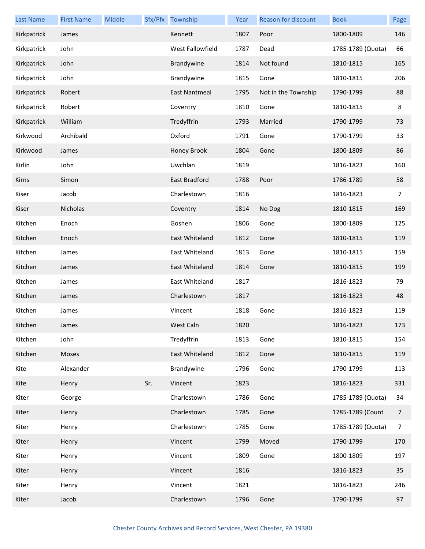| <b>Last Name</b> | <b>First Name</b> | Middle |     | Sfx/Pfx Township | Year | Reason for discount | <b>Book</b>       | Page           |
|------------------|-------------------|--------|-----|------------------|------|---------------------|-------------------|----------------|
| Kirkpatrick      | James             |        |     | Kennett          | 1807 | Poor                | 1800-1809         | 146            |
| Kirkpatrick      | John              |        |     | West Fallowfield | 1787 | Dead                | 1785-1789 (Quota) | 66             |
| Kirkpatrick      | John              |        |     | Brandywine       | 1814 | Not found           | 1810-1815         | 165            |
| Kirkpatrick      | John              |        |     | Brandywine       | 1815 | Gone                | 1810-1815         | 206            |
| Kirkpatrick      | Robert            |        |     | East Nantmeal    | 1795 | Not in the Township | 1790-1799         | 88             |
| Kirkpatrick      | Robert            |        |     | Coventry         | 1810 | Gone                | 1810-1815         | 8              |
| Kirkpatrick      | William           |        |     | Tredyffrin       | 1793 | Married             | 1790-1799         | 73             |
| Kirkwood         | Archibald         |        |     | Oxford           | 1791 | Gone                | 1790-1799         | 33             |
| Kirkwood         | James             |        |     | Honey Brook      | 1804 | Gone                | 1800-1809         | 86             |
| Kirlin           | John              |        |     | Uwchlan          | 1819 |                     | 1816-1823         | 160            |
| Kirns            | Simon             |        |     | East Bradford    | 1788 | Poor                | 1786-1789         | 58             |
| Kiser            | Jacob             |        |     | Charlestown      | 1816 |                     | 1816-1823         | 7              |
| Kiser            | Nicholas          |        |     | Coventry         | 1814 | No Dog              | 1810-1815         | 169            |
| Kitchen          | Enoch             |        |     | Goshen           | 1806 | Gone                | 1800-1809         | 125            |
| Kitchen          | Enoch             |        |     | East Whiteland   | 1812 | Gone                | 1810-1815         | 119            |
| Kitchen          | James             |        |     | East Whiteland   | 1813 | Gone                | 1810-1815         | 159            |
| Kitchen          | James             |        |     | East Whiteland   | 1814 | Gone                | 1810-1815         | 199            |
| Kitchen          | James             |        |     | East Whiteland   | 1817 |                     | 1816-1823         | 79             |
| Kitchen          | James             |        |     | Charlestown      | 1817 |                     | 1816-1823         | 48             |
| Kitchen          | James             |        |     | Vincent          | 1818 | Gone                | 1816-1823         | 119            |
| Kitchen          | James             |        |     | West Caln        | 1820 |                     | 1816-1823         | 173            |
| Kitchen          | John              |        |     | Tredyffrin       | 1813 | Gone                | 1810-1815         | 154            |
| Kitchen          | Moses             |        |     | East Whiteland   | 1812 | Gone                | 1810-1815         | 119            |
| Kite             | Alexander         |        |     | Brandywine       | 1796 | Gone                | 1790-1799         | 113            |
| Kite             | Henry             |        | Sr. | Vincent          | 1823 |                     | 1816-1823         | 331            |
| Kiter            | George            |        |     | Charlestown      | 1786 | Gone                | 1785-1789 (Quota) | 34             |
| Kiter            | Henry             |        |     | Charlestown      | 1785 | Gone                | 1785-1789 (Count  | $\overline{7}$ |
| Kiter            | Henry             |        |     | Charlestown      | 1785 | Gone                | 1785-1789 (Quota) | $\overline{7}$ |
| Kiter            | Henry             |        |     | Vincent          | 1799 | Moved               | 1790-1799         | 170            |
| Kiter            | Henry             |        |     | Vincent          | 1809 | Gone                | 1800-1809         | 197            |
| Kiter            | Henry             |        |     | Vincent          | 1816 |                     | 1816-1823         | 35             |
| Kiter            | Henry             |        |     | Vincent          | 1821 |                     | 1816-1823         | 246            |
| Kiter            | Jacob             |        |     | Charlestown      | 1796 | Gone                | 1790-1799         | 97             |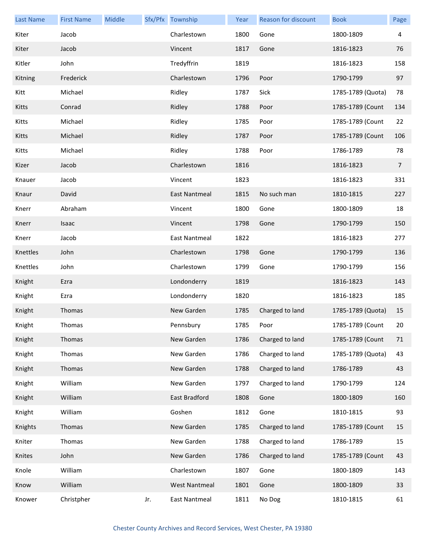| <b>Last Name</b> | <b>First Name</b> | Middle |     | Sfx/Pfx Township     | Year | Reason for discount | <b>Book</b>       | Page           |
|------------------|-------------------|--------|-----|----------------------|------|---------------------|-------------------|----------------|
| Kiter            | Jacob             |        |     | Charlestown          | 1800 | Gone                | 1800-1809         | 4              |
| Kiter            | Jacob             |        |     | Vincent              | 1817 | Gone                | 1816-1823         | 76             |
| Kitler           | John              |        |     | Tredyffrin           | 1819 |                     | 1816-1823         | 158            |
| Kitning          | Frederick         |        |     | Charlestown          | 1796 | Poor                | 1790-1799         | 97             |
| Kitt             | Michael           |        |     | Ridley               | 1787 | Sick                | 1785-1789 (Quota) | 78             |
| Kitts            | Conrad            |        |     | Ridley               | 1788 | Poor                | 1785-1789 (Count  | 134            |
| Kitts            | Michael           |        |     | Ridley               | 1785 | Poor                | 1785-1789 (Count  | 22             |
| Kitts            | Michael           |        |     | Ridley               | 1787 | Poor                | 1785-1789 (Count  | 106            |
| Kitts            | Michael           |        |     | Ridley               | 1788 | Poor                | 1786-1789         | 78             |
| Kizer            | Jacob             |        |     | Charlestown          | 1816 |                     | 1816-1823         | $\overline{7}$ |
| Knauer           | Jacob             |        |     | Vincent              | 1823 |                     | 1816-1823         | 331            |
| Knaur            | David             |        |     | East Nantmeal        | 1815 | No such man         | 1810-1815         | 227            |
| Knerr            | Abraham           |        |     | Vincent              | 1800 | Gone                | 1800-1809         | 18             |
| Knerr            | Isaac             |        |     | Vincent              | 1798 | Gone                | 1790-1799         | 150            |
| Knerr            | Jacob             |        |     | <b>East Nantmeal</b> | 1822 |                     | 1816-1823         | 277            |
| Knettles         | John              |        |     | Charlestown          | 1798 | Gone                | 1790-1799         | 136            |
| Knettles         | John              |        |     | Charlestown          | 1799 | Gone                | 1790-1799         | 156            |
| Knight           | Ezra              |        |     | Londonderry          | 1819 |                     | 1816-1823         | 143            |
| Knight           | Ezra              |        |     | Londonderry          | 1820 |                     | 1816-1823         | 185            |
| Knight           | Thomas            |        |     | New Garden           | 1785 | Charged to land     | 1785-1789 (Quota) | 15             |
| Knight           | Thomas            |        |     | Pennsbury            | 1785 | Poor                | 1785-1789 (Count  | 20             |
| Knight           | Thomas            |        |     | New Garden           | 1786 | Charged to land     | 1785-1789 (Count  | 71             |
| Knight           | Thomas            |        |     | New Garden           | 1786 | Charged to land     | 1785-1789 (Quota) | 43             |
| Knight           | Thomas            |        |     | New Garden           | 1788 | Charged to land     | 1786-1789         | 43             |
| Knight           | William           |        |     | New Garden           | 1797 | Charged to land     | 1790-1799         | 124            |
| Knight           | William           |        |     | East Bradford        | 1808 | Gone                | 1800-1809         | 160            |
| Knight           | William           |        |     | Goshen               | 1812 | Gone                | 1810-1815         | 93             |
| Knights          | Thomas            |        |     | New Garden           | 1785 | Charged to land     | 1785-1789 (Count  | 15             |
| Kniter           | Thomas            |        |     | New Garden           | 1788 | Charged to land     | 1786-1789         | 15             |
| Knites           | John              |        |     | New Garden           | 1786 | Charged to land     | 1785-1789 (Count  | 43             |
| Knole            | William           |        |     | Charlestown          | 1807 | Gone                | 1800-1809         | 143            |
| Know             | William           |        |     | <b>West Nantmeal</b> | 1801 | Gone                | 1800-1809         | 33             |
| Knower           | Christpher        |        | Jr. | East Nantmeal        | 1811 | No Dog              | 1810-1815         | 61             |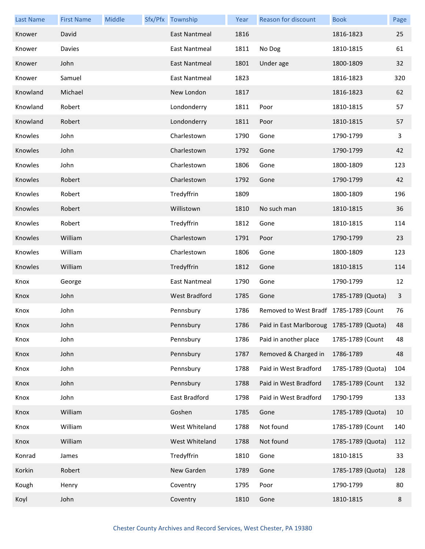| <b>Last Name</b> | <b>First Name</b> | Middle | Sfx/Pfx Township     | Year | Reason for discount                       | <b>Book</b>       | Page |
|------------------|-------------------|--------|----------------------|------|-------------------------------------------|-------------------|------|
| Knower           | David             |        | <b>East Nantmeal</b> | 1816 |                                           | 1816-1823         | 25   |
| Knower           | Davies            |        | East Nantmeal        | 1811 | No Dog                                    | 1810-1815         | 61   |
| Knower           | John              |        | East Nantmeal        | 1801 | Under age                                 | 1800-1809         | 32   |
| Knower           | Samuel            |        | East Nantmeal        | 1823 |                                           | 1816-1823         | 320  |
| Knowland         | Michael           |        | New London           | 1817 |                                           | 1816-1823         | 62   |
| Knowland         | Robert            |        | Londonderry          | 1811 | Poor                                      | 1810-1815         | 57   |
| Knowland         | Robert            |        | Londonderry          | 1811 | Poor                                      | 1810-1815         | 57   |
| Knowles          | John              |        | Charlestown          | 1790 | Gone                                      | 1790-1799         | 3    |
| Knowles          | John              |        | Charlestown          | 1792 | Gone                                      | 1790-1799         | 42   |
| Knowles          | John              |        | Charlestown          | 1806 | Gone                                      | 1800-1809         | 123  |
| Knowles          | Robert            |        | Charlestown          | 1792 | Gone                                      | 1790-1799         | 42   |
| Knowles          | Robert            |        | Tredyffrin           | 1809 |                                           | 1800-1809         | 196  |
| Knowles          | Robert            |        | Willistown           | 1810 | No such man                               | 1810-1815         | 36   |
| Knowles          | Robert            |        | Tredyffrin           | 1812 | Gone                                      | 1810-1815         | 114  |
| Knowles          | William           |        | Charlestown          | 1791 | Poor                                      | 1790-1799         | 23   |
| Knowles          | William           |        | Charlestown          | 1806 | Gone                                      | 1800-1809         | 123  |
| Knowles          | William           |        | Tredyffrin           | 1812 | Gone                                      | 1810-1815         | 114  |
| Knox             | George            |        | <b>East Nantmeal</b> | 1790 | Gone                                      | 1790-1799         | 12   |
| Knox             | John              |        | <b>West Bradford</b> | 1785 | Gone                                      | 1785-1789 (Quota) | 3    |
| Knox             | John              |        | Pennsbury            | 1786 | Removed to West Bradf 1785-1789 (Count    |                   | 76   |
| Knox             | John              |        | Pennsbury            | 1786 | Paid in East Marlboroug 1785-1789 (Quota) |                   | 48   |
| Knox             | John              |        | Pennsbury            | 1786 | Paid in another place                     | 1785-1789 (Count  | 48   |
| Knox             | John              |        | Pennsbury            | 1787 | Removed & Charged in                      | 1786-1789         | 48   |
| Knox             | John              |        | Pennsbury            | 1788 | Paid in West Bradford                     | 1785-1789 (Quota) | 104  |
| Knox             | John              |        | Pennsbury            | 1788 | Paid in West Bradford                     | 1785-1789 (Count  | 132  |
| Knox             | John              |        | East Bradford        | 1798 | Paid in West Bradford                     | 1790-1799         | 133  |
| Knox             | William           |        | Goshen               | 1785 | Gone                                      | 1785-1789 (Quota) | 10   |
| Knox             | William           |        | West Whiteland       | 1788 | Not found                                 | 1785-1789 (Count  | 140  |
| Knox             | William           |        | West Whiteland       | 1788 | Not found                                 | 1785-1789 (Quota) | 112  |
| Konrad           | James             |        | Tredyffrin           | 1810 | Gone                                      | 1810-1815         | 33   |
| Korkin           | Robert            |        | New Garden           | 1789 | Gone                                      | 1785-1789 (Quota) | 128  |
| Kough            | Henry             |        | Coventry             | 1795 | Poor                                      | 1790-1799         | 80   |
| Koyl             | John              |        | Coventry             | 1810 | Gone                                      | 1810-1815         | 8    |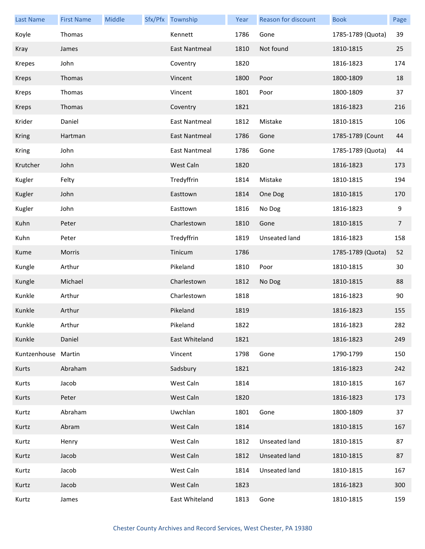| <b>Last Name</b>    | <b>First Name</b> | Middle | Sfx/Pfx Township     | Year | <b>Reason for discount</b> | <b>Book</b>       | Page           |
|---------------------|-------------------|--------|----------------------|------|----------------------------|-------------------|----------------|
| Koyle               | Thomas            |        | Kennett              | 1786 | Gone                       | 1785-1789 (Quota) | 39             |
| Kray                | James             |        | East Nantmeal        | 1810 | Not found                  | 1810-1815         | 25             |
| Krepes              | John              |        | Coventry             | 1820 |                            | 1816-1823         | 174            |
| Kreps               | Thomas            |        | Vincent              | 1800 | Poor                       | 1800-1809         | 18             |
| Kreps               | Thomas            |        | Vincent              | 1801 | Poor                       | 1800-1809         | 37             |
| <b>Kreps</b>        | Thomas            |        | Coventry             | 1821 |                            | 1816-1823         | 216            |
| Krider              | Daniel            |        | <b>East Nantmeal</b> | 1812 | Mistake                    | 1810-1815         | 106            |
| <b>Kring</b>        | Hartman           |        | East Nantmeal        | 1786 | Gone                       | 1785-1789 (Count  | 44             |
| Kring               | John              |        | East Nantmeal        | 1786 | Gone                       | 1785-1789 (Quota) | 44             |
| Krutcher            | John              |        | West Caln            | 1820 |                            | 1816-1823         | 173            |
| Kugler              | Felty             |        | Tredyffrin           | 1814 | Mistake                    | 1810-1815         | 194            |
| Kugler              | John              |        | Easttown             | 1814 | One Dog                    | 1810-1815         | 170            |
| Kugler              | John              |        | Easttown             | 1816 | No Dog                     | 1816-1823         | 9              |
| Kuhn                | Peter             |        | Charlestown          | 1810 | Gone                       | 1810-1815         | $\overline{7}$ |
| Kuhn                | Peter             |        | Tredyffrin           | 1819 | Unseated land              | 1816-1823         | 158            |
| Kume                | Morris            |        | Tinicum              | 1786 |                            | 1785-1789 (Quota) | 52             |
| Kungle              | Arthur            |        | Pikeland             | 1810 | Poor                       | 1810-1815         | 30             |
| Kungle              | Michael           |        | Charlestown          | 1812 | No Dog                     | 1810-1815         | 88             |
| Kunkle              | Arthur            |        | Charlestown          | 1818 |                            | 1816-1823         | 90             |
| Kunkle              | Arthur            |        | Pikeland             | 1819 |                            | 1816-1823         | 155            |
| Kunkle              | Arthur            |        | Pikeland             | 1822 |                            | 1816-1823         | 282            |
| Kunkle              | Daniel            |        | East Whiteland       | 1821 |                            | 1816-1823         | 249            |
| Kuntzenhouse Martin |                   |        | Vincent              | 1798 | Gone                       | 1790-1799         | 150            |
| Kurts               | Abraham           |        | Sadsbury             | 1821 |                            | 1816-1823         | 242            |
| Kurts               | Jacob             |        | West Caln            | 1814 |                            | 1810-1815         | 167            |
| Kurts               | Peter             |        | West Caln            | 1820 |                            | 1816-1823         | 173            |
| Kurtz               | Abraham           |        | Uwchlan              | 1801 | Gone                       | 1800-1809         | 37             |
| Kurtz               | Abram             |        | West Caln            | 1814 |                            | 1810-1815         | 167            |
| Kurtz               | Henry             |        | West Caln            | 1812 | Unseated land              | 1810-1815         | 87             |
| Kurtz               | Jacob             |        | West Caln            | 1812 | Unseated land              | 1810-1815         | 87             |
| Kurtz               | Jacob             |        | West Caln            | 1814 | Unseated land              | 1810-1815         | 167            |
| Kurtz               | Jacob             |        | West Caln            | 1823 |                            | 1816-1823         | 300            |
| Kurtz               | James             |        | East Whiteland       | 1813 | Gone                       | 1810-1815         | 159            |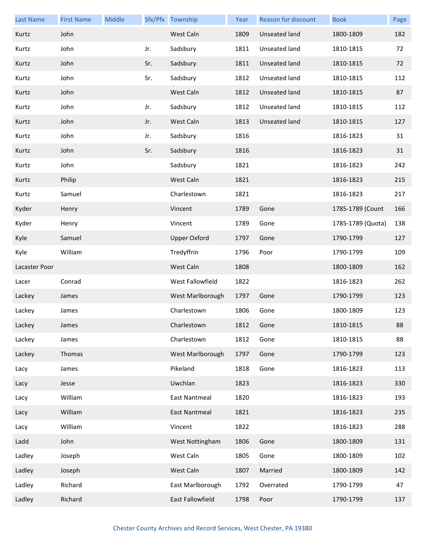| <b>Last Name</b> | <b>First Name</b> | Middle |     | Sfx/Pfx Township     | Year | Reason for discount | <b>Book</b>       | Page |
|------------------|-------------------|--------|-----|----------------------|------|---------------------|-------------------|------|
| Kurtz            | John              |        |     | West Caln            | 1809 | Unseated land       | 1800-1809         | 182  |
| Kurtz            | John              |        | Jr. | Sadsbury             | 1811 | Unseated land       | 1810-1815         | 72   |
| Kurtz            | John              |        | Sr. | Sadsbury             | 1811 | Unseated land       | 1810-1815         | 72   |
| Kurtz            | John              |        | Sr. | Sadsbury             | 1812 | Unseated land       | 1810-1815         | 112  |
| Kurtz            | John              |        |     | West Caln            | 1812 | Unseated land       | 1810-1815         | 87   |
| Kurtz            | John              |        | Jr. | Sadsbury             | 1812 | Unseated land       | 1810-1815         | 112  |
| Kurtz            | John              |        | Jr. | West Caln            | 1813 | Unseated land       | 1810-1815         | 127  |
| Kurtz            | John              |        | Jr. | Sadsbury             | 1816 |                     | 1816-1823         | 31   |
| Kurtz            | John              |        | Sr. | Sadsbury             | 1816 |                     | 1816-1823         | 31   |
| Kurtz            | John              |        |     | Sadsbury             | 1821 |                     | 1816-1823         | 242  |
| Kurtz            | Philip            |        |     | West Caln            | 1821 |                     | 1816-1823         | 215  |
| Kurtz            | Samuel            |        |     | Charlestown          | 1821 |                     | 1816-1823         | 217  |
| Kyder            | Henry             |        |     | Vincent              | 1789 | Gone                | 1785-1789 (Count  | 166  |
| Kyder            | Henry             |        |     | Vincent              | 1789 | Gone                | 1785-1789 (Quota) | 138  |
| Kyle             | Samuel            |        |     | <b>Upper Oxford</b>  | 1797 | Gone                | 1790-1799         | 127  |
| Kyle             | William           |        |     | Tredyffrin           | 1796 | Poor                | 1790-1799         | 109  |
| Lacaster Poor    |                   |        |     | West Caln            | 1808 |                     | 1800-1809         | 162  |
| Lacer            | Conrad            |        |     | West Fallowfield     | 1822 |                     | 1816-1823         | 262  |
| Lackey           | James             |        |     | West Marlborough     | 1797 | Gone                | 1790-1799         | 123  |
| Lackey           | James             |        |     | Charlestown          | 1806 | Gone                | 1800-1809         | 123  |
| Lackey           | James             |        |     | Charlestown          | 1812 | Gone                | 1810-1815         | 88   |
| Lackey           | James             |        |     | Charlestown          | 1812 | Gone                | 1810-1815         | 88   |
| Lackey           | Thomas            |        |     | West Marlborough     | 1797 | Gone                | 1790-1799         | 123  |
| Lacy             | James             |        |     | Pikeland             | 1818 | Gone                | 1816-1823         | 113  |
| Lacy             | Jesse             |        |     | Uwchlan              | 1823 |                     | 1816-1823         | 330  |
| Lacy             | William           |        |     | East Nantmeal        | 1820 |                     | 1816-1823         | 193  |
| Lacy             | William           |        |     | <b>East Nantmeal</b> | 1821 |                     | 1816-1823         | 235  |
| Lacy             | William           |        |     | Vincent              | 1822 |                     | 1816-1823         | 288  |
| Ladd             | John              |        |     | West Nottingham      | 1806 | Gone                | 1800-1809         | 131  |
| Ladley           | Joseph            |        |     | West Caln            | 1805 | Gone                | 1800-1809         | 102  |
| Ladley           | Joseph            |        |     | West Caln            | 1807 | Married             | 1800-1809         | 142  |
| Ladley           | Richard           |        |     | East Marlborough     | 1792 | Overrated           | 1790-1799         | 47   |
| Ladley           | Richard           |        |     | East Fallowfield     | 1798 | Poor                | 1790-1799         | 137  |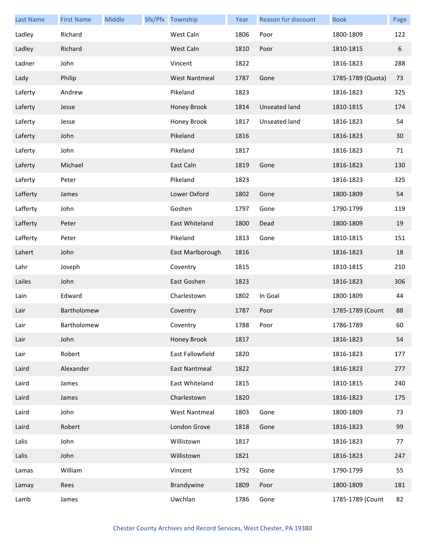| <b>Last Name</b> | <b>First Name</b> | Middle | Sfx/Pfx Township     | Year | Reason for discount  | <b>Book</b>       | Page |
|------------------|-------------------|--------|----------------------|------|----------------------|-------------------|------|
| Ladley           | Richard           |        | West Caln            | 1806 | Poor                 | 1800-1809         | 122  |
| Ladley           | Richard           |        | West Caln            | 1810 | Poor                 | 1810-1815         | 6    |
| Ladner           | John              |        | Vincent              | 1822 |                      | 1816-1823         | 288  |
| Lady             | Philip            |        | <b>West Nantmeal</b> | 1787 | Gone                 | 1785-1789 (Quota) | 73   |
| Laferty          | Andrew            |        | Pikeland             | 1823 |                      | 1816-1823         | 325  |
| Laferty          | Jesse             |        | Honey Brook          | 1814 | <b>Unseated land</b> | 1810-1815         | 174  |
| Laferty          | Jesse             |        | Honey Brook          | 1817 | Unseated land        | 1816-1823         | 54   |
| Laferty          | John              |        | Pikeland             | 1816 |                      | 1816-1823         | 30   |
| Laferty          | John              |        | Pikeland             | 1817 |                      | 1816-1823         | 71   |
| Laferty          | Michael           |        | East Caln            | 1819 | Gone                 | 1816-1823         | 130  |
| Laferty          | Peter             |        | Pikeland             | 1823 |                      | 1816-1823         | 325  |
| Lafferty         | James             |        | Lower Oxford         | 1802 | Gone                 | 1800-1809         | 54   |
| Lafferty         | John              |        | Goshen               | 1797 | Gone                 | 1790-1799         | 119  |
| Lafferty         | Peter             |        | East Whiteland       | 1800 | Dead                 | 1800-1809         | 19   |
| Lafferty         | Peter             |        | Pikeland             | 1813 | Gone                 | 1810-1815         | 151  |
| Lahert           | John              |        | East Marlborough     | 1816 |                      | 1816-1823         | 18   |
| Lahr             | Joseph            |        | Coventry             | 1815 |                      | 1810-1815         | 210  |
| Lailes           | John              |        | East Goshen          | 1823 |                      | 1816-1823         | 306  |
| Lain             | Edward            |        | Charlestown          | 1802 | In Goal              | 1800-1809         | 44   |
| Lair             | Bartholomew       |        | Coventry             | 1787 | Poor                 | 1785-1789 (Count  | 88   |
| Lair             | Bartholomew       |        | Coventry             | 1788 | Poor                 | 1786-1789         | 60   |
| Lair             | John              |        | Honey Brook          | 1817 |                      | 1816-1823         | 54   |
| Lair             | Robert            |        | East Fallowfield     | 1820 |                      | 1816-1823         | 177  |
| Laird            | Alexander         |        | East Nantmeal        | 1822 |                      | 1816-1823         | 277  |
| Laird            | James             |        | East Whiteland       | 1815 |                      | 1810-1815         | 240  |
| Laird            | James             |        | Charlestown          | 1820 |                      | 1816-1823         | 175  |
| Laird            | John              |        | <b>West Nantmeal</b> | 1803 | Gone                 | 1800-1809         | 73   |
| Laird            | Robert            |        | London Grove         | 1818 | Gone                 | 1816-1823         | 99   |
| Lalis            | John              |        | Willistown           | 1817 |                      | 1816-1823         | 77   |
| Lalis            | John              |        | Willistown           | 1821 |                      | 1816-1823         | 247  |
| Lamas            | William           |        | Vincent              | 1792 | Gone                 | 1790-1799         | 55   |
| Lamay            | Rees              |        | Brandywine           | 1809 | Poor                 | 1800-1809         | 181  |
| Lamb             | James             |        | Uwchlan              | 1786 | Gone                 | 1785-1789 (Count  | 82   |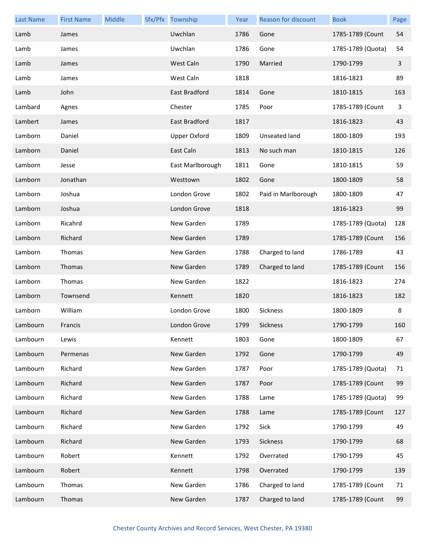| <b>Last Name</b> | <b>First Name</b> | Middle | Sfx/Pfx Township    | Year | Reason for discount | <b>Book</b>       | Page |
|------------------|-------------------|--------|---------------------|------|---------------------|-------------------|------|
| Lamb             | James             |        | Uwchlan             | 1786 | Gone                | 1785-1789 (Count  | 54   |
| Lamb             | James             |        | Uwchlan             | 1786 | Gone                | 1785-1789 (Quota) | 54   |
| Lamb             | James             |        | West Caln           | 1790 | Married             | 1790-1799         | 3    |
| Lamb             | James             |        | West Caln           | 1818 |                     | 1816-1823         | 89   |
| Lamb             | John              |        | East Bradford       | 1814 | Gone                | 1810-1815         | 163  |
| Lambard          | Agnes             |        | Chester             | 1785 | Poor                | 1785-1789 (Count  | 3    |
| Lambert          | James             |        | East Bradford       | 1817 |                     | 1816-1823         | 43   |
| Lamborn          | Daniel            |        | <b>Upper Oxford</b> | 1809 | Unseated land       | 1800-1809         | 193  |
| Lamborn          | Daniel            |        | East Caln           | 1813 | No such man         | 1810-1815         | 126  |
| Lamborn          | Jesse             |        | East Marlborough    | 1811 | Gone                | 1810-1815         | 59   |
| Lamborn          | Jonathan          |        | Westtown            | 1802 | Gone                | 1800-1809         | 58   |
| Lamborn          | Joshua            |        | London Grove        | 1802 | Paid in Marlborough | 1800-1809         | 47   |
| Lamborn          | Joshua            |        | London Grove        | 1818 |                     | 1816-1823         | 99   |
| Lamborn          | Ricahrd           |        | New Garden          | 1789 |                     | 1785-1789 (Quota) | 128  |
| Lamborn          | Richard           |        | New Garden          | 1789 |                     | 1785-1789 (Count  | 156  |
| Lamborn          | Thomas            |        | New Garden          | 1788 | Charged to land     | 1786-1789         | 43   |
| Lamborn          | Thomas            |        | New Garden          | 1789 | Charged to land     | 1785-1789 (Count  | 156  |
| Lamborn          | Thomas            |        | New Garden          | 1822 |                     | 1816-1823         | 274  |
| Lamborn          | Townsend          |        | Kennett             | 1820 |                     | 1816-1823         | 182  |
| Lamborn          | William           |        | London Grove        | 1800 | Sickness            | 1800-1809         | 8    |
| Lambourn         | Francis           |        | London Grove        | 1799 | Sickness            | 1790-1799         | 160  |
| Lambourn         | Lewis             |        | Kennett             | 1803 | Gone                | 1800-1809         | 67   |
| Lambourn         | Permenas          |        | New Garden          | 1792 | Gone                | 1790-1799         | 49   |
| Lambourn         | Richard           |        | New Garden          | 1787 | Poor                | 1785-1789 (Quota) | 71   |
| Lambourn         | Richard           |        | New Garden          | 1787 | Poor                | 1785-1789 (Count  | 99   |
| Lambourn         | Richard           |        | New Garden          | 1788 | Lame                | 1785-1789 (Quota) | 99   |
| Lambourn         | Richard           |        | New Garden          | 1788 | Lame                | 1785-1789 (Count  | 127  |
| Lambourn         | Richard           |        | New Garden          | 1792 | Sick                | 1790-1799         | 49   |
| Lambourn         | Richard           |        | New Garden          | 1793 | Sickness            | 1790-1799         | 68   |
| Lambourn         | Robert            |        | Kennett             | 1792 | Overrated           | 1790-1799         | 45   |
| Lambourn         | Robert            |        | Kennett             | 1798 | Overrated           | 1790-1799         | 139  |
| Lambourn         | Thomas            |        | New Garden          | 1786 | Charged to land     | 1785-1789 (Count  | 71   |
| Lambourn         | Thomas            |        | New Garden          | 1787 | Charged to land     | 1785-1789 (Count  | 99   |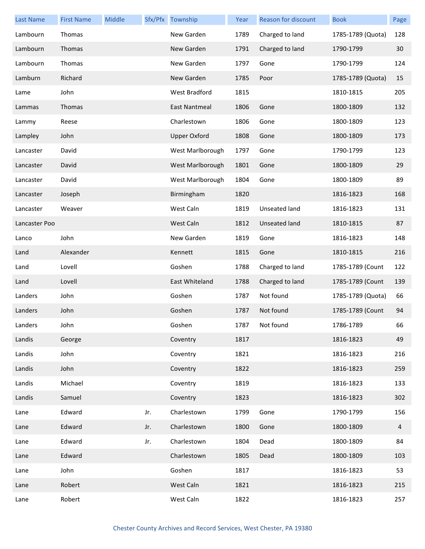| <b>Last Name</b> | <b>First Name</b> | Middle |     | Sfx/Pfx Township    | Year | Reason for discount | <b>Book</b>       | Page           |
|------------------|-------------------|--------|-----|---------------------|------|---------------------|-------------------|----------------|
| Lambourn         | Thomas            |        |     | New Garden          | 1789 | Charged to land     | 1785-1789 (Quota) | 128            |
| Lambourn         | Thomas            |        |     | New Garden          | 1791 | Charged to land     | 1790-1799         | 30             |
| Lambourn         | Thomas            |        |     | New Garden          | 1797 | Gone                | 1790-1799         | 124            |
| Lamburn          | Richard           |        |     | New Garden          | 1785 | Poor                | 1785-1789 (Quota) | 15             |
| Lame             | John              |        |     | West Bradford       | 1815 |                     | 1810-1815         | 205            |
| Lammas           | Thomas            |        |     | East Nantmeal       | 1806 | Gone                | 1800-1809         | 132            |
| Lammy            | Reese             |        |     | Charlestown         | 1806 | Gone                | 1800-1809         | 123            |
| Lampley          | John              |        |     | <b>Upper Oxford</b> | 1808 | Gone                | 1800-1809         | 173            |
| Lancaster        | David             |        |     | West Marlborough    | 1797 | Gone                | 1790-1799         | 123            |
| Lancaster        | David             |        |     | West Marlborough    | 1801 | Gone                | 1800-1809         | 29             |
| Lancaster        | David             |        |     | West Marlborough    | 1804 | Gone                | 1800-1809         | 89             |
| Lancaster        | Joseph            |        |     | Birmingham          | 1820 |                     | 1816-1823         | 168            |
| Lancaster        | Weaver            |        |     | West Caln           | 1819 | Unseated land       | 1816-1823         | 131            |
| Lancaster Poo    |                   |        |     | West Caln           | 1812 | Unseated land       | 1810-1815         | 87             |
| Lanco            | John              |        |     | New Garden          | 1819 | Gone                | 1816-1823         | 148            |
| Land             | Alexander         |        |     | Kennett             | 1815 | Gone                | 1810-1815         | 216            |
| Land             | Lovell            |        |     | Goshen              | 1788 | Charged to land     | 1785-1789 (Count  | 122            |
| Land             | Lovell            |        |     | East Whiteland      | 1788 | Charged to land     | 1785-1789 (Count  | 139            |
| Landers          | John              |        |     | Goshen              | 1787 | Not found           | 1785-1789 (Quota) | 66             |
| Landers          | John              |        |     | Goshen              | 1787 | Not found           | 1785-1789 (Count  | 94             |
| Landers          | John              |        |     | Goshen              | 1787 | Not found           | 1786-1789         | 66             |
| Landis           | George            |        |     | Coventry            | 1817 |                     | 1816-1823         | 49             |
| Landis           | John              |        |     | Coventry            | 1821 |                     | 1816-1823         | 216            |
| Landis           | John              |        |     | Coventry            | 1822 |                     | 1816-1823         | 259            |
| Landis           | Michael           |        |     | Coventry            | 1819 |                     | 1816-1823         | 133            |
| Landis           | Samuel            |        |     | Coventry            | 1823 |                     | 1816-1823         | 302            |
| Lane             | Edward            |        | Jr. | Charlestown         | 1799 | Gone                | 1790-1799         | 156            |
| Lane             | Edward            |        | Jr. | Charlestown         | 1800 | Gone                | 1800-1809         | $\overline{4}$ |
| Lane             | Edward            |        | Jr. | Charlestown         | 1804 | Dead                | 1800-1809         | 84             |
| Lane             | Edward            |        |     | Charlestown         | 1805 | Dead                | 1800-1809         | 103            |
| Lane             | John              |        |     | Goshen              | 1817 |                     | 1816-1823         | 53             |
| Lane             | Robert            |        |     | West Caln           | 1821 |                     | 1816-1823         | 215            |
| Lane             | Robert            |        |     | West Caln           | 1822 |                     | 1816-1823         | 257            |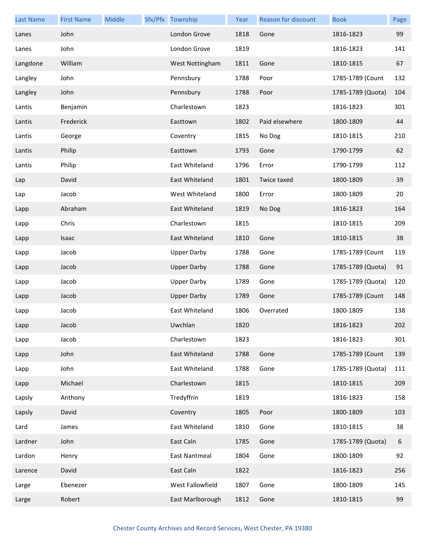| <b>Last Name</b> | <b>First Name</b> | Middle | Sfx/Pfx Township   | Year | <b>Reason for discount</b> | <b>Book</b>       | Page |
|------------------|-------------------|--------|--------------------|------|----------------------------|-------------------|------|
| Lanes            | John              |        | London Grove       | 1818 | Gone                       | 1816-1823         | 99   |
| Lanes            | John              |        | London Grove       | 1819 |                            | 1816-1823         | 141  |
| Langdone         | William           |        | West Nottingham    | 1811 | Gone                       | 1810-1815         | 67   |
| Langley          | John              |        | Pennsbury          | 1788 | Poor                       | 1785-1789 (Count  | 132  |
| Langley          | John              |        | Pennsbury          | 1788 | Poor                       | 1785-1789 (Quota) | 104  |
| Lantis           | Benjamin          |        | Charlestown        | 1823 |                            | 1816-1823         | 301  |
| Lantis           | Frederick         |        | Easttown           | 1802 | Paid elsewhere             | 1800-1809         | 44   |
| Lantis           | George            |        | Coventry           | 1815 | No Dog                     | 1810-1815         | 210  |
| Lantis           | Philip            |        | Easttown           | 1793 | Gone                       | 1790-1799         | 62   |
| Lantis           | Philip            |        | East Whiteland     | 1796 | Error                      | 1790-1799         | 112  |
| Lap              | David             |        | East Whiteland     | 1801 | Twice taxed                | 1800-1809         | 39   |
| Lap              | Jacob             |        | West Whiteland     | 1800 | Error                      | 1800-1809         | 20   |
| Lapp             | Abraham           |        | East Whiteland     | 1819 | No Dog                     | 1816-1823         | 164  |
| Lapp             | Chris             |        | Charlestown        | 1815 |                            | 1810-1815         | 209  |
| Lapp             | Isaac             |        | East Whiteland     | 1810 | Gone                       | 1810-1815         | 38   |
| Lapp             | Jacob             |        | <b>Upper Darby</b> | 1788 | Gone                       | 1785-1789 (Count  | 119  |
| Lapp             | Jacob             |        | <b>Upper Darby</b> | 1788 | Gone                       | 1785-1789 (Quota) | 91   |
| Lapp             | Jacob             |        | <b>Upper Darby</b> | 1789 | Gone                       | 1785-1789 (Quota) | 120  |
| Lapp             | Jacob             |        | <b>Upper Darby</b> | 1789 | Gone                       | 1785-1789 (Count  | 148  |
| Lapp             | Jacob             |        | East Whiteland     | 1806 | Overrated                  | 1800-1809         | 138  |
| Lapp             | Jacob             |        | Uwchlan            | 1820 |                            | 1816-1823         | 202  |
| Lapp             | Jacob             |        | Charlestown        | 1823 |                            | 1816-1823         | 301  |
| Lapp             | John              |        | East Whiteland     | 1788 | Gone                       | 1785-1789 (Count  | 139  |
| Lapp             | John              |        | East Whiteland     | 1788 | Gone                       | 1785-1789 (Quota) | 111  |
| Lapp             | Michael           |        | Charlestown        | 1815 |                            | 1810-1815         | 209  |
| Lapsly           | Anthony           |        | Tredyffrin         | 1819 |                            | 1816-1823         | 158  |
| Lapsly           | David             |        | Coventry           | 1805 | Poor                       | 1800-1809         | 103  |
| Lard             | James             |        | East Whiteland     | 1810 | Gone                       | 1810-1815         | 38   |
| Lardner          | John              |        | East Caln          | 1785 | Gone                       | 1785-1789 (Quota) | 6    |
| Lardon           | Henry             |        | East Nantmeal      | 1804 | Gone                       | 1800-1809         | 92   |
| Larence          | David             |        | East Caln          | 1822 |                            | 1816-1823         | 256  |
| Large            | Ebenezer          |        | West Fallowfield   | 1807 | Gone                       | 1800-1809         | 145  |
| Large            | Robert            |        | East Marlborough   | 1812 | Gone                       | 1810-1815         | 99   |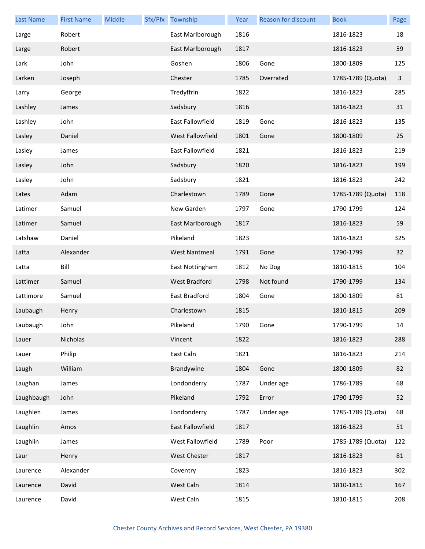| <b>Last Name</b> | <b>First Name</b> | Middle | Sfx/Pfx Township     | Year | <b>Reason for discount</b> | <b>Book</b>       | Page         |
|------------------|-------------------|--------|----------------------|------|----------------------------|-------------------|--------------|
| Large            | Robert            |        | East Marlborough     | 1816 |                            | 1816-1823         | 18           |
| Large            | Robert            |        | East Marlborough     | 1817 |                            | 1816-1823         | 59           |
| Lark             | John              |        | Goshen               | 1806 | Gone                       | 1800-1809         | 125          |
| Larken           | Joseph            |        | Chester              | 1785 | Overrated                  | 1785-1789 (Quota) | $\mathbf{3}$ |
| Larry            | George            |        | Tredyffrin           | 1822 |                            | 1816-1823         | 285          |
| Lashley          | James             |        | Sadsbury             | 1816 |                            | 1816-1823         | 31           |
| Lashley          | John              |        | East Fallowfield     | 1819 | Gone                       | 1816-1823         | 135          |
| Lasley           | Daniel            |        | West Fallowfield     | 1801 | Gone                       | 1800-1809         | 25           |
| Lasley           | James             |        | East Fallowfield     | 1821 |                            | 1816-1823         | 219          |
| Lasley           | John              |        | Sadsbury             | 1820 |                            | 1816-1823         | 199          |
| Lasley           | John              |        | Sadsbury             | 1821 |                            | 1816-1823         | 242          |
| Lates            | Adam              |        | Charlestown          | 1789 | Gone                       | 1785-1789 (Quota) | 118          |
| Latimer          | Samuel            |        | New Garden           | 1797 | Gone                       | 1790-1799         | 124          |
| Latimer          | Samuel            |        | East Marlborough     | 1817 |                            | 1816-1823         | 59           |
| Latshaw          | Daniel            |        | Pikeland             | 1823 |                            | 1816-1823         | 325          |
| Latta            | Alexander         |        | <b>West Nantmeal</b> | 1791 | Gone                       | 1790-1799         | 32           |
| Latta            | Bill              |        | East Nottingham      | 1812 | No Dog                     | 1810-1815         | 104          |
| Lattimer         | Samuel            |        | <b>West Bradford</b> | 1798 | Not found                  | 1790-1799         | 134          |
| Lattimore        | Samuel            |        | East Bradford        | 1804 | Gone                       | 1800-1809         | 81           |
| Laubaugh         | Henry             |        | Charlestown          | 1815 |                            | 1810-1815         | 209          |
| Laubaugh         | John              |        | Pikeland             | 1790 | Gone                       | 1790-1799         | 14           |
| Lauer            | Nicholas          |        | Vincent              | 1822 |                            | 1816-1823         | 288          |
| Lauer            | Philip            |        | East Caln            | 1821 |                            | 1816-1823         | 214          |
| Laugh            | William           |        | Brandywine           | 1804 | Gone                       | 1800-1809         | 82           |
| Laughan          | James             |        | Londonderry          | 1787 | Under age                  | 1786-1789         | 68           |
| Laughbaugh       | John              |        | Pikeland             | 1792 | Error                      | 1790-1799         | 52           |
| Laughlen         | James             |        | Londonderry          | 1787 | Under age                  | 1785-1789 (Quota) | 68           |
| Laughlin         | Amos              |        | East Fallowfield     | 1817 |                            | 1816-1823         | 51           |
| Laughlin         | James             |        | West Fallowfield     | 1789 | Poor                       | 1785-1789 (Quota) | 122          |
| Laur             | Henry             |        | West Chester         | 1817 |                            | 1816-1823         | 81           |
| Laurence         | Alexander         |        | Coventry             | 1823 |                            | 1816-1823         | 302          |
| Laurence         | David             |        | West Caln            | 1814 |                            | 1810-1815         | 167          |
| Laurence         | David             |        | West Caln            | 1815 |                            | 1810-1815         | 208          |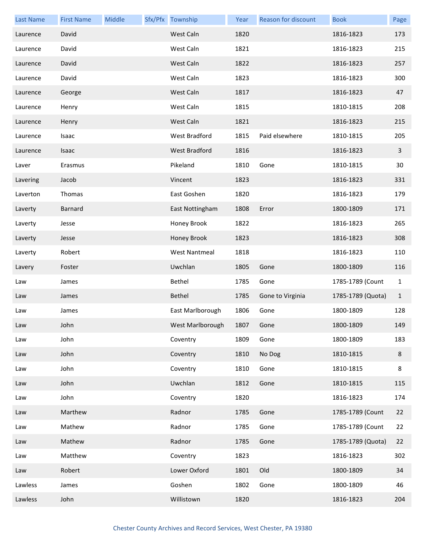| <b>Last Name</b> | <b>First Name</b> | Middle | Sfx/Pfx Township     | Year | Reason for discount | <b>Book</b>       | Page         |
|------------------|-------------------|--------|----------------------|------|---------------------|-------------------|--------------|
| Laurence         | David             |        | West Caln            | 1820 |                     | 1816-1823         | 173          |
| Laurence         | David             |        | West Caln            | 1821 |                     | 1816-1823         | 215          |
| Laurence         | David             |        | West Caln            | 1822 |                     | 1816-1823         | 257          |
| Laurence         | David             |        | West Caln            | 1823 |                     | 1816-1823         | 300          |
| Laurence         | George            |        | West Caln            | 1817 |                     | 1816-1823         | 47           |
| Laurence         | Henry             |        | West Caln            | 1815 |                     | 1810-1815         | 208          |
| Laurence         | Henry             |        | West Caln            | 1821 |                     | 1816-1823         | 215          |
| Laurence         | Isaac             |        | West Bradford        | 1815 | Paid elsewhere      | 1810-1815         | 205          |
| Laurence         | Isaac             |        | West Bradford        | 1816 |                     | 1816-1823         | $\mathbf{3}$ |
| Laver            | Erasmus           |        | Pikeland             | 1810 | Gone                | 1810-1815         | 30           |
| Lavering         | Jacob             |        | Vincent              | 1823 |                     | 1816-1823         | 331          |
| Laverton         | Thomas            |        | East Goshen          | 1820 |                     | 1816-1823         | 179          |
| Laverty          | <b>Barnard</b>    |        | East Nottingham      | 1808 | Error               | 1800-1809         | 171          |
| Laverty          | Jesse             |        | Honey Brook          | 1822 |                     | 1816-1823         | 265          |
| Laverty          | Jesse             |        | Honey Brook          | 1823 |                     | 1816-1823         | 308          |
| Laverty          | Robert            |        | <b>West Nantmeal</b> | 1818 |                     | 1816-1823         | 110          |
| Lavery           | Foster            |        | Uwchlan              | 1805 | Gone                | 1800-1809         | 116          |
| Law              | James             |        | Bethel               | 1785 | Gone                | 1785-1789 (Count  | $\mathbf{1}$ |
| Law              | James             |        | Bethel               | 1785 | Gone to Virginia    | 1785-1789 (Quota) | $\mathbf{1}$ |
| Law              | James             |        | East Marlborough     | 1806 | Gone                | 1800-1809         | 128          |
| Law              | John              |        | West Marlborough     | 1807 | Gone                | 1800-1809         | 149          |
| Law              | John              |        | Coventry             | 1809 | Gone                | 1800-1809         | 183          |
| Law              | John              |        | Coventry             | 1810 | No Dog              | 1810-1815         | $\bf 8$      |
| Law              | John              |        | Coventry             | 1810 | Gone                | 1810-1815         | 8            |
| Law              | John              |        | Uwchlan              | 1812 | Gone                | 1810-1815         | 115          |
| Law              | John              |        | Coventry             | 1820 |                     | 1816-1823         | 174          |
| Law              | Marthew           |        | Radnor               | 1785 | Gone                | 1785-1789 (Count  | 22           |
| Law              | Mathew            |        | Radnor               | 1785 | Gone                | 1785-1789 (Count  | 22           |
| Law              | Mathew            |        | Radnor               | 1785 | Gone                | 1785-1789 (Quota) | 22           |
| Law              | Matthew           |        | Coventry             | 1823 |                     | 1816-1823         | 302          |
| Law              | Robert            |        | Lower Oxford         | 1801 | Old                 | 1800-1809         | 34           |
| Lawless          | James             |        | Goshen               | 1802 | Gone                | 1800-1809         | 46           |
| Lawless          | John              |        | Willistown           | 1820 |                     | 1816-1823         | 204          |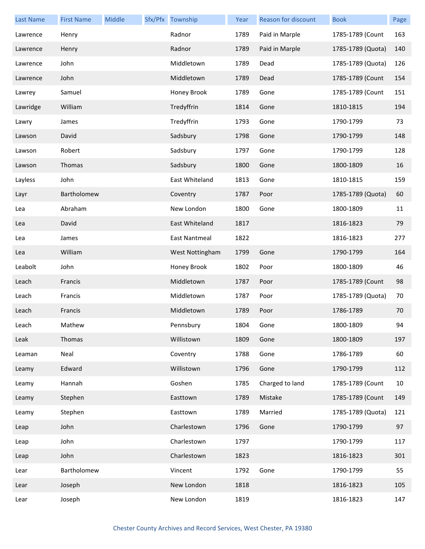| <b>Last Name</b> | <b>First Name</b> | Middle | Sfx/Pfx Township | Year | Reason for discount | <b>Book</b>       | Page |
|------------------|-------------------|--------|------------------|------|---------------------|-------------------|------|
| Lawrence         | Henry             |        | Radnor           | 1789 | Paid in Marple      | 1785-1789 (Count  | 163  |
| Lawrence         | Henry             |        | Radnor           | 1789 | Paid in Marple      | 1785-1789 (Quota) | 140  |
| Lawrence         | John              |        | Middletown       | 1789 | Dead                | 1785-1789 (Quota) | 126  |
| Lawrence         | John              |        | Middletown       | 1789 | Dead                | 1785-1789 (Count  | 154  |
| Lawrey           | Samuel            |        | Honey Brook      | 1789 | Gone                | 1785-1789 (Count  | 151  |
| Lawridge         | William           |        | Tredyffrin       | 1814 | Gone                | 1810-1815         | 194  |
| Lawry            | James             |        | Tredyffrin       | 1793 | Gone                | 1790-1799         | 73   |
| Lawson           | David             |        | Sadsbury         | 1798 | Gone                | 1790-1799         | 148  |
| Lawson           | Robert            |        | Sadsbury         | 1797 | Gone                | 1790-1799         | 128  |
| Lawson           | Thomas            |        | Sadsbury         | 1800 | Gone                | 1800-1809         | 16   |
| Layless          | John              |        | East Whiteland   | 1813 | Gone                | 1810-1815         | 159  |
| Layr             | Bartholomew       |        | Coventry         | 1787 | Poor                | 1785-1789 (Quota) | 60   |
| Lea              | Abraham           |        | New London       | 1800 | Gone                | 1800-1809         | 11   |
| Lea              | David             |        | East Whiteland   | 1817 |                     | 1816-1823         | 79   |
| Lea              | James             |        | East Nantmeal    | 1822 |                     | 1816-1823         | 277  |
| Lea              | William           |        | West Nottingham  | 1799 | Gone                | 1790-1799         | 164  |
| Leabolt          | John              |        | Honey Brook      | 1802 | Poor                | 1800-1809         | 46   |
| Leach            | Francis           |        | Middletown       | 1787 | Poor                | 1785-1789 (Count  | 98   |
| Leach            | Francis           |        | Middletown       | 1787 | Poor                | 1785-1789 (Quota) | 70   |
| Leach            | Francis           |        | Middletown       | 1789 | Poor                | 1786-1789         | 70   |
| Leach            | Mathew            |        | Pennsbury        | 1804 | Gone                | 1800-1809         | 94   |
| Leak             | Thomas            |        | Willistown       | 1809 | Gone                | 1800-1809         | 197  |
| Leaman           | Neal              |        | Coventry         | 1788 | Gone                | 1786-1789         | 60   |
| Leamy            | Edward            |        | Willistown       | 1796 | Gone                | 1790-1799         | 112  |
| Leamy            | Hannah            |        | Goshen           | 1785 | Charged to land     | 1785-1789 (Count  | 10   |
| Leamy            | Stephen           |        | Easttown         | 1789 | Mistake             | 1785-1789 (Count  | 149  |
| Leamy            | Stephen           |        | Easttown         | 1789 | Married             | 1785-1789 (Quota) | 121  |
| Leap             | John              |        | Charlestown      | 1796 | Gone                | 1790-1799         | 97   |
| Leap             | John              |        | Charlestown      | 1797 |                     | 1790-1799         | 117  |
| Leap             | John              |        | Charlestown      | 1823 |                     | 1816-1823         | 301  |
| Lear             | Bartholomew       |        | Vincent          | 1792 | Gone                | 1790-1799         | 55   |
| Lear             | Joseph            |        | New London       | 1818 |                     | 1816-1823         | 105  |
| Lear             | Joseph            |        | New London       | 1819 |                     | 1816-1823         | 147  |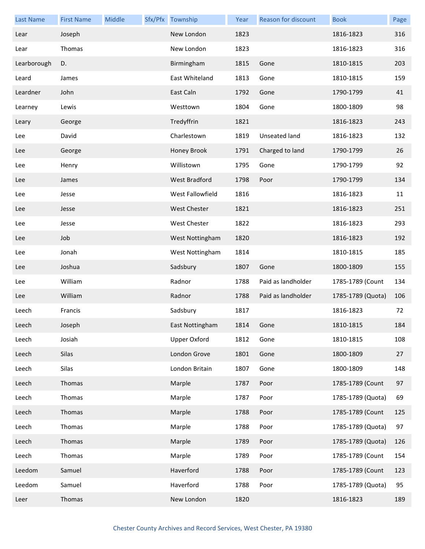| <b>Last Name</b> | <b>First Name</b> | Middle | Sfx/Pfx Township    | Year      | Reason for discount | <b>Book</b>       | Page |
|------------------|-------------------|--------|---------------------|-----------|---------------------|-------------------|------|
| Lear             | Joseph            |        | New London          | 1823      |                     | 1816-1823         | 316  |
| Lear             | Thomas            |        | New London          | 1823      |                     | 1816-1823         | 316  |
| Learborough      | D.                |        | Birmingham          | 1815      | Gone                | 1810-1815         | 203  |
| Leard            | James             |        | East Whiteland      | 1813      | Gone                | 1810-1815         | 159  |
| Leardner         | John              |        | East Caln           | 1792      | Gone                | 1790-1799         | 41   |
| Learney          | Lewis             |        | Westtown            | 1804      | Gone                | 1800-1809         | 98   |
| Leary            | George            |        | Tredyffrin          | 1821      |                     | 1816-1823         | 243  |
| Lee              | David             |        | Charlestown         | 1819      | Unseated land       | 1816-1823         | 132  |
| Lee              | George            |        | Honey Brook         | 1791      | Charged to land     | 1790-1799         | 26   |
| Lee              | Henry             |        | Willistown          | 1795      | Gone                | 1790-1799         | 92   |
| Lee              | James             |        | West Bradford       | 1798      | Poor                | 1790-1799         | 134  |
| Lee              | Jesse             |        | West Fallowfield    | 1816      |                     | 1816-1823         | 11   |
| Lee              | Jesse             |        | <b>West Chester</b> | 1821      |                     | 1816-1823         | 251  |
| Lee              | Jesse             |        | West Chester        | 1822      |                     | 1816-1823         | 293  |
| Lee              | Job               |        | West Nottingham     | 1820      |                     | 1816-1823         | 192  |
| Lee              | Jonah             |        | West Nottingham     | 1814      |                     | 1810-1815         | 185  |
| Lee              | Joshua            |        | Sadsbury            | 1807      | Gone                | 1800-1809         | 155  |
| Lee              | William           |        | Radnor              | 1788      | Paid as landholder  | 1785-1789 (Count  | 134  |
| Lee              | William           |        | Radnor              | 1788      | Paid as landholder  | 1785-1789 (Quota) | 106  |
| Leech            | Francis           |        | Sadsbury            | 1817      |                     | 1816-1823         | 72   |
| Leech            | Joseph            |        | East Nottingham     | 1814 Gone |                     | 1810-1815         | 184  |
| Leech            | Josiah            |        | <b>Upper Oxford</b> | 1812      | Gone                | 1810-1815         | 108  |
| Leech            | Silas             |        | London Grove        | 1801      | Gone                | 1800-1809         | 27   |
| Leech            | Silas             |        | London Britain      | 1807      | Gone                | 1800-1809         | 148  |
| Leech            | Thomas            |        | Marple              | 1787      | Poor                | 1785-1789 (Count  | 97   |
| Leech            | Thomas            |        | Marple              | 1787      | Poor                | 1785-1789 (Quota) | 69   |
| Leech            | Thomas            |        | Marple              | 1788      | Poor                | 1785-1789 (Count  | 125  |
| Leech            | Thomas            |        | Marple              | 1788      | Poor                | 1785-1789 (Quota) | 97   |
| Leech            | Thomas            |        | Marple              | 1789      | Poor                | 1785-1789 (Quota) | 126  |
| Leech            | Thomas            |        | Marple              | 1789      | Poor                | 1785-1789 (Count  | 154  |
| Leedom           | Samuel            |        | Haverford           | 1788      | Poor                | 1785-1789 (Count  | 123  |
| Leedom           | Samuel            |        | Haverford           | 1788      | Poor                | 1785-1789 (Quota) | 95   |
| Leer             | Thomas            |        | New London          | 1820      |                     | 1816-1823         | 189  |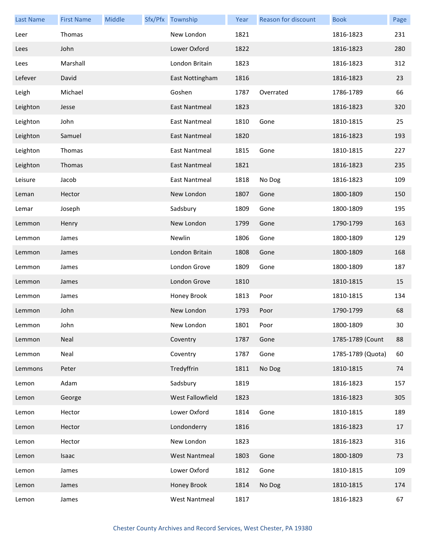| <b>Last Name</b> | <b>First Name</b> | Middle | Sfx/Pfx Township     | Year | <b>Reason for discount</b> | <b>Book</b>       | Page |
|------------------|-------------------|--------|----------------------|------|----------------------------|-------------------|------|
| Leer             | Thomas            |        | New London           | 1821 |                            | 1816-1823         | 231  |
| Lees             | John              |        | Lower Oxford         | 1822 |                            | 1816-1823         | 280  |
| Lees             | Marshall          |        | London Britain       | 1823 |                            | 1816-1823         | 312  |
| Lefever          | David             |        | East Nottingham      | 1816 |                            | 1816-1823         | 23   |
| Leigh            | Michael           |        | Goshen               | 1787 | Overrated                  | 1786-1789         | 66   |
| Leighton         | Jesse             |        | East Nantmeal        | 1823 |                            | 1816-1823         | 320  |
| Leighton         | John              |        | East Nantmeal        | 1810 | Gone                       | 1810-1815         | 25   |
| Leighton         | Samuel            |        | East Nantmeal        | 1820 |                            | 1816-1823         | 193  |
| Leighton         | Thomas            |        | East Nantmeal        | 1815 | Gone                       | 1810-1815         | 227  |
| Leighton         | Thomas            |        | East Nantmeal        | 1821 |                            | 1816-1823         | 235  |
| Leisure          | Jacob             |        | East Nantmeal        | 1818 | No Dog                     | 1816-1823         | 109  |
| Leman            | Hector            |        | New London           | 1807 | Gone                       | 1800-1809         | 150  |
| Lemar            | Joseph            |        | Sadsbury             | 1809 | Gone                       | 1800-1809         | 195  |
| Lemmon           | Henry             |        | New London           | 1799 | Gone                       | 1790-1799         | 163  |
| Lemmon           | James             |        | Newlin               | 1806 | Gone                       | 1800-1809         | 129  |
| Lemmon           | James             |        | London Britain       | 1808 | Gone                       | 1800-1809         | 168  |
| Lemmon           | James             |        | London Grove         | 1809 | Gone                       | 1800-1809         | 187  |
| Lemmon           | James             |        | London Grove         | 1810 |                            | 1810-1815         | 15   |
| Lemmon           | James             |        | Honey Brook          | 1813 | Poor                       | 1810-1815         | 134  |
| Lemmon           | John              |        | New London           | 1793 | Poor                       | 1790-1799         | 68   |
| Lemmon           | John              |        | New London           | 1801 | Poor                       | 1800-1809         | 30   |
| Lemmon           | Neal              |        | Coventry             | 1787 | Gone                       | 1785-1789 (Count  | 88   |
| Lemmon           | Neal              |        | Coventry             | 1787 | Gone                       | 1785-1789 (Quota) | 60   |
| Lemmons          | Peter             |        | Tredyffrin           | 1811 | No Dog                     | 1810-1815         | 74   |
| Lemon            | Adam              |        | Sadsbury             | 1819 |                            | 1816-1823         | 157  |
| Lemon            | George            |        | West Fallowfield     | 1823 |                            | 1816-1823         | 305  |
| Lemon            | Hector            |        | Lower Oxford         | 1814 | Gone                       | 1810-1815         | 189  |
| Lemon            | Hector            |        | Londonderry          | 1816 |                            | 1816-1823         | 17   |
| Lemon            | Hector            |        | New London           | 1823 |                            | 1816-1823         | 316  |
| Lemon            | Isaac             |        | <b>West Nantmeal</b> | 1803 | Gone                       | 1800-1809         | 73   |
| Lemon            | James             |        | Lower Oxford         | 1812 | Gone                       | 1810-1815         | 109  |
| Lemon            | James             |        | Honey Brook          | 1814 | No Dog                     | 1810-1815         | 174  |
| Lemon            | James             |        | <b>West Nantmeal</b> | 1817 |                            | 1816-1823         | 67   |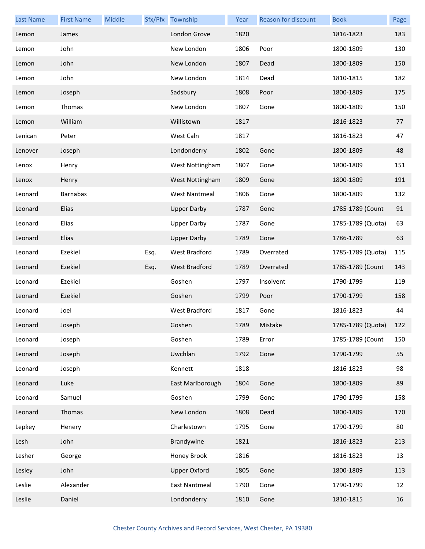| <b>Last Name</b> | <b>First Name</b> | Middle |      | Sfx/Pfx Township     | Year | Reason for discount | <b>Book</b>       | Page |
|------------------|-------------------|--------|------|----------------------|------|---------------------|-------------------|------|
| Lemon            | James             |        |      | London Grove         | 1820 |                     | 1816-1823         | 183  |
| Lemon            | John              |        |      | New London           | 1806 | Poor                | 1800-1809         | 130  |
| Lemon            | John              |        |      | New London           | 1807 | Dead                | 1800-1809         | 150  |
| Lemon            | John              |        |      | New London           | 1814 | Dead                | 1810-1815         | 182  |
| Lemon            | Joseph            |        |      | Sadsbury             | 1808 | Poor                | 1800-1809         | 175  |
| Lemon            | Thomas            |        |      | New London           | 1807 | Gone                | 1800-1809         | 150  |
| Lemon            | William           |        |      | Willistown           | 1817 |                     | 1816-1823         | 77   |
| Lenican          | Peter             |        |      | West Caln            | 1817 |                     | 1816-1823         | 47   |
| Lenover          | Joseph            |        |      | Londonderry          | 1802 | Gone                | 1800-1809         | 48   |
| Lenox            | Henry             |        |      | West Nottingham      | 1807 | Gone                | 1800-1809         | 151  |
| Lenox            | Henry             |        |      | West Nottingham      | 1809 | Gone                | 1800-1809         | 191  |
| Leonard          | <b>Barnabas</b>   |        |      | <b>West Nantmeal</b> | 1806 | Gone                | 1800-1809         | 132  |
| Leonard          | Elias             |        |      | <b>Upper Darby</b>   | 1787 | Gone                | 1785-1789 (Count  | 91   |
| Leonard          | Elias             |        |      | <b>Upper Darby</b>   | 1787 | Gone                | 1785-1789 (Quota) | 63   |
| Leonard          | Elias             |        |      | <b>Upper Darby</b>   | 1789 | Gone                | 1786-1789         | 63   |
| Leonard          | Ezekiel           |        | Esq. | West Bradford        | 1789 | Overrated           | 1785-1789 (Quota) | 115  |
| Leonard          | Ezekiel           |        | Esq. | <b>West Bradford</b> | 1789 | Overrated           | 1785-1789 (Count  | 143  |
| Leonard          | Ezekiel           |        |      | Goshen               | 1797 | Insolvent           | 1790-1799         | 119  |
| Leonard          | Ezekiel           |        |      | Goshen               | 1799 | Poor                | 1790-1799         | 158  |
| Leonard          | Joel              |        |      | <b>West Bradford</b> | 1817 | Gone                | 1816-1823         | 44   |
| Leonard          | Joseph            |        |      | Goshen               | 1789 | Mistake             | 1785-1789 (Quota) | 122  |
| Leonard          | Joseph            |        |      | Goshen               | 1789 | Error               | 1785-1789 (Count  | 150  |
| Leonard          | Joseph            |        |      | Uwchlan              | 1792 | Gone                | 1790-1799         | 55   |
| Leonard          | Joseph            |        |      | Kennett              | 1818 |                     | 1816-1823         | 98   |
| Leonard          | Luke              |        |      | East Marlborough     | 1804 | Gone                | 1800-1809         | 89   |
| Leonard          | Samuel            |        |      | Goshen               | 1799 | Gone                | 1790-1799         | 158  |
| Leonard          | Thomas            |        |      | New London           | 1808 | Dead                | 1800-1809         | 170  |
| Lepkey           | Henery            |        |      | Charlestown          | 1795 | Gone                | 1790-1799         | 80   |
| Lesh             | John              |        |      | Brandywine           | 1821 |                     | 1816-1823         | 213  |
| Lesher           | George            |        |      | Honey Brook          | 1816 |                     | 1816-1823         | 13   |
| Lesley           | John              |        |      | <b>Upper Oxford</b>  | 1805 | Gone                | 1800-1809         | 113  |
| Leslie           | Alexander         |        |      | <b>East Nantmeal</b> | 1790 | Gone                | 1790-1799         | 12   |
| Leslie           | Daniel            |        |      | Londonderry          | 1810 | Gone                | 1810-1815         | 16   |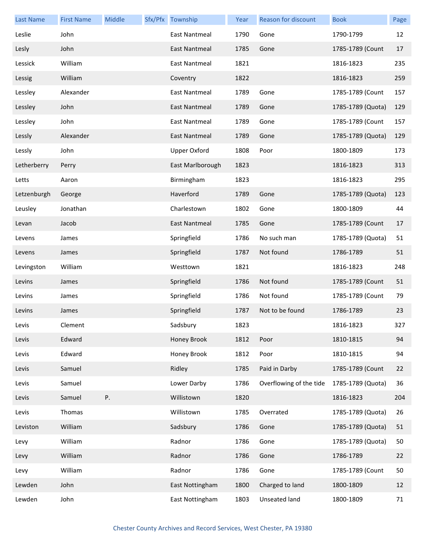| <b>Last Name</b> | <b>First Name</b> | Middle | Sfx/Pfx Township     | Year | Reason for discount     | <b>Book</b>       | Page |
|------------------|-------------------|--------|----------------------|------|-------------------------|-------------------|------|
| Leslie           | John              |        | East Nantmeal        | 1790 | Gone                    | 1790-1799         | 12   |
| Lesly            | John              |        | East Nantmeal        | 1785 | Gone                    | 1785-1789 (Count  | 17   |
| Lessick          | William           |        | <b>East Nantmeal</b> | 1821 |                         | 1816-1823         | 235  |
| Lessig           | William           |        | Coventry             | 1822 |                         | 1816-1823         | 259  |
| Lessley          | Alexander         |        | <b>East Nantmeal</b> | 1789 | Gone                    | 1785-1789 (Count  | 157  |
| Lessley          | John              |        | <b>East Nantmeal</b> | 1789 | Gone                    | 1785-1789 (Quota) | 129  |
| Lessley          | John              |        | <b>East Nantmeal</b> | 1789 | Gone                    | 1785-1789 (Count  | 157  |
| Lessly           | Alexander         |        | East Nantmeal        | 1789 | Gone                    | 1785-1789 (Quota) | 129  |
| Lessly           | John              |        | <b>Upper Oxford</b>  | 1808 | Poor                    | 1800-1809         | 173  |
| Letherberry      | Perry             |        | East Marlborough     | 1823 |                         | 1816-1823         | 313  |
| Letts            | Aaron             |        | Birmingham           | 1823 |                         | 1816-1823         | 295  |
| Letzenburgh      | George            |        | Haverford            | 1789 | Gone                    | 1785-1789 (Quota) | 123  |
| Leusley          | Jonathan          |        | Charlestown          | 1802 | Gone                    | 1800-1809         | 44   |
| Levan            | Jacob             |        | East Nantmeal        | 1785 | Gone                    | 1785-1789 (Count  | 17   |
| Levens           | James             |        | Springfield          | 1786 | No such man             | 1785-1789 (Quota) | 51   |
| Levens           | James             |        | Springfield          | 1787 | Not found               | 1786-1789         | 51   |
| Levingston       | William           |        | Westtown             | 1821 |                         | 1816-1823         | 248  |
| Levins           | James             |        | Springfield          | 1786 | Not found               | 1785-1789 (Count  | 51   |
| Levins           | James             |        | Springfield          | 1786 | Not found               | 1785-1789 (Count  | 79   |
| Levins           | James             |        | Springfield          | 1787 | Not to be found         | 1786-1789         | 23   |
| Levis            | Clement           |        | Sadsbury             | 1823 |                         | 1816-1823         | 327  |
| Levis            | Edward            |        | Honey Brook          | 1812 | Poor                    | 1810-1815         | 94   |
| Levis            | Edward            |        | Honey Brook          | 1812 | Poor                    | 1810-1815         | 94   |
| Levis            | Samuel            |        | Ridley               | 1785 | Paid in Darby           | 1785-1789 (Count  | 22   |
| Levis            | Samuel            |        | Lower Darby          | 1786 | Overflowing of the tide | 1785-1789 (Quota) | 36   |
| Levis            | Samuel            | Ρ.     | Willistown           | 1820 |                         | 1816-1823         | 204  |
| Levis            | Thomas            |        | Willistown           | 1785 | Overrated               | 1785-1789 (Quota) | 26   |
| Leviston         | William           |        | Sadsbury             | 1786 | Gone                    | 1785-1789 (Quota) | 51   |
| Levy             | William           |        | Radnor               | 1786 | Gone                    | 1785-1789 (Quota) | 50   |
| Levy             | William           |        | Radnor               | 1786 | Gone                    | 1786-1789         | 22   |
| Levy             | William           |        | Radnor               | 1786 | Gone                    | 1785-1789 (Count  | 50   |
| Lewden           | John              |        | East Nottingham      | 1800 | Charged to land         | 1800-1809         | 12   |
| Lewden           | John              |        | East Nottingham      | 1803 | Unseated land           | 1800-1809         | 71   |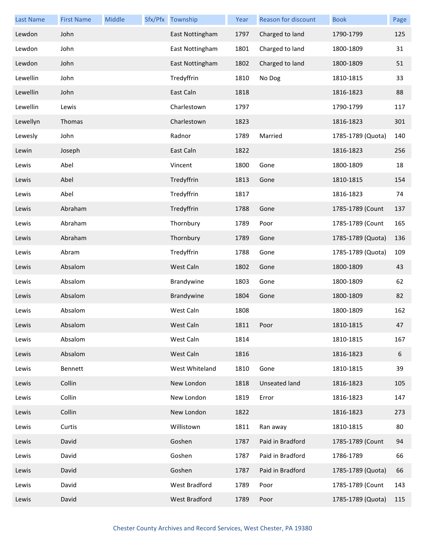| <b>Last Name</b> | <b>First Name</b> | Middle | Sfx/Pfx Township     | Year | Reason for discount  | <b>Book</b>       | Page |
|------------------|-------------------|--------|----------------------|------|----------------------|-------------------|------|
| Lewdon           | John              |        | East Nottingham      | 1797 | Charged to land      | 1790-1799         | 125  |
| Lewdon           | John              |        | East Nottingham      | 1801 | Charged to land      | 1800-1809         | 31   |
| Lewdon           | John              |        | East Nottingham      | 1802 | Charged to land      | 1800-1809         | 51   |
| Lewellin         | John              |        | Tredyffrin           | 1810 | No Dog               | 1810-1815         | 33   |
| Lewellin         | John              |        | East Caln            | 1818 |                      | 1816-1823         | 88   |
| Lewellin         | Lewis             |        | Charlestown          | 1797 |                      | 1790-1799         | 117  |
| Lewellyn         | Thomas            |        | Charlestown          | 1823 |                      | 1816-1823         | 301  |
| Lewesly          | John              |        | Radnor               | 1789 | Married              | 1785-1789 (Quota) | 140  |
| Lewin            | Joseph            |        | East Caln            | 1822 |                      | 1816-1823         | 256  |
| Lewis            | Abel              |        | Vincent              | 1800 | Gone                 | 1800-1809         | 18   |
| Lewis            | Abel              |        | Tredyffrin           | 1813 | Gone                 | 1810-1815         | 154  |
| Lewis            | Abel              |        | Tredyffrin           | 1817 |                      | 1816-1823         | 74   |
| Lewis            | Abraham           |        | Tredyffrin           | 1788 | Gone                 | 1785-1789 (Count  | 137  |
| Lewis            | Abraham           |        | Thornbury            | 1789 | Poor                 | 1785-1789 (Count  | 165  |
| Lewis            | Abraham           |        | Thornbury            | 1789 | Gone                 | 1785-1789 (Quota) | 136  |
| Lewis            | Abram             |        | Tredyffrin           | 1788 | Gone                 | 1785-1789 (Quota) | 109  |
| Lewis            | Absalom           |        | West Caln            | 1802 | Gone                 | 1800-1809         | 43   |
| Lewis            | Absalom           |        | Brandywine           | 1803 | Gone                 | 1800-1809         | 62   |
| Lewis            | Absalom           |        | Brandywine           | 1804 | Gone                 | 1800-1809         | 82   |
| Lewis            | Absalom           |        | West Caln            | 1808 |                      | 1800-1809         | 162  |
| Lewis            | Absalom           |        | West Caln            | 1811 | Poor                 | 1810-1815         | 47   |
| Lewis            | Absalom           |        | West Caln            | 1814 |                      | 1810-1815         | 167  |
| Lewis            | Absalom           |        | West Caln            | 1816 |                      | 1816-1823         | 6    |
| Lewis            | Bennett           |        | West Whiteland       | 1810 | Gone                 | 1810-1815         | 39   |
| Lewis            | Collin            |        | New London           | 1818 | <b>Unseated land</b> | 1816-1823         | 105  |
| Lewis            | Collin            |        | New London           | 1819 | Error                | 1816-1823         | 147  |
| Lewis            | Collin            |        | New London           | 1822 |                      | 1816-1823         | 273  |
| Lewis            | Curtis            |        | Willistown           | 1811 | Ran away             | 1810-1815         | 80   |
| Lewis            | David             |        | Goshen               | 1787 | Paid in Bradford     | 1785-1789 (Count  | 94   |
| Lewis            | David             |        | Goshen               | 1787 | Paid in Bradford     | 1786-1789         | 66   |
| Lewis            | David             |        | Goshen               | 1787 | Paid in Bradford     | 1785-1789 (Quota) | 66   |
| Lewis            | David             |        | <b>West Bradford</b> | 1789 | Poor                 | 1785-1789 (Count  | 143  |
| Lewis            | David             |        | West Bradford        | 1789 | Poor                 | 1785-1789 (Quota) | 115  |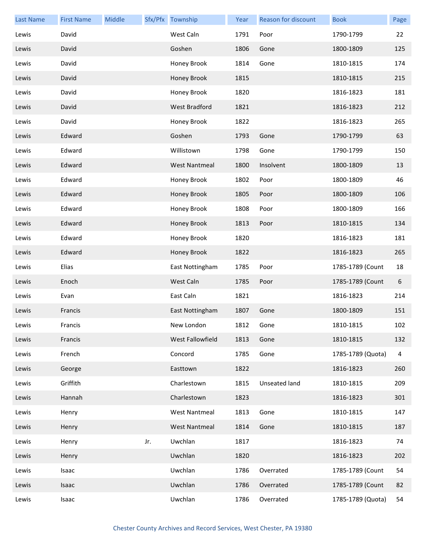| <b>Last Name</b> | <b>First Name</b> | Middle |     | Sfx/Pfx Township     | Year | <b>Reason for discount</b> | <b>Book</b>       | Page           |
|------------------|-------------------|--------|-----|----------------------|------|----------------------------|-------------------|----------------|
| Lewis            | David             |        |     | West Caln            | 1791 | Poor                       | 1790-1799         | 22             |
| Lewis            | David             |        |     | Goshen               | 1806 | Gone                       | 1800-1809         | 125            |
| Lewis            | David             |        |     | Honey Brook          | 1814 | Gone                       | 1810-1815         | 174            |
| Lewis            | David             |        |     | Honey Brook          | 1815 |                            | 1810-1815         | 215            |
| Lewis            | David             |        |     | Honey Brook          | 1820 |                            | 1816-1823         | 181            |
| Lewis            | David             |        |     | West Bradford        | 1821 |                            | 1816-1823         | 212            |
| Lewis            | David             |        |     | Honey Brook          | 1822 |                            | 1816-1823         | 265            |
| Lewis            | Edward            |        |     | Goshen               | 1793 | Gone                       | 1790-1799         | 63             |
| Lewis            | Edward            |        |     | Willistown           | 1798 | Gone                       | 1790-1799         | 150            |
| Lewis            | Edward            |        |     | <b>West Nantmeal</b> | 1800 | Insolvent                  | 1800-1809         | 13             |
| Lewis            | Edward            |        |     | Honey Brook          | 1802 | Poor                       | 1800-1809         | 46             |
| Lewis            | Edward            |        |     | Honey Brook          | 1805 | Poor                       | 1800-1809         | 106            |
| Lewis            | Edward            |        |     | Honey Brook          | 1808 | Poor                       | 1800-1809         | 166            |
| Lewis            | Edward            |        |     | Honey Brook          | 1813 | Poor                       | 1810-1815         | 134            |
| Lewis            | Edward            |        |     | Honey Brook          | 1820 |                            | 1816-1823         | 181            |
| Lewis            | Edward            |        |     | Honey Brook          | 1822 |                            | 1816-1823         | 265            |
| Lewis            | Elias             |        |     | East Nottingham      | 1785 | Poor                       | 1785-1789 (Count  | 18             |
| Lewis            | Enoch             |        |     | West Caln            | 1785 | Poor                       | 1785-1789 (Count  | 6              |
| Lewis            | Evan              |        |     | East Caln            | 1821 |                            | 1816-1823         | 214            |
| Lewis            | Francis           |        |     | East Nottingham      | 1807 | Gone                       | 1800-1809         | 151            |
| Lewis            | Francis           |        |     | New London           | 1812 | Gone                       | 1810-1815         | 102            |
| Lewis            | Francis           |        |     | West Fallowfield     | 1813 | Gone                       | 1810-1815         | 132            |
| Lewis            | French            |        |     | Concord              | 1785 | Gone                       | 1785-1789 (Quota) | $\overline{a}$ |
| Lewis            | George            |        |     | Easttown             | 1822 |                            | 1816-1823         | 260            |
| Lewis            | Griffith          |        |     | Charlestown          | 1815 | Unseated land              | 1810-1815         | 209            |
| Lewis            | Hannah            |        |     | Charlestown          | 1823 |                            | 1816-1823         | 301            |
| Lewis            | Henry             |        |     | <b>West Nantmeal</b> | 1813 | Gone                       | 1810-1815         | 147            |
| Lewis            | Henry             |        |     | <b>West Nantmeal</b> | 1814 | Gone                       | 1810-1815         | 187            |
| Lewis            | Henry             |        | Jr. | Uwchlan              | 1817 |                            | 1816-1823         | 74             |
| Lewis            | Henry             |        |     | Uwchlan              | 1820 |                            | 1816-1823         | 202            |
| Lewis            | Isaac             |        |     | Uwchlan              | 1786 | Overrated                  | 1785-1789 (Count  | 54             |
| Lewis            | Isaac             |        |     | Uwchlan              | 1786 | Overrated                  | 1785-1789 (Count  | 82             |
| Lewis            | Isaac             |        |     | Uwchlan              | 1786 | Overrated                  | 1785-1789 (Quota) | 54             |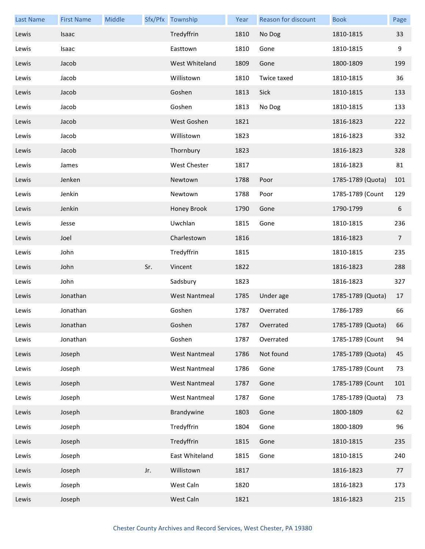| <b>Last Name</b> | <b>First Name</b> | Middle |     | Sfx/Pfx Township     | Year | <b>Reason for discount</b> | <b>Book</b>       | Page           |
|------------------|-------------------|--------|-----|----------------------|------|----------------------------|-------------------|----------------|
| Lewis            | Isaac             |        |     | Tredyffrin           | 1810 | No Dog                     | 1810-1815         | 33             |
| Lewis            | Isaac             |        |     | Easttown             | 1810 | Gone                       | 1810-1815         | 9              |
| Lewis            | Jacob             |        |     | West Whiteland       | 1809 | Gone                       | 1800-1809         | 199            |
| Lewis            | Jacob             |        |     | Willistown           | 1810 | Twice taxed                | 1810-1815         | 36             |
| Lewis            | Jacob             |        |     | Goshen               | 1813 | Sick                       | 1810-1815         | 133            |
| Lewis            | Jacob             |        |     | Goshen               | 1813 | No Dog                     | 1810-1815         | 133            |
| Lewis            | Jacob             |        |     | West Goshen          | 1821 |                            | 1816-1823         | 222            |
| Lewis            | Jacob             |        |     | Willistown           | 1823 |                            | 1816-1823         | 332            |
| Lewis            | Jacob             |        |     | Thornbury            | 1823 |                            | 1816-1823         | 328            |
| Lewis            | James             |        |     | West Chester         | 1817 |                            | 1816-1823         | 81             |
| Lewis            | Jenken            |        |     | Newtown              | 1788 | Poor                       | 1785-1789 (Quota) | 101            |
| Lewis            | Jenkin            |        |     | Newtown              | 1788 | Poor                       | 1785-1789 (Count  | 129            |
| Lewis            | Jenkin            |        |     | Honey Brook          | 1790 | Gone                       | 1790-1799         | 6              |
| Lewis            | Jesse             |        |     | Uwchlan              | 1815 | Gone                       | 1810-1815         | 236            |
| Lewis            | Joel              |        |     | Charlestown          | 1816 |                            | 1816-1823         | $\overline{7}$ |
| Lewis            | John              |        |     | Tredyffrin           | 1815 |                            | 1810-1815         | 235            |
| Lewis            | John              |        | Sr. | Vincent              | 1822 |                            | 1816-1823         | 288            |
| Lewis            | John              |        |     | Sadsbury             | 1823 |                            | 1816-1823         | 327            |
| Lewis            | Jonathan          |        |     | <b>West Nantmeal</b> | 1785 | Under age                  | 1785-1789 (Quota) | 17             |
| Lewis            | Jonathan          |        |     | Goshen               | 1787 | Overrated                  | 1786-1789         | 66             |
| Lewis            | Jonathan          |        |     | Goshen               | 1787 | Overrated                  | 1785-1789 (Quota) | 66             |
| Lewis            | Jonathan          |        |     | Goshen               | 1787 | Overrated                  | 1785-1789 (Count  | 94             |
| Lewis            | Joseph            |        |     | <b>West Nantmeal</b> | 1786 | Not found                  | 1785-1789 (Quota) | 45             |
| Lewis            | Joseph            |        |     | <b>West Nantmeal</b> | 1786 | Gone                       | 1785-1789 (Count  | 73             |
| Lewis            | Joseph            |        |     | <b>West Nantmeal</b> | 1787 | Gone                       | 1785-1789 (Count  | 101            |
| Lewis            | Joseph            |        |     | <b>West Nantmeal</b> | 1787 | Gone                       | 1785-1789 (Quota) | 73             |
| Lewis            | Joseph            |        |     | Brandywine           | 1803 | Gone                       | 1800-1809         | 62             |
| Lewis            | Joseph            |        |     | Tredyffrin           | 1804 | Gone                       | 1800-1809         | 96             |
| Lewis            | Joseph            |        |     | Tredyffrin           | 1815 | Gone                       | 1810-1815         | 235            |
| Lewis            | Joseph            |        |     | East Whiteland       | 1815 | Gone                       | 1810-1815         | 240            |
| Lewis            | Joseph            |        | Jr. | Willistown           | 1817 |                            | 1816-1823         | 77             |
| Lewis            | Joseph            |        |     | West Caln            | 1820 |                            | 1816-1823         | 173            |
| Lewis            | Joseph            |        |     | West Caln            | 1821 |                            | 1816-1823         | 215            |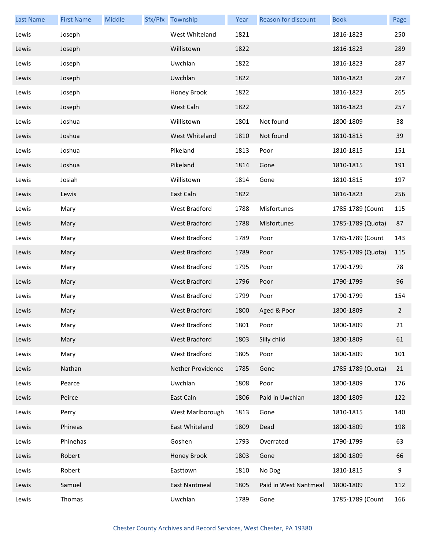| <b>Last Name</b> | <b>First Name</b> | Middle | Sfx/Pfx Township     | Year | Reason for discount   | <b>Book</b>       | Page           |
|------------------|-------------------|--------|----------------------|------|-----------------------|-------------------|----------------|
| Lewis            | Joseph            |        | West Whiteland       | 1821 |                       | 1816-1823         | 250            |
| Lewis            | Joseph            |        | Willistown           | 1822 |                       | 1816-1823         | 289            |
| Lewis            | Joseph            |        | Uwchlan              | 1822 |                       | 1816-1823         | 287            |
| Lewis            | Joseph            |        | Uwchlan              | 1822 |                       | 1816-1823         | 287            |
| Lewis            | Joseph            |        | Honey Brook          | 1822 |                       | 1816-1823         | 265            |
| Lewis            | Joseph            |        | West Caln            | 1822 |                       | 1816-1823         | 257            |
| Lewis            | Joshua            |        | Willistown           | 1801 | Not found             | 1800-1809         | 38             |
| Lewis            | Joshua            |        | West Whiteland       | 1810 | Not found             | 1810-1815         | 39             |
| Lewis            | Joshua            |        | Pikeland             | 1813 | Poor                  | 1810-1815         | 151            |
| Lewis            | Joshua            |        | Pikeland             | 1814 | Gone                  | 1810-1815         | 191            |
| Lewis            | Josiah            |        | Willistown           | 1814 | Gone                  | 1810-1815         | 197            |
| Lewis            | Lewis             |        | East Caln            | 1822 |                       | 1816-1823         | 256            |
| Lewis            | Mary              |        | <b>West Bradford</b> | 1788 | Misfortunes           | 1785-1789 (Count  | 115            |
| Lewis            | Mary              |        | <b>West Bradford</b> | 1788 | Misfortunes           | 1785-1789 (Quota) | 87             |
| Lewis            | Mary              |        | West Bradford        | 1789 | Poor                  | 1785-1789 (Count  | 143            |
| Lewis            | Mary              |        | <b>West Bradford</b> | 1789 | Poor                  | 1785-1789 (Quota) | 115            |
| Lewis            | Mary              |        | West Bradford        | 1795 | Poor                  | 1790-1799         | 78             |
| Lewis            | Mary              |        | <b>West Bradford</b> | 1796 | Poor                  | 1790-1799         | 96             |
| Lewis            | Mary              |        | <b>West Bradford</b> | 1799 | Poor                  | 1790-1799         | 154            |
| Lewis            | Mary              |        | <b>West Bradford</b> | 1800 | Aged & Poor           | 1800-1809         | $\overline{2}$ |
| Lewis            | Mary              |        | West Bradford        | 1801 | Poor                  | 1800-1809         | 21             |
| Lewis            | Mary              |        | West Bradford        | 1803 | Silly child           | 1800-1809         | 61             |
| Lewis            | Mary              |        | West Bradford        | 1805 | Poor                  | 1800-1809         | 101            |
| Lewis            | Nathan            |        | Nether Providence    | 1785 | Gone                  | 1785-1789 (Quota) | 21             |
| Lewis            | Pearce            |        | Uwchlan              | 1808 | Poor                  | 1800-1809         | 176            |
| Lewis            | Peirce            |        | East Caln            | 1806 | Paid in Uwchlan       | 1800-1809         | 122            |
| Lewis            | Perry             |        | West Marlborough     | 1813 | Gone                  | 1810-1815         | 140            |
| Lewis            | Phineas           |        | East Whiteland       | 1809 | Dead                  | 1800-1809         | 198            |
| Lewis            | Phinehas          |        | Goshen               | 1793 | Overrated             | 1790-1799         | 63             |
| Lewis            | Robert            |        | Honey Brook          | 1803 | Gone                  | 1800-1809         | 66             |
| Lewis            | Robert            |        | Easttown             | 1810 | No Dog                | 1810-1815         | 9              |
| Lewis            | Samuel            |        | East Nantmeal        | 1805 | Paid in West Nantmeal | 1800-1809         | 112            |
| Lewis            | Thomas            |        | Uwchlan              | 1789 | Gone                  | 1785-1789 (Count  | 166            |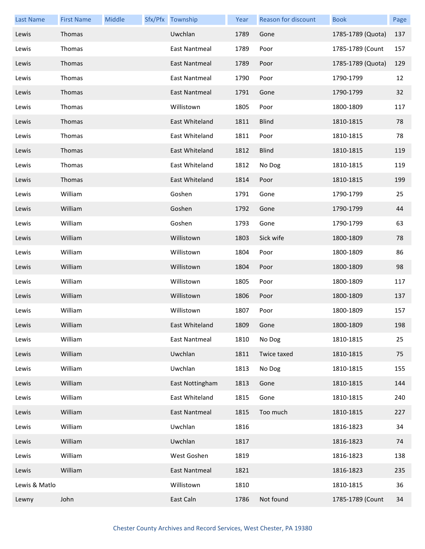| <b>Last Name</b> | <b>First Name</b> | Middle | Sfx/Pfx Township | Year | Reason for discount | <b>Book</b>       | Page |
|------------------|-------------------|--------|------------------|------|---------------------|-------------------|------|
| Lewis            | Thomas            |        | Uwchlan          | 1789 | Gone                | 1785-1789 (Quota) | 137  |
| Lewis            | Thomas            |        | East Nantmeal    | 1789 | Poor                | 1785-1789 (Count  | 157  |
| Lewis            | Thomas            |        | East Nantmeal    | 1789 | Poor                | 1785-1789 (Quota) | 129  |
| Lewis            | Thomas            |        | East Nantmeal    | 1790 | Poor                | 1790-1799         | 12   |
| Lewis            | Thomas            |        | East Nantmeal    | 1791 | Gone                | 1790-1799         | 32   |
| Lewis            | Thomas            |        | Willistown       | 1805 | Poor                | 1800-1809         | 117  |
| Lewis            | Thomas            |        | East Whiteland   | 1811 | <b>Blind</b>        | 1810-1815         | 78   |
| Lewis            | Thomas            |        | East Whiteland   | 1811 | Poor                | 1810-1815         | 78   |
| Lewis            | Thomas            |        | East Whiteland   | 1812 | <b>Blind</b>        | 1810-1815         | 119  |
| Lewis            | Thomas            |        | East Whiteland   | 1812 | No Dog              | 1810-1815         | 119  |
| Lewis            | Thomas            |        | East Whiteland   | 1814 | Poor                | 1810-1815         | 199  |
| Lewis            | William           |        | Goshen           | 1791 | Gone                | 1790-1799         | 25   |
| Lewis            | William           |        | Goshen           | 1792 | Gone                | 1790-1799         | 44   |
| Lewis            | William           |        | Goshen           | 1793 | Gone                | 1790-1799         | 63   |
| Lewis            | William           |        | Willistown       | 1803 | Sick wife           | 1800-1809         | 78   |
| Lewis            | William           |        | Willistown       | 1804 | Poor                | 1800-1809         | 86   |
| Lewis            | William           |        | Willistown       | 1804 | Poor                | 1800-1809         | 98   |
| Lewis            | William           |        | Willistown       | 1805 | Poor                | 1800-1809         | 117  |
| Lewis            | William           |        | Willistown       | 1806 | Poor                | 1800-1809         | 137  |
| Lewis            | William           |        | Willistown       | 1807 | Poor                | 1800-1809         | 157  |
| Lewis            | William           |        | East Whiteland   | 1809 | Gone                | 1800-1809         | 198  |
| Lewis            | William           |        | East Nantmeal    | 1810 | No Dog              | 1810-1815         | 25   |
| Lewis            | William           |        | Uwchlan          | 1811 | Twice taxed         | 1810-1815         | 75   |
| Lewis            | William           |        | Uwchlan          | 1813 | No Dog              | 1810-1815         | 155  |
| Lewis            | William           |        | East Nottingham  | 1813 | Gone                | 1810-1815         | 144  |
| Lewis            | William           |        | East Whiteland   | 1815 | Gone                | 1810-1815         | 240  |
| Lewis            | William           |        | East Nantmeal    | 1815 | Too much            | 1810-1815         | 227  |
| Lewis            | William           |        | Uwchlan          | 1816 |                     | 1816-1823         | 34   |
| Lewis            | William           |        | Uwchlan          | 1817 |                     | 1816-1823         | 74   |
| Lewis            | William           |        | West Goshen      | 1819 |                     | 1816-1823         | 138  |
| Lewis            | William           |        | East Nantmeal    | 1821 |                     | 1816-1823         | 235  |
| Lewis & Matlo    |                   |        | Willistown       | 1810 |                     | 1810-1815         | 36   |
| Lewny            | John              |        | East Caln        | 1786 | Not found           | 1785-1789 (Count  | 34   |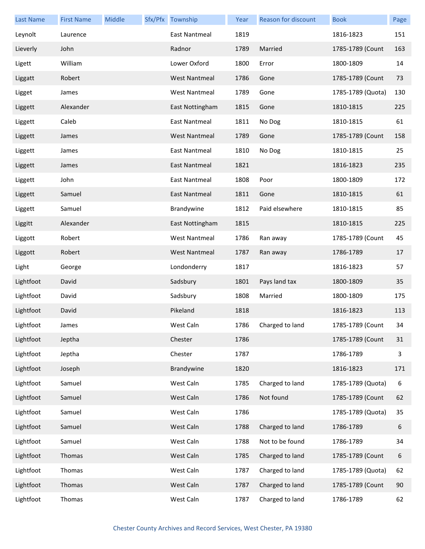| <b>Last Name</b> | <b>First Name</b> | <b>Middle</b> | Sfx/Pfx Township     | Year | Reason for discount | <b>Book</b>       | Page |
|------------------|-------------------|---------------|----------------------|------|---------------------|-------------------|------|
| Leynolt          | Laurence          |               | East Nantmeal        | 1819 |                     | 1816-1823         | 151  |
| Lieverly         | John              |               | Radnor               | 1789 | Married             | 1785-1789 (Count  | 163  |
| Ligett           | William           |               | Lower Oxford         | 1800 | Error               | 1800-1809         | 14   |
| Liggatt          | Robert            |               | <b>West Nantmeal</b> | 1786 | Gone                | 1785-1789 (Count  | 73   |
| Ligget           | James             |               | <b>West Nantmeal</b> | 1789 | Gone                | 1785-1789 (Quota) | 130  |
| Liggett          | Alexander         |               | East Nottingham      | 1815 | Gone                | 1810-1815         | 225  |
| Liggett          | Caleb             |               | East Nantmeal        | 1811 | No Dog              | 1810-1815         | 61   |
| Liggett          | James             |               | <b>West Nantmeal</b> | 1789 | Gone                | 1785-1789 (Count  | 158  |
| Liggett          | James             |               | <b>East Nantmeal</b> | 1810 | No Dog              | 1810-1815         | 25   |
| Liggett          | James             |               | East Nantmeal        | 1821 |                     | 1816-1823         | 235  |
| Liggett          | John              |               | East Nantmeal        | 1808 | Poor                | 1800-1809         | 172  |
| Liggett          | Samuel            |               | East Nantmeal        | 1811 | Gone                | 1810-1815         | 61   |
| Liggett          | Samuel            |               | Brandywine           | 1812 | Paid elsewhere      | 1810-1815         | 85   |
| Liggitt          | Alexander         |               | East Nottingham      | 1815 |                     | 1810-1815         | 225  |
| Liggott          | Robert            |               | <b>West Nantmeal</b> | 1786 | Ran away            | 1785-1789 (Count  | 45   |
| Liggott          | Robert            |               | <b>West Nantmeal</b> | 1787 | Ran away            | 1786-1789         | 17   |
| Light            | George            |               | Londonderry          | 1817 |                     | 1816-1823         | 57   |
| Lightfoot        | David             |               | Sadsbury             | 1801 | Pays land tax       | 1800-1809         | 35   |
| Lightfoot        | David             |               | Sadsbury             | 1808 | Married             | 1800-1809         | 175  |
| Lightfoot        | David             |               | Pikeland             | 1818 |                     | 1816-1823         | 113  |
| Lightfoot        | James             |               | West Caln            | 1786 | Charged to land     | 1785-1789 (Count  | 34   |
| Lightfoot        | Jeptha            |               | Chester              | 1786 |                     | 1785-1789 (Count  | 31   |
| Lightfoot        | Jeptha            |               | Chester              | 1787 |                     | 1786-1789         | 3    |
| Lightfoot        | Joseph            |               | Brandywine           | 1820 |                     | 1816-1823         | 171  |
| Lightfoot        | Samuel            |               | West Caln            | 1785 | Charged to land     | 1785-1789 (Quota) | 6    |
| Lightfoot        | Samuel            |               | West Caln            | 1786 | Not found           | 1785-1789 (Count  | 62   |
| Lightfoot        | Samuel            |               | West Caln            | 1786 |                     | 1785-1789 (Quota) | 35   |
| Lightfoot        | Samuel            |               | West Caln            | 1788 | Charged to land     | 1786-1789         | 6    |
| Lightfoot        | Samuel            |               | West Caln            | 1788 | Not to be found     | 1786-1789         | 34   |
| Lightfoot        | Thomas            |               | West Caln            | 1785 | Charged to land     | 1785-1789 (Count  | 6    |
| Lightfoot        | Thomas            |               | West Caln            | 1787 | Charged to land     | 1785-1789 (Quota) | 62   |
| Lightfoot        | Thomas            |               | West Caln            | 1787 | Charged to land     | 1785-1789 (Count  | 90   |
| Lightfoot        | Thomas            |               | West Caln            | 1787 | Charged to land     | 1786-1789         | 62   |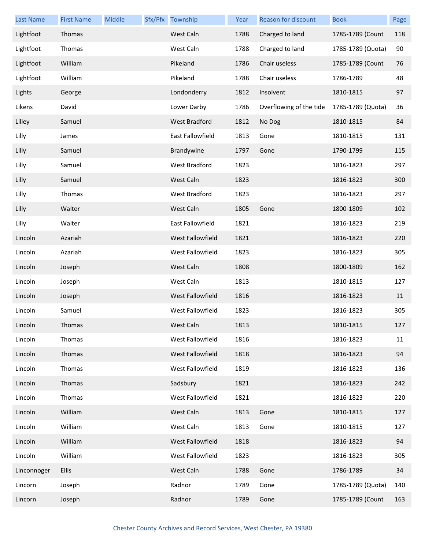| <b>Last Name</b> | <b>First Name</b> | Middle | Sfx/Pfx Township | Year | Reason for discount     | <b>Book</b>       | Page |
|------------------|-------------------|--------|------------------|------|-------------------------|-------------------|------|
| Lightfoot        | Thomas            |        | West Caln        | 1788 | Charged to land         | 1785-1789 (Count  | 118  |
| Lightfoot        | Thomas            |        | West Caln        | 1788 | Charged to land         | 1785-1789 (Quota) | 90   |
| Lightfoot        | William           |        | Pikeland         | 1786 | Chair useless           | 1785-1789 (Count  | 76   |
| Lightfoot        | William           |        | Pikeland         | 1788 | Chair useless           | 1786-1789         | 48   |
| Lights           | George            |        | Londonderry      | 1812 | Insolvent               | 1810-1815         | 97   |
| Likens           | David             |        | Lower Darby      | 1786 | Overflowing of the tide | 1785-1789 (Quota) | 36   |
| Lilley           | Samuel            |        | West Bradford    | 1812 | No Dog                  | 1810-1815         | 84   |
| Lilly            | James             |        | East Fallowfield | 1813 | Gone                    | 1810-1815         | 131  |
| Lilly            | Samuel            |        | Brandywine       | 1797 | Gone                    | 1790-1799         | 115  |
| Lilly            | Samuel            |        | West Bradford    | 1823 |                         | 1816-1823         | 297  |
| Lilly            | Samuel            |        | West Caln        | 1823 |                         | 1816-1823         | 300  |
| Lilly            | Thomas            |        | West Bradford    | 1823 |                         | 1816-1823         | 297  |
| Lilly            | Walter            |        | West Caln        | 1805 | Gone                    | 1800-1809         | 102  |
| Lilly            | Walter            |        | East Fallowfield | 1821 |                         | 1816-1823         | 219  |
| Lincoln          | Azariah           |        | West Fallowfield | 1821 |                         | 1816-1823         | 220  |
| Lincoln          | Azariah           |        | West Fallowfield | 1823 |                         | 1816-1823         | 305  |
| Lincoln          | Joseph            |        | West Caln        | 1808 |                         | 1800-1809         | 162  |
| Lincoln          | Joseph            |        | West Caln        | 1813 |                         | 1810-1815         | 127  |
| Lincoln          | Joseph            |        | West Fallowfield | 1816 |                         | 1816-1823         | 11   |
| Lincoln          | Samuel            |        | West Fallowfield | 1823 |                         | 1816-1823         | 305  |
| Lincoln          | Thomas            |        | West Caln        | 1813 |                         | 1810-1815         | 127  |
| Lincoln          | Thomas            |        | West Fallowfield | 1816 |                         | 1816-1823         | 11   |
| Lincoln          | Thomas            |        | West Fallowfield | 1818 |                         | 1816-1823         | 94   |
| Lincoln          | Thomas            |        | West Fallowfield | 1819 |                         | 1816-1823         | 136  |
| Lincoln          | Thomas            |        | Sadsbury         | 1821 |                         | 1816-1823         | 242  |
| Lincoln          | Thomas            |        | West Fallowfield | 1821 |                         | 1816-1823         | 220  |
| Lincoln          | William           |        | West Caln        | 1813 | Gone                    | 1810-1815         | 127  |
| Lincoln          | William           |        | West Caln        | 1813 | Gone                    | 1810-1815         | 127  |
| Lincoln          | William           |        | West Fallowfield | 1818 |                         | 1816-1823         | 94   |
| Lincoln          | William           |        | West Fallowfield | 1823 |                         | 1816-1823         | 305  |
| Linconnoger      | <b>Ellis</b>      |        | West Caln        | 1788 | Gone                    | 1786-1789         | 34   |
| Lincorn          | Joseph            |        | Radnor           | 1789 | Gone                    | 1785-1789 (Quota) | 140  |
| Lincorn          | Joseph            |        | Radnor           | 1789 | Gone                    | 1785-1789 (Count  | 163  |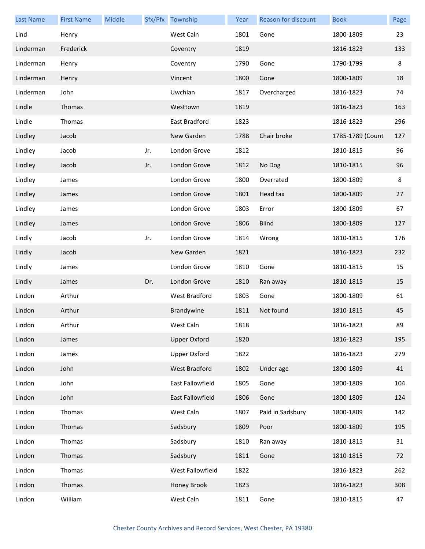| <b>Last Name</b> | <b>First Name</b> | Middle |     | Sfx/Pfx Township    | Year | Reason for discount | <b>Book</b>      | Page |
|------------------|-------------------|--------|-----|---------------------|------|---------------------|------------------|------|
| Lind             | Henry             |        |     | West Caln           | 1801 | Gone                | 1800-1809        | 23   |
| Linderman        | Frederick         |        |     | Coventry            | 1819 |                     | 1816-1823        | 133  |
| Linderman        | Henry             |        |     | Coventry            | 1790 | Gone                | 1790-1799        | 8    |
| Linderman        | Henry             |        |     | Vincent             | 1800 | Gone                | 1800-1809        | 18   |
| Linderman        | John              |        |     | Uwchlan             | 1817 | Overcharged         | 1816-1823        | 74   |
| Lindle           | Thomas            |        |     | Westtown            | 1819 |                     | 1816-1823        | 163  |
| Lindle           | Thomas            |        |     | East Bradford       | 1823 |                     | 1816-1823        | 296  |
| Lindley          | Jacob             |        |     | New Garden          | 1788 | Chair broke         | 1785-1789 (Count | 127  |
| Lindley          | Jacob             |        | Jr. | London Grove        | 1812 |                     | 1810-1815        | 96   |
| Lindley          | Jacob             |        | Jr. | London Grove        | 1812 | No Dog              | 1810-1815        | 96   |
| Lindley          | James             |        |     | London Grove        | 1800 | Overrated           | 1800-1809        | 8    |
| Lindley          | James             |        |     | London Grove        | 1801 | Head tax            | 1800-1809        | 27   |
| Lindley          | James             |        |     | London Grove        | 1803 | Error               | 1800-1809        | 67   |
| Lindley          | James             |        |     | London Grove        | 1806 | <b>Blind</b>        | 1800-1809        | 127  |
| Lindly           | Jacob             |        | Jr. | London Grove        | 1814 | Wrong               | 1810-1815        | 176  |
| Lindly           | Jacob             |        |     | New Garden          | 1821 |                     | 1816-1823        | 232  |
| Lindly           | James             |        |     | London Grove        | 1810 | Gone                | 1810-1815        | 15   |
| Lindly           | James             |        | Dr. | London Grove        | 1810 | Ran away            | 1810-1815        | 15   |
| Lindon           | Arthur            |        |     | West Bradford       | 1803 | Gone                | 1800-1809        | 61   |
| Lindon           | Arthur            |        |     | Brandywine          | 1811 | Not found           | 1810-1815        | 45   |
| Lindon           | Arthur            |        |     | West Caln           | 1818 |                     | 1816-1823        | 89   |
| Lindon           | James             |        |     | <b>Upper Oxford</b> | 1820 |                     | 1816-1823        | 195  |
| Lindon           | James             |        |     | <b>Upper Oxford</b> | 1822 |                     | 1816-1823        | 279  |
| Lindon           | John              |        |     | West Bradford       | 1802 | Under age           | 1800-1809        | 41   |
| Lindon           | John              |        |     | East Fallowfield    | 1805 | Gone                | 1800-1809        | 104  |
| Lindon           | John              |        |     | East Fallowfield    | 1806 | Gone                | 1800-1809        | 124  |
| Lindon           | Thomas            |        |     | West Caln           | 1807 | Paid in Sadsbury    | 1800-1809        | 142  |
| Lindon           | Thomas            |        |     | Sadsbury            | 1809 | Poor                | 1800-1809        | 195  |
| Lindon           | Thomas            |        |     | Sadsbury            | 1810 | Ran away            | 1810-1815        | 31   |
| Lindon           | Thomas            |        |     | Sadsbury            | 1811 | Gone                | 1810-1815        | 72   |
| Lindon           | Thomas            |        |     | West Fallowfield    | 1822 |                     | 1816-1823        | 262  |
| Lindon           | Thomas            |        |     | Honey Brook         | 1823 |                     | 1816-1823        | 308  |
| Lindon           | William           |        |     | West Caln           | 1811 | Gone                | 1810-1815        | 47   |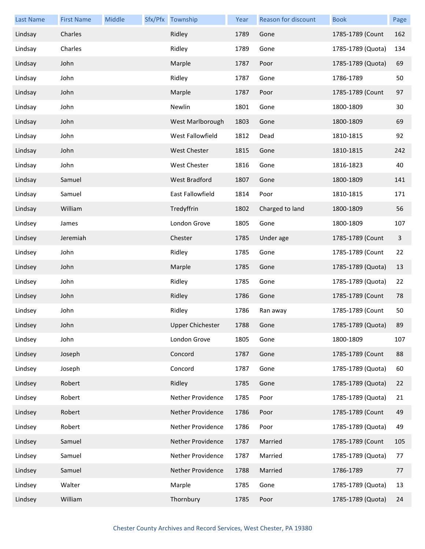| <b>Last Name</b> | <b>First Name</b> | Middle | Sfx/Pfx Township        | Year | Reason for discount | <b>Book</b>       | Page |
|------------------|-------------------|--------|-------------------------|------|---------------------|-------------------|------|
| Lindsay          | Charles           |        | Ridley                  | 1789 | Gone                | 1785-1789 (Count  | 162  |
| Lindsay          | Charles           |        | Ridley                  | 1789 | Gone                | 1785-1789 (Quota) | 134  |
| Lindsay          | John              |        | Marple                  | 1787 | Poor                | 1785-1789 (Quota) | 69   |
| Lindsay          | John              |        | Ridley                  | 1787 | Gone                | 1786-1789         | 50   |
| Lindsay          | John              |        | Marple                  | 1787 | Poor                | 1785-1789 (Count  | 97   |
| Lindsay          | John              |        | Newlin                  | 1801 | Gone                | 1800-1809         | 30   |
| Lindsay          | John              |        | West Marlborough        | 1803 | Gone                | 1800-1809         | 69   |
| Lindsay          | John              |        | West Fallowfield        | 1812 | Dead                | 1810-1815         | 92   |
| Lindsay          | John              |        | West Chester            | 1815 | Gone                | 1810-1815         | 242  |
| Lindsay          | John              |        | West Chester            | 1816 | Gone                | 1816-1823         | 40   |
| Lindsay          | Samuel            |        | <b>West Bradford</b>    | 1807 | Gone                | 1800-1809         | 141  |
| Lindsay          | Samuel            |        | <b>East Fallowfield</b> | 1814 | Poor                | 1810-1815         | 171  |
| Lindsay          | William           |        | Tredyffrin              | 1802 | Charged to land     | 1800-1809         | 56   |
| Lindsey          | James             |        | London Grove            | 1805 | Gone                | 1800-1809         | 107  |
| Lindsey          | Jeremiah          |        | Chester                 | 1785 | Under age           | 1785-1789 (Count  | 3    |
| Lindsey          | John              |        | Ridley                  | 1785 | Gone                | 1785-1789 (Count  | 22   |
| Lindsey          | John              |        | Marple                  | 1785 | Gone                | 1785-1789 (Quota) | 13   |
| Lindsey          | John              |        | Ridley                  | 1785 | Gone                | 1785-1789 (Quota) | 22   |
| Lindsey          | John              |        | Ridley                  | 1786 | Gone                | 1785-1789 (Count  | 78   |
| Lindsey          | John              |        | Ridley                  | 1786 | Ran away            | 1785-1789 (Count  | 50   |
| Lindsey          | John              |        | <b>Upper Chichester</b> | 1788 | Gone                | 1785-1789 (Quota) | 89   |
| Lindsey          | John              |        | London Grove            | 1805 | Gone                | 1800-1809         | 107  |
| Lindsey          | Joseph            |        | Concord                 | 1787 | Gone                | 1785-1789 (Count  | 88   |
| Lindsey          | Joseph            |        | Concord                 | 1787 | Gone                | 1785-1789 (Quota) | 60   |
| Lindsey          | Robert            |        | Ridley                  | 1785 | Gone                | 1785-1789 (Quota) | 22   |
| Lindsey          | Robert            |        | Nether Providence       | 1785 | Poor                | 1785-1789 (Quota) | 21   |
| Lindsey          | Robert            |        | Nether Providence       | 1786 | Poor                | 1785-1789 (Count  | 49   |
| Lindsey          | Robert            |        | Nether Providence       | 1786 | Poor                | 1785-1789 (Quota) | 49   |
| Lindsey          | Samuel            |        | Nether Providence       | 1787 | Married             | 1785-1789 (Count  | 105  |
| Lindsey          | Samuel            |        | Nether Providence       | 1787 | Married             | 1785-1789 (Quota) | 77   |
| Lindsey          | Samuel            |        | Nether Providence       | 1788 | Married             | 1786-1789         | 77   |
| Lindsey          | Walter            |        | Marple                  | 1785 | Gone                | 1785-1789 (Quota) | 13   |
| Lindsey          | William           |        | Thornbury               | 1785 | Poor                | 1785-1789 (Quota) | 24   |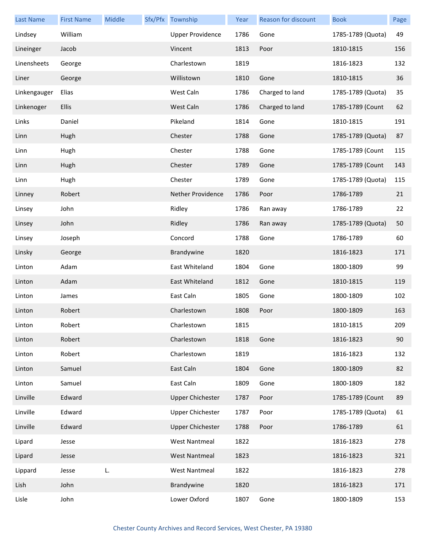| <b>Last Name</b> | <b>First Name</b> | Middle | Sfx/Pfx Township         | Year | Reason for discount | <b>Book</b>       | Page |
|------------------|-------------------|--------|--------------------------|------|---------------------|-------------------|------|
| Lindsey          | William           |        | <b>Upper Providence</b>  | 1786 | Gone                | 1785-1789 (Quota) | 49   |
| Lineinger        | Jacob             |        | Vincent                  | 1813 | Poor                | 1810-1815         | 156  |
| Linensheets      | George            |        | Charlestown              | 1819 |                     | 1816-1823         | 132  |
| Liner            | George            |        | Willistown               | 1810 | Gone                | 1810-1815         | 36   |
| Linkengauger     | Elias             |        | West Caln                | 1786 | Charged to land     | 1785-1789 (Quota) | 35   |
| Linkenoger       | <b>Ellis</b>      |        | West Caln                | 1786 | Charged to land     | 1785-1789 (Count  | 62   |
| Links            | Daniel            |        | Pikeland                 | 1814 | Gone                | 1810-1815         | 191  |
| Linn             | Hugh              |        | Chester                  | 1788 | Gone                | 1785-1789 (Quota) | 87   |
| Linn             | Hugh              |        | Chester                  | 1788 | Gone                | 1785-1789 (Count  | 115  |
| Linn             | Hugh              |        | Chester                  | 1789 | Gone                | 1785-1789 (Count  | 143  |
| Linn             | Hugh              |        | Chester                  | 1789 | Gone                | 1785-1789 (Quota) | 115  |
| Linney           | Robert            |        | <b>Nether Providence</b> | 1786 | Poor                | 1786-1789         | 21   |
| Linsey           | John              |        | Ridley                   | 1786 | Ran away            | 1786-1789         | 22   |
| Linsey           | John              |        | Ridley                   | 1786 | Ran away            | 1785-1789 (Quota) | 50   |
| Linsey           | Joseph            |        | Concord                  | 1788 | Gone                | 1786-1789         | 60   |
| Linsky           | George            |        | Brandywine               | 1820 |                     | 1816-1823         | 171  |
| Linton           | Adam              |        | East Whiteland           | 1804 | Gone                | 1800-1809         | 99   |
| Linton           | Adam              |        | East Whiteland           | 1812 | Gone                | 1810-1815         | 119  |
| Linton           | James             |        | East Caln                | 1805 | Gone                | 1800-1809         | 102  |
| Linton           | Robert            |        | Charlestown              | 1808 | Poor                | 1800-1809         | 163  |
| Linton           | Robert            |        | Charlestown              | 1815 |                     | 1810-1815         | 209  |
| Linton           | Robert            |        | Charlestown              | 1818 | Gone                | 1816-1823         | 90   |
| Linton           | Robert            |        | Charlestown              | 1819 |                     | 1816-1823         | 132  |
| Linton           | Samuel            |        | East Caln                | 1804 | Gone                | 1800-1809         | 82   |
| Linton           | Samuel            |        | East Caln                | 1809 | Gone                | 1800-1809         | 182  |
| Linville         | Edward            |        | <b>Upper Chichester</b>  | 1787 | Poor                | 1785-1789 (Count  | 89   |
| Linville         | Edward            |        | <b>Upper Chichester</b>  | 1787 | Poor                | 1785-1789 (Quota) | 61   |
| Linville         | Edward            |        | <b>Upper Chichester</b>  | 1788 | Poor                | 1786-1789         | 61   |
| Lipard           | Jesse             |        | <b>West Nantmeal</b>     | 1822 |                     | 1816-1823         | 278  |
| Lipard           | Jesse             |        | <b>West Nantmeal</b>     | 1823 |                     | 1816-1823         | 321  |
| Lippard          | Jesse             | L.     | <b>West Nantmeal</b>     | 1822 |                     | 1816-1823         | 278  |
| Lish             | John              |        | Brandywine               | 1820 |                     | 1816-1823         | 171  |
| Lisle            | John              |        | Lower Oxford             | 1807 | Gone                | 1800-1809         | 153  |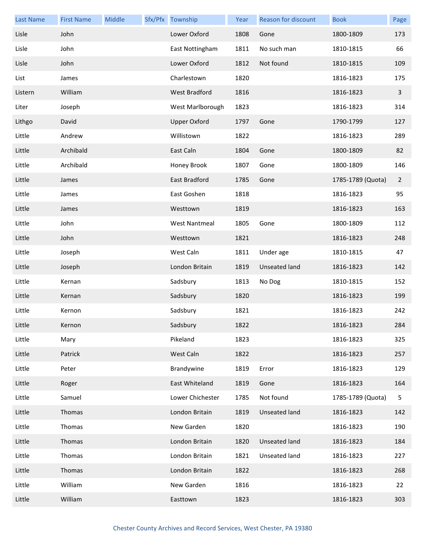| <b>Last Name</b> | <b>First Name</b> | Middle | Sfx/Pfx Township     | Year | Reason for discount  | <b>Book</b>       | Page           |
|------------------|-------------------|--------|----------------------|------|----------------------|-------------------|----------------|
| Lisle            | John              |        | Lower Oxford         | 1808 | Gone                 | 1800-1809         | 173            |
| Lisle            | John              |        | East Nottingham      | 1811 | No such man          | 1810-1815         | 66             |
| Lisle            | John              |        | Lower Oxford         | 1812 | Not found            | 1810-1815         | 109            |
| List             | James             |        | Charlestown          | 1820 |                      | 1816-1823         | 175            |
| Listern          | William           |        | West Bradford        | 1816 |                      | 1816-1823         | $\overline{3}$ |
| Liter            | Joseph            |        | West Marlborough     | 1823 |                      | 1816-1823         | 314            |
| Lithgo           | David             |        | <b>Upper Oxford</b>  | 1797 | Gone                 | 1790-1799         | 127            |
| Little           | Andrew            |        | Willistown           | 1822 |                      | 1816-1823         | 289            |
| Little           | Archibald         |        | East Caln            | 1804 | Gone                 | 1800-1809         | 82             |
| Little           | Archibald         |        | Honey Brook          | 1807 | Gone                 | 1800-1809         | 146            |
| Little           | James             |        | East Bradford        | 1785 | Gone                 | 1785-1789 (Quota) | $\overline{2}$ |
| Little           | James             |        | East Goshen          | 1818 |                      | 1816-1823         | 95             |
| Little           | James             |        | Westtown             | 1819 |                      | 1816-1823         | 163            |
| Little           | John              |        | <b>West Nantmeal</b> | 1805 | Gone                 | 1800-1809         | 112            |
| Little           | John              |        | Westtown             | 1821 |                      | 1816-1823         | 248            |
| Little           | Joseph            |        | West Caln            | 1811 | Under age            | 1810-1815         | 47             |
| Little           | Joseph            |        | London Britain       | 1819 | Unseated land        | 1816-1823         | 142            |
| Little           | Kernan            |        | Sadsbury             | 1813 | No Dog               | 1810-1815         | 152            |
| Little           | Kernan            |        | Sadsbury             | 1820 |                      | 1816-1823         | 199            |
| Little           | Kernon            |        | Sadsbury             | 1821 |                      | 1816-1823         | 242            |
| Little           | Kernon            |        | Sadsbury             | 1822 |                      | 1816-1823         | 284            |
| Little           | Mary              |        | Pikeland             | 1823 |                      | 1816-1823         | 325            |
| Little           | Patrick           |        | West Caln            | 1822 |                      | 1816-1823         | 257            |
| Little           | Peter             |        | Brandywine           | 1819 | Error                | 1816-1823         | 129            |
| Little           | Roger             |        | East Whiteland       | 1819 | Gone                 | 1816-1823         | 164            |
| Little           | Samuel            |        | Lower Chichester     | 1785 | Not found            | 1785-1789 (Quota) | 5              |
| Little           | Thomas            |        | London Britain       | 1819 | <b>Unseated land</b> | 1816-1823         | 142            |
| Little           | Thomas            |        | New Garden           | 1820 |                      | 1816-1823         | 190            |
| Little           | Thomas            |        | London Britain       | 1820 | <b>Unseated land</b> | 1816-1823         | 184            |
| Little           | Thomas            |        | London Britain       | 1821 | Unseated land        | 1816-1823         | 227            |
| Little           | Thomas            |        | London Britain       | 1822 |                      | 1816-1823         | 268            |
| Little           | William           |        | New Garden           | 1816 |                      | 1816-1823         | 22             |
| Little           | William           |        | Easttown             | 1823 |                      | 1816-1823         | 303            |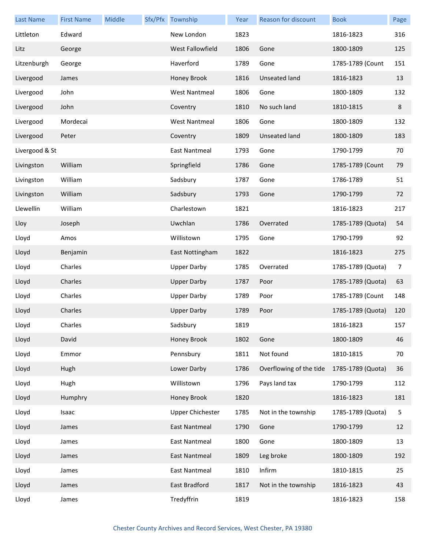| Last Name      | <b>First Name</b> | Middle | Sfx/Pfx Township        | Year | Reason for discount     | <b>Book</b>       | Page    |
|----------------|-------------------|--------|-------------------------|------|-------------------------|-------------------|---------|
| Littleton      | Edward            |        | New London              | 1823 |                         | 1816-1823         | 316     |
| Litz           | George            |        | West Fallowfield        | 1806 | Gone                    | 1800-1809         | 125     |
| Litzenburgh    | George            |        | Haverford               | 1789 | Gone                    | 1785-1789 (Count  | 151     |
| Livergood      | James             |        | Honey Brook             | 1816 | Unseated land           | 1816-1823         | 13      |
| Livergood      | John              |        | <b>West Nantmeal</b>    | 1806 | Gone                    | 1800-1809         | 132     |
| Livergood      | John              |        | Coventry                | 1810 | No such land            | 1810-1815         | $\bf 8$ |
| Livergood      | Mordecai          |        | <b>West Nantmeal</b>    | 1806 | Gone                    | 1800-1809         | 132     |
| Livergood      | Peter             |        | Coventry                | 1809 | <b>Unseated land</b>    | 1800-1809         | 183     |
| Livergood & St |                   |        | <b>East Nantmeal</b>    | 1793 | Gone                    | 1790-1799         | 70      |
| Livingston     | William           |        | Springfield             | 1786 | Gone                    | 1785-1789 (Count  | 79      |
| Livingston     | William           |        | Sadsbury                | 1787 | Gone                    | 1786-1789         | 51      |
| Livingston     | William           |        | Sadsbury                | 1793 | Gone                    | 1790-1799         | 72      |
| Llewellin      | William           |        | Charlestown             | 1821 |                         | 1816-1823         | 217     |
| Lloy           | Joseph            |        | Uwchlan                 | 1786 | Overrated               | 1785-1789 (Quota) | 54      |
| Lloyd          | Amos              |        | Willistown              | 1795 | Gone                    | 1790-1799         | 92      |
| Lloyd          | Benjamin          |        | East Nottingham         | 1822 |                         | 1816-1823         | 275     |
| Lloyd          | Charles           |        | <b>Upper Darby</b>      | 1785 | Overrated               | 1785-1789 (Quota) | 7       |
| Lloyd          | Charles           |        | <b>Upper Darby</b>      | 1787 | Poor                    | 1785-1789 (Quota) | 63      |
| Lloyd          | Charles           |        | <b>Upper Darby</b>      | 1789 | Poor                    | 1785-1789 (Count  | 148     |
| Lloyd          | Charles           |        | <b>Upper Darby</b>      | 1789 | Poor                    | 1785-1789 (Quota) | 120     |
| Lloyd          | Charles           |        | Sadsbury                | 1819 |                         | 1816-1823         | 157     |
| Lloyd          | David             |        | Honey Brook             | 1802 | Gone                    | 1800-1809         | 46      |
| Lloyd          | Emmor             |        | Pennsbury               | 1811 | Not found               | 1810-1815         | 70      |
| Lloyd          | Hugh              |        | Lower Darby             | 1786 | Overflowing of the tide | 1785-1789 (Quota) | 36      |
| Lloyd          | Hugh              |        | Willistown              | 1796 | Pays land tax           | 1790-1799         | 112     |
| Lloyd          | Humphry           |        | Honey Brook             | 1820 |                         | 1816-1823         | 181     |
| Lloyd          | Isaac             |        | <b>Upper Chichester</b> | 1785 | Not in the township     | 1785-1789 (Quota) | 5       |
| Lloyd          | James             |        | East Nantmeal           | 1790 | Gone                    | 1790-1799         | 12      |
| Lloyd          | James             |        | East Nantmeal           | 1800 | Gone                    | 1800-1809         | 13      |
| Lloyd          | James             |        | East Nantmeal           | 1809 | Leg broke               | 1800-1809         | 192     |
| Lloyd          | James             |        | East Nantmeal           | 1810 | Infirm                  | 1810-1815         | 25      |
| Lloyd          | James             |        | East Bradford           | 1817 | Not in the township     | 1816-1823         | 43      |
| Lloyd          | James             |        | Tredyffrin              | 1819 |                         | 1816-1823         | 158     |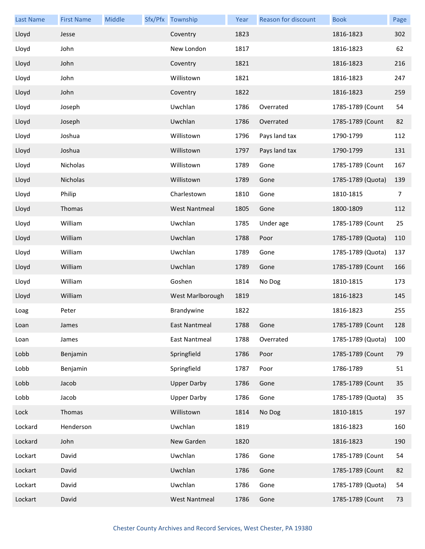| <b>Last Name</b> | <b>First Name</b> | Middle | Sfx/Pfx Township     | Year | Reason for discount | <b>Book</b>       | Page           |
|------------------|-------------------|--------|----------------------|------|---------------------|-------------------|----------------|
| Lloyd            | Jesse             |        | Coventry             | 1823 |                     | 1816-1823         | 302            |
| Lloyd            | John              |        | New London           | 1817 |                     | 1816-1823         | 62             |
| Lloyd            | John              |        | Coventry             | 1821 |                     | 1816-1823         | 216            |
| Lloyd            | John              |        | Willistown           | 1821 |                     | 1816-1823         | 247            |
| Lloyd            | John              |        | Coventry             | 1822 |                     | 1816-1823         | 259            |
| Lloyd            | Joseph            |        | Uwchlan              | 1786 | Overrated           | 1785-1789 (Count  | 54             |
| Lloyd            | Joseph            |        | Uwchlan              | 1786 | Overrated           | 1785-1789 (Count  | 82             |
| Lloyd            | Joshua            |        | Willistown           | 1796 | Pays land tax       | 1790-1799         | 112            |
| Lloyd            | Joshua            |        | Willistown           | 1797 | Pays land tax       | 1790-1799         | 131            |
| Lloyd            | Nicholas          |        | Willistown           | 1789 | Gone                | 1785-1789 (Count  | 167            |
| Lloyd            | Nicholas          |        | Willistown           | 1789 | Gone                | 1785-1789 (Quota) | 139            |
| Lloyd            | Philip            |        | Charlestown          | 1810 | Gone                | 1810-1815         | $\overline{7}$ |
| Lloyd            | Thomas            |        | <b>West Nantmeal</b> | 1805 | Gone                | 1800-1809         | 112            |
| Lloyd            | William           |        | Uwchlan              | 1785 | Under age           | 1785-1789 (Count  | 25             |
| Lloyd            | William           |        | Uwchlan              | 1788 | Poor                | 1785-1789 (Quota) | 110            |
| Lloyd            | William           |        | Uwchlan              | 1789 | Gone                | 1785-1789 (Quota) | 137            |
| Lloyd            | William           |        | Uwchlan              | 1789 | Gone                | 1785-1789 (Count  | 166            |
| Lloyd            | William           |        | Goshen               | 1814 | No Dog              | 1810-1815         | 173            |
| Lloyd            | William           |        | West Marlborough     | 1819 |                     | 1816-1823         | 145            |
| Loag             | Peter             |        | Brandywine           | 1822 |                     | 1816-1823         | 255            |
| Loan             | James             |        | East Nantmeal        | 1788 | Gone                | 1785-1789 (Count  | 128            |
| Loan             | James             |        | East Nantmeal        | 1788 | Overrated           | 1785-1789 (Quota) | 100            |
| Lobb             | Benjamin          |        | Springfield          | 1786 | Poor                | 1785-1789 (Count  | 79             |
| Lobb             | Benjamin          |        | Springfield          | 1787 | Poor                | 1786-1789         | 51             |
| Lobb             | Jacob             |        | <b>Upper Darby</b>   | 1786 | Gone                | 1785-1789 (Count  | 35             |
| Lobb             | Jacob             |        | <b>Upper Darby</b>   | 1786 | Gone                | 1785-1789 (Quota) | 35             |
| Lock             | Thomas            |        | Willistown           | 1814 | No Dog              | 1810-1815         | 197            |
| Lockard          | Henderson         |        | Uwchlan              | 1819 |                     | 1816-1823         | 160            |
| Lockard          | John              |        | New Garden           | 1820 |                     | 1816-1823         | 190            |
| Lockart          | David             |        | Uwchlan              | 1786 | Gone                | 1785-1789 (Count  | 54             |
| Lockart          | David             |        | Uwchlan              | 1786 | Gone                | 1785-1789 (Count  | 82             |
| Lockart          | David             |        | Uwchlan              | 1786 | Gone                | 1785-1789 (Quota) | 54             |
| Lockart          | David             |        | <b>West Nantmeal</b> | 1786 | Gone                | 1785-1789 (Count  | 73             |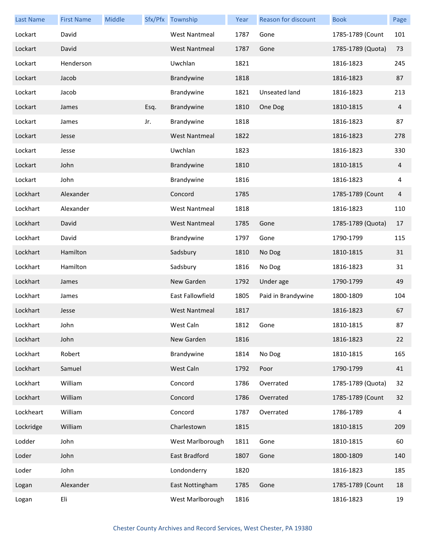| <b>Last Name</b> | <b>First Name</b> | Middle |      | Sfx/Pfx Township     | Year | Reason for discount | <b>Book</b>       | Page |
|------------------|-------------------|--------|------|----------------------|------|---------------------|-------------------|------|
| Lockart          | David             |        |      | <b>West Nantmeal</b> | 1787 | Gone                | 1785-1789 (Count  | 101  |
| Lockart          | David             |        |      | <b>West Nantmeal</b> | 1787 | Gone                | 1785-1789 (Quota) | 73   |
| Lockart          | Henderson         |        |      | Uwchlan              | 1821 |                     | 1816-1823         | 245  |
| Lockart          | Jacob             |        |      | Brandywine           | 1818 |                     | 1816-1823         | 87   |
| Lockart          | Jacob             |        |      | Brandywine           | 1821 | Unseated land       | 1816-1823         | 213  |
| Lockart          | James             |        | Esq. | Brandywine           | 1810 | One Dog             | 1810-1815         | 4    |
| Lockart          | James             |        | Jr.  | Brandywine           | 1818 |                     | 1816-1823         | 87   |
| Lockart          | Jesse             |        |      | <b>West Nantmeal</b> | 1822 |                     | 1816-1823         | 278  |
| Lockart          | Jesse             |        |      | Uwchlan              | 1823 |                     | 1816-1823         | 330  |
| Lockart          | John              |        |      | Brandywine           | 1810 |                     | 1810-1815         | 4    |
| Lockart          | John              |        |      | Brandywine           | 1816 |                     | 1816-1823         | 4    |
| Lockhart         | Alexander         |        |      | Concord              | 1785 |                     | 1785-1789 (Count  | 4    |
| Lockhart         | Alexander         |        |      | <b>West Nantmeal</b> | 1818 |                     | 1816-1823         | 110  |
| Lockhart         | David             |        |      | <b>West Nantmeal</b> | 1785 | Gone                | 1785-1789 (Quota) | 17   |
| Lockhart         | David             |        |      | Brandywine           | 1797 | Gone                | 1790-1799         | 115  |
| Lockhart         | Hamilton          |        |      | Sadsbury             | 1810 | No Dog              | 1810-1815         | 31   |
| Lockhart         | Hamilton          |        |      | Sadsbury             | 1816 | No Dog              | 1816-1823         | 31   |
| Lockhart         | James             |        |      | New Garden           | 1792 | Under age           | 1790-1799         | 49   |
| Lockhart         | James             |        |      | East Fallowfield     | 1805 | Paid in Brandywine  | 1800-1809         | 104  |
| Lockhart         | Jesse             |        |      | <b>West Nantmeal</b> | 1817 |                     | 1816-1823         | 67   |
| Lockhart         | John              |        |      | West Caln            | 1812 | Gone                | 1810-1815         | 87   |
| Lockhart         | John              |        |      | New Garden           | 1816 |                     | 1816-1823         | 22   |
| Lockhart         | Robert            |        |      | Brandywine           | 1814 | No Dog              | 1810-1815         | 165  |
| Lockhart         | Samuel            |        |      | West Caln            | 1792 | Poor                | 1790-1799         | 41   |
| Lockhart         | William           |        |      | Concord              | 1786 | Overrated           | 1785-1789 (Quota) | 32   |
| Lockhart         | William           |        |      | Concord              | 1786 | Overrated           | 1785-1789 (Count  | 32   |
| Lockheart        | William           |        |      | Concord              | 1787 | Overrated           | 1786-1789         | 4    |
| Lockridge        | William           |        |      | Charlestown          | 1815 |                     | 1810-1815         | 209  |
| Lodder           | John              |        |      | West Marlborough     | 1811 | Gone                | 1810-1815         | 60   |
| Loder            | John              |        |      | East Bradford        | 1807 | Gone                | 1800-1809         | 140  |
| Loder            | John              |        |      | Londonderry          | 1820 |                     | 1816-1823         | 185  |
| Logan            | Alexander         |        |      | East Nottingham      | 1785 | Gone                | 1785-1789 (Count  | 18   |
| Logan            | Eli               |        |      | West Marlborough     | 1816 |                     | 1816-1823         | 19   |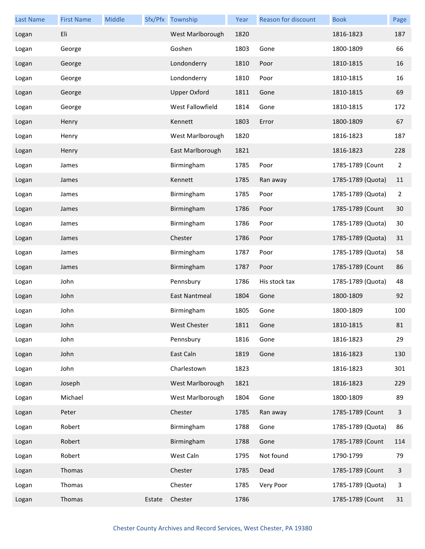| <b>Last Name</b> | <b>First Name</b> | Middle |        | Sfx/Pfx Township    | Year | Reason for discount | <b>Book</b>       | Page         |
|------------------|-------------------|--------|--------|---------------------|------|---------------------|-------------------|--------------|
| Logan            | Eli               |        |        | West Marlborough    | 1820 |                     | 1816-1823         | 187          |
| Logan            | George            |        |        | Goshen              | 1803 | Gone                | 1800-1809         | 66           |
| Logan            | George            |        |        | Londonderry         | 1810 | Poor                | 1810-1815         | 16           |
| Logan            | George            |        |        | Londonderry         | 1810 | Poor                | 1810-1815         | 16           |
| Logan            | George            |        |        | <b>Upper Oxford</b> | 1811 | Gone                | 1810-1815         | 69           |
| Logan            | George            |        |        | West Fallowfield    | 1814 | Gone                | 1810-1815         | 172          |
| Logan            | Henry             |        |        | Kennett             | 1803 | Error               | 1800-1809         | 67           |
| Logan            | Henry             |        |        | West Marlborough    | 1820 |                     | 1816-1823         | 187          |
| Logan            | Henry             |        |        | East Marlborough    | 1821 |                     | 1816-1823         | 228          |
| Logan            | James             |        |        | Birmingham          | 1785 | Poor                | 1785-1789 (Count  | 2            |
| Logan            | James             |        |        | Kennett             | 1785 | Ran away            | 1785-1789 (Quota) | 11           |
| Logan            | James             |        |        | Birmingham          | 1785 | Poor                | 1785-1789 (Quota) | 2            |
| Logan            | James             |        |        | Birmingham          | 1786 | Poor                | 1785-1789 (Count  | 30           |
| Logan            | James             |        |        | Birmingham          | 1786 | Poor                | 1785-1789 (Quota) | 30           |
| Logan            | James             |        |        | Chester             | 1786 | Poor                | 1785-1789 (Quota) | 31           |
| Logan            | James             |        |        | Birmingham          | 1787 | Poor                | 1785-1789 (Quota) | 58           |
| Logan            | James             |        |        | Birmingham          | 1787 | Poor                | 1785-1789 (Count  | 86           |
| Logan            | John              |        |        | Pennsbury           | 1786 | His stock tax       | 1785-1789 (Quota) | 48           |
| Logan            | John              |        |        | East Nantmeal       | 1804 | Gone                | 1800-1809         | 92           |
| Logan            | John              |        |        | Birmingham          | 1805 | Gone                | 1800-1809         | 100          |
| Logan            | John              |        |        | West Chester        | 1811 | Gone                | 1810-1815         | 81           |
| Logan            | John              |        |        | Pennsbury           | 1816 | Gone                | 1816-1823         | 29           |
| Logan            | John              |        |        | East Caln           | 1819 | Gone                | 1816-1823         | 130          |
| Logan            | John              |        |        | Charlestown         | 1823 |                     | 1816-1823         | 301          |
| Logan            | Joseph            |        |        | West Marlborough    | 1821 |                     | 1816-1823         | 229          |
| Logan            | Michael           |        |        | West Marlborough    | 1804 | Gone                | 1800-1809         | 89           |
| Logan            | Peter             |        |        | Chester             | 1785 | Ran away            | 1785-1789 (Count  | $\mathbf{3}$ |
| Logan            | Robert            |        |        | Birmingham          | 1788 | Gone                | 1785-1789 (Quota) | 86           |
| Logan            | Robert            |        |        | Birmingham          | 1788 | Gone                | 1785-1789 (Count  | 114          |
| Logan            | Robert            |        |        | West Caln           | 1795 | Not found           | 1790-1799         | 79           |
| Logan            | Thomas            |        |        | Chester             | 1785 | Dead                | 1785-1789 (Count  | 3            |
| Logan            | Thomas            |        |        | Chester             | 1785 | Very Poor           | 1785-1789 (Quota) | 3            |
| Logan            | Thomas            |        | Estate | Chester             | 1786 |                     | 1785-1789 (Count  | 31           |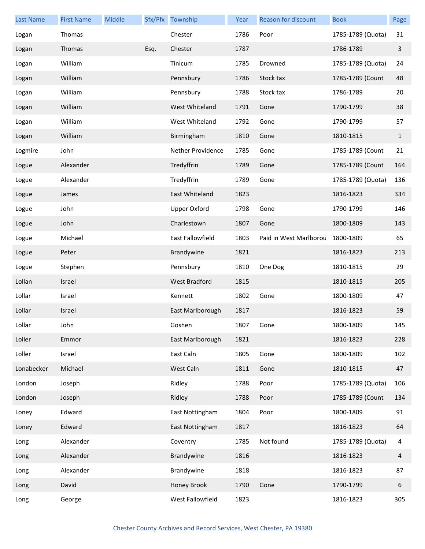| <b>Last Name</b> | <b>First Name</b> | Middle |      | Sfx/Pfx Township     | Year | Reason for discount    | <b>Book</b>       | Page         |
|------------------|-------------------|--------|------|----------------------|------|------------------------|-------------------|--------------|
| Logan            | Thomas            |        |      | Chester              | 1786 | Poor                   | 1785-1789 (Quota) | 31           |
| Logan            | Thomas            |        | Esq. | Chester              | 1787 |                        | 1786-1789         | 3            |
| Logan            | William           |        |      | Tinicum              | 1785 | Drowned                | 1785-1789 (Quota) | 24           |
| Logan            | William           |        |      | Pennsbury            | 1786 | Stock tax              | 1785-1789 (Count  | 48           |
| Logan            | William           |        |      | Pennsbury            | 1788 | Stock tax              | 1786-1789         | 20           |
| Logan            | William           |        |      | West Whiteland       | 1791 | Gone                   | 1790-1799         | 38           |
| Logan            | William           |        |      | West Whiteland       | 1792 | Gone                   | 1790-1799         | 57           |
| Logan            | William           |        |      | Birmingham           | 1810 | Gone                   | 1810-1815         | $\mathbf{1}$ |
| Logmire          | John              |        |      | Nether Providence    | 1785 | Gone                   | 1785-1789 (Count  | 21           |
| Logue            | Alexander         |        |      | Tredyffrin           | 1789 | Gone                   | 1785-1789 (Count  | 164          |
| Logue            | Alexander         |        |      | Tredyffrin           | 1789 | Gone                   | 1785-1789 (Quota) | 136          |
| Logue            | James             |        |      | East Whiteland       | 1823 |                        | 1816-1823         | 334          |
| Logue            | John              |        |      | <b>Upper Oxford</b>  | 1798 | Gone                   | 1790-1799         | 146          |
| Logue            | John              |        |      | Charlestown          | 1807 | Gone                   | 1800-1809         | 143          |
| Logue            | Michael           |        |      | East Fallowfield     | 1803 | Paid in West Marlborou | 1800-1809         | 65           |
| Logue            | Peter             |        |      | Brandywine           | 1821 |                        | 1816-1823         | 213          |
| Logue            | Stephen           |        |      | Pennsbury            | 1810 | One Dog                | 1810-1815         | 29           |
| Lollan           | Israel            |        |      | <b>West Bradford</b> | 1815 |                        | 1810-1815         | 205          |
| Lollar           | Israel            |        |      | Kennett              | 1802 | Gone                   | 1800-1809         | 47           |
| Lollar           | Israel            |        |      | East Marlborough     | 1817 |                        | 1816-1823         | 59           |
| Lollar           | John              |        |      | Goshen               | 1807 | Gone                   | 1800-1809         | 145          |
| Loller           | Emmor             |        |      | East Marlborough     | 1821 |                        | 1816-1823         | 228          |
| Loller           | Israel            |        |      | East Caln            | 1805 | Gone                   | 1800-1809         | 102          |
| Lonabecker       | Michael           |        |      | West Caln            | 1811 | Gone                   | 1810-1815         | 47           |
| London           | Joseph            |        |      | Ridley               | 1788 | Poor                   | 1785-1789 (Quota) | 106          |
| London           | Joseph            |        |      | Ridley               | 1788 | Poor                   | 1785-1789 (Count  | 134          |
| Loney            | Edward            |        |      | East Nottingham      | 1804 | Poor                   | 1800-1809         | 91           |
| Loney            | Edward            |        |      | East Nottingham      | 1817 |                        | 1816-1823         | 64           |
| Long             | Alexander         |        |      | Coventry             | 1785 | Not found              | 1785-1789 (Quota) | 4            |
| Long             | Alexander         |        |      | Brandywine           | 1816 |                        | 1816-1823         | 4            |
| Long             | Alexander         |        |      | Brandywine           | 1818 |                        | 1816-1823         | 87           |
| Long             | David             |        |      | Honey Brook          | 1790 | Gone                   | 1790-1799         | 6            |
| Long             | George            |        |      | West Fallowfield     | 1823 |                        | 1816-1823         | 305          |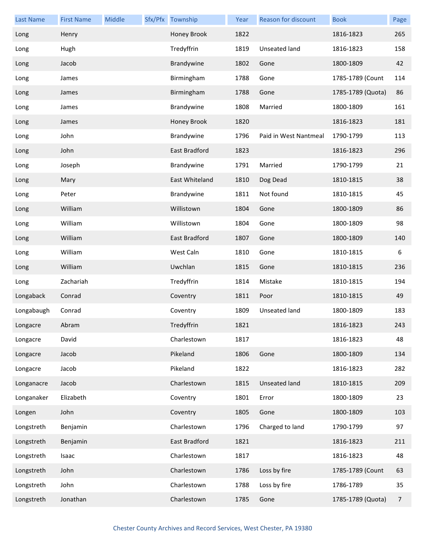| <b>Last Name</b> | <b>First Name</b> | Middle | Sfx/Pfx Township | Year | <b>Reason for discount</b> | <b>Book</b>       | Page |
|------------------|-------------------|--------|------------------|------|----------------------------|-------------------|------|
| Long             | Henry             |        | Honey Brook      | 1822 |                            | 1816-1823         | 265  |
| Long             | Hugh              |        | Tredyffrin       | 1819 | <b>Unseated land</b>       | 1816-1823         | 158  |
| Long             | Jacob             |        | Brandywine       | 1802 | Gone                       | 1800-1809         | 42   |
| Long             | James             |        | Birmingham       | 1788 | Gone                       | 1785-1789 (Count  | 114  |
| Long             | James             |        | Birmingham       | 1788 | Gone                       | 1785-1789 (Quota) | 86   |
| Long             | James             |        | Brandywine       | 1808 | Married                    | 1800-1809         | 161  |
| Long             | James             |        | Honey Brook      | 1820 |                            | 1816-1823         | 181  |
| Long             | John              |        | Brandywine       | 1796 | Paid in West Nantmeal      | 1790-1799         | 113  |
| Long             | John              |        | East Bradford    | 1823 |                            | 1816-1823         | 296  |
| Long             | Joseph            |        | Brandywine       | 1791 | Married                    | 1790-1799         | 21   |
| Long             | Mary              |        | East Whiteland   | 1810 | Dog Dead                   | 1810-1815         | 38   |
| Long             | Peter             |        | Brandywine       | 1811 | Not found                  | 1810-1815         | 45   |
| Long             | William           |        | Willistown       | 1804 | Gone                       | 1800-1809         | 86   |
| Long             | William           |        | Willistown       | 1804 | Gone                       | 1800-1809         | 98   |
| Long             | William           |        | East Bradford    | 1807 | Gone                       | 1800-1809         | 140  |
| Long             | William           |        | West Caln        | 1810 | Gone                       | 1810-1815         | 6    |
| Long             | William           |        | Uwchlan          | 1815 | Gone                       | 1810-1815         | 236  |
| Long             | Zachariah         |        | Tredyffrin       | 1814 | Mistake                    | 1810-1815         | 194  |
| Longaback        | Conrad            |        | Coventry         | 1811 | Poor                       | 1810-1815         | 49   |
| Longabaugh       | Conrad            |        | Coventry         | 1809 | Unseated land              | 1800-1809         | 183  |
| Longacre         | Abram             |        | Tredyffrin       | 1821 |                            | 1816-1823         | 243  |
| Longacre         | David             |        | Charlestown      | 1817 |                            | 1816-1823         | 48   |
| Longacre         | Jacob             |        | Pikeland         | 1806 | Gone                       | 1800-1809         | 134  |
| Longacre         | Jacob             |        | Pikeland         | 1822 |                            | 1816-1823         | 282  |
| Longanacre       | Jacob             |        | Charlestown      | 1815 | <b>Unseated land</b>       | 1810-1815         | 209  |
| Longanaker       | Elizabeth         |        | Coventry         | 1801 | Error                      | 1800-1809         | 23   |
| Longen           | John              |        | Coventry         | 1805 | Gone                       | 1800-1809         | 103  |
| Longstreth       | Benjamin          |        | Charlestown      | 1796 | Charged to land            | 1790-1799         | 97   |
| Longstreth       | Benjamin          |        | East Bradford    | 1821 |                            | 1816-1823         | 211  |
| Longstreth       | Isaac             |        | Charlestown      | 1817 |                            | 1816-1823         | 48   |
| Longstreth       | John              |        | Charlestown      | 1786 | Loss by fire               | 1785-1789 (Count  | 63   |
| Longstreth       | John              |        | Charlestown      | 1788 | Loss by fire               | 1786-1789         | 35   |
| Longstreth       | Jonathan          |        | Charlestown      | 1785 | Gone                       | 1785-1789 (Quota) | 7    |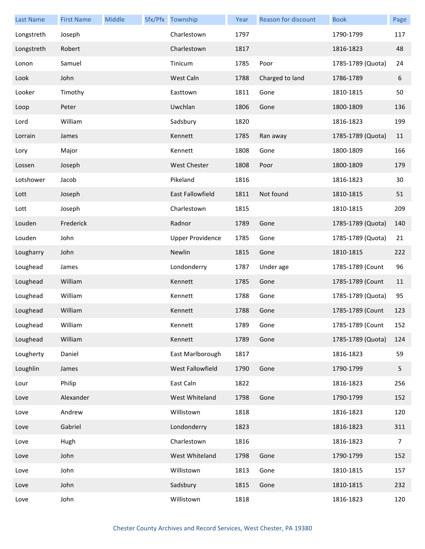| <b>Last Name</b> | <b>First Name</b> | Middle | Sfx/Pfx Township        | Year | <b>Reason for discount</b> | <b>Book</b>       | Page           |
|------------------|-------------------|--------|-------------------------|------|----------------------------|-------------------|----------------|
| Longstreth       | Joseph            |        | Charlestown             | 1797 |                            | 1790-1799         | 117            |
| Longstreth       | Robert            |        | Charlestown             | 1817 |                            | 1816-1823         | 48             |
| Lonon            | Samuel            |        | Tinicum                 | 1785 | Poor                       | 1785-1789 (Quota) | 24             |
| Look             | John              |        | West Caln               | 1788 | Charged to land            | 1786-1789         | 6              |
| Looker           | Timothy           |        | Easttown                | 1811 | Gone                       | 1810-1815         | 50             |
| Loop             | Peter             |        | Uwchlan                 | 1806 | Gone                       | 1800-1809         | 136            |
| Lord             | William           |        | Sadsbury                | 1820 |                            | 1816-1823         | 199            |
| Lorrain          | James             |        | Kennett                 | 1785 | Ran away                   | 1785-1789 (Quota) | 11             |
| Lory             | Major             |        | Kennett                 | 1808 | Gone                       | 1800-1809         | 166            |
| Lossen           | Joseph            |        | West Chester            | 1808 | Poor                       | 1800-1809         | 179            |
| Lotshower        | Jacob             |        | Pikeland                | 1816 |                            | 1816-1823         | 30             |
| Lott             | Joseph            |        | East Fallowfield        | 1811 | Not found                  | 1810-1815         | 51             |
| Lott             | Joseph            |        | Charlestown             | 1815 |                            | 1810-1815         | 209            |
| Louden           | Frederick         |        | Radnor                  | 1789 | Gone                       | 1785-1789 (Quota) | 140            |
| Louden           | John              |        | <b>Upper Providence</b> | 1785 | Gone                       | 1785-1789 (Quota) | 21             |
| Lougharry        | John              |        | Newlin                  | 1815 | Gone                       | 1810-1815         | 222            |
| Loughead         | James             |        | Londonderry             | 1787 | Under age                  | 1785-1789 (Count  | 96             |
| Loughead         | William           |        | Kennett                 | 1785 | Gone                       | 1785-1789 (Count  | 11             |
| Loughead         | William           |        | Kennett                 | 1788 | Gone                       | 1785-1789 (Quota) | 95             |
| Loughead         | William           |        | Kennett                 | 1788 | Gone                       | 1785-1789 (Count  | 123            |
| Loughead         | William           |        | Kennett                 | 1789 | Gone                       | 1785-1789 (Count  | 152            |
| Loughead         | William           |        | Kennett                 | 1789 | Gone                       | 1785-1789 (Quota) | 124            |
| Lougherty        | Daniel            |        | East Marlborough        | 1817 |                            | 1816-1823         | 59             |
| Loughlin         | James             |        | West Fallowfield        | 1790 | Gone                       | 1790-1799         | 5              |
| Lour             | Philip            |        | East Caln               | 1822 |                            | 1816-1823         | 256            |
| Love             | Alexander         |        | West Whiteland          | 1798 | Gone                       | 1790-1799         | 152            |
| Love             | Andrew            |        | Willistown              | 1818 |                            | 1816-1823         | 120            |
| Love             | Gabriel           |        | Londonderry             | 1823 |                            | 1816-1823         | 311            |
| Love             | Hugh              |        | Charlestown             | 1816 |                            | 1816-1823         | $\overline{7}$ |
| Love             | John              |        | West Whiteland          | 1798 | Gone                       | 1790-1799         | 152            |
| Love             | John              |        | Willistown              | 1813 | Gone                       | 1810-1815         | 157            |
| Love             | John              |        | Sadsbury                | 1815 | Gone                       | 1810-1815         | 232            |
| Love             | John              |        | Willistown              | 1818 |                            | 1816-1823         | 120            |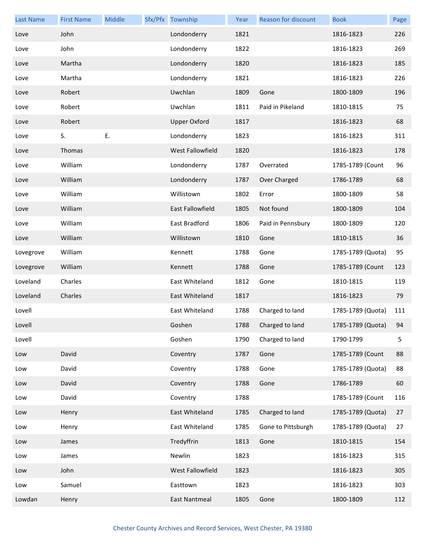| <b>Last Name</b> | <b>First Name</b> | Middle | Sfx/Pfx Township        | Year | Reason for discount | <b>Book</b>       | Page |
|------------------|-------------------|--------|-------------------------|------|---------------------|-------------------|------|
| Love             | John              |        | Londonderry             | 1821 |                     | 1816-1823         | 226  |
| Love             | John              |        | Londonderry             | 1822 |                     | 1816-1823         | 269  |
| Love             | Martha            |        | Londonderry             | 1820 |                     | 1816-1823         | 185  |
| Love             | Martha            |        | Londonderry             | 1821 |                     | 1816-1823         | 226  |
| Love             | Robert            |        | Uwchlan                 | 1809 | Gone                | 1800-1809         | 196  |
| Love             | Robert            |        | Uwchlan                 | 1811 | Paid in Pikeland    | 1810-1815         | 75   |
| Love             | Robert            |        | <b>Upper Oxford</b>     | 1817 |                     | 1816-1823         | 68   |
| Love             | S.                | E.     | Londonderry             | 1823 |                     | 1816-1823         | 311  |
| Love             | Thomas            |        | West Fallowfield        | 1820 |                     | 1816-1823         | 178  |
| Love             | William           |        | Londonderry             | 1787 | Overrated           | 1785-1789 (Count  | 96   |
| Love             | William           |        | Londonderry             | 1787 | Over Charged        | 1786-1789         | 68   |
| Love             | William           |        | Willistown              | 1802 | Error               | 1800-1809         | 58   |
| Love             | William           |        | <b>East Fallowfield</b> | 1805 | Not found           | 1800-1809         | 104  |
| Love             | William           |        | East Bradford           | 1806 | Paid in Pennsbury   | 1800-1809         | 120  |
| Love             | William           |        | Willistown              | 1810 | Gone                | 1810-1815         | 36   |
| Lovegrove        | William           |        | Kennett                 | 1788 | Gone                | 1785-1789 (Quota) | 95   |
| Lovegrove        | William           |        | Kennett                 | 1788 | Gone                | 1785-1789 (Count  | 123  |
| Loveland         | Charles           |        | East Whiteland          | 1812 | Gone                | 1810-1815         | 119  |
| Loveland         | Charles           |        | East Whiteland          | 1817 |                     | 1816-1823         | 79   |
| Lovell           |                   |        | East Whiteland          | 1788 | Charged to land     | 1785-1789 (Quota) | 111  |
| Lovell           |                   |        | Goshen                  | 1788 | Charged to land     | 1785-1789 (Quota) | 94   |
| Lovell           |                   |        | Goshen                  | 1790 | Charged to land     | 1790-1799         | 5    |
| Low              | David             |        | Coventry                | 1787 | Gone                | 1785-1789 (Count  | 88   |
| Low              | David             |        | Coventry                | 1788 | Gone                | 1785-1789 (Quota) | 88   |
| Low              | David             |        | Coventry                | 1788 | Gone                | 1786-1789         | 60   |
| Low              | David             |        | Coventry                | 1788 |                     | 1785-1789 (Count  | 116  |
| Low              | Henry             |        | East Whiteland          | 1785 | Charged to land     | 1785-1789 (Quota) | 27   |
| Low              | Henry             |        | East Whiteland          | 1785 | Gone to Pittsburgh  | 1785-1789 (Quota) | 27   |
| Low              | James             |        | Tredyffrin              | 1813 | Gone                | 1810-1815         | 154  |
| Low              | James             |        | Newlin                  | 1823 |                     | 1816-1823         | 315  |
| Low              | John              |        | West Fallowfield        | 1823 |                     | 1816-1823         | 305  |
| Low              | Samuel            |        | Easttown                | 1823 |                     | 1816-1823         | 303  |
| Lowdan           | Henry             |        | East Nantmeal           | 1805 | Gone                | 1800-1809         | 112  |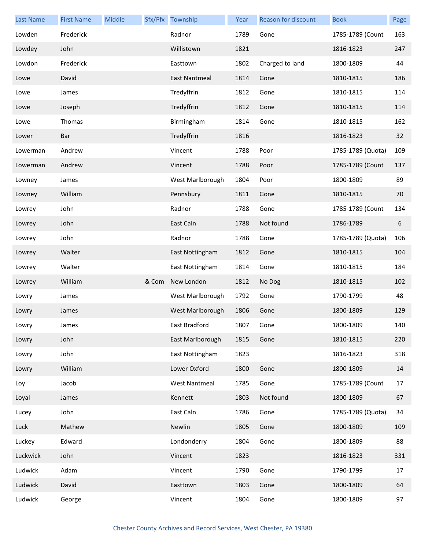| <b>Last Name</b> | <b>First Name</b> | Middle |       | Sfx/Pfx Township     | Year | Reason for discount | <b>Book</b>       | Page |
|------------------|-------------------|--------|-------|----------------------|------|---------------------|-------------------|------|
| Lowden           | Frederick         |        |       | Radnor               | 1789 | Gone                | 1785-1789 (Count  | 163  |
| Lowdey           | John              |        |       | Willistown           | 1821 |                     | 1816-1823         | 247  |
| Lowdon           | Frederick         |        |       | Easttown             | 1802 | Charged to land     | 1800-1809         | 44   |
| Lowe             | David             |        |       | East Nantmeal        | 1814 | Gone                | 1810-1815         | 186  |
| Lowe             | James             |        |       | Tredyffrin           | 1812 | Gone                | 1810-1815         | 114  |
| Lowe             | Joseph            |        |       | Tredyffrin           | 1812 | Gone                | 1810-1815         | 114  |
| Lowe             | Thomas            |        |       | Birmingham           | 1814 | Gone                | 1810-1815         | 162  |
| Lower            | Bar               |        |       | Tredyffrin           | 1816 |                     | 1816-1823         | 32   |
| Lowerman         | Andrew            |        |       | Vincent              | 1788 | Poor                | 1785-1789 (Quota) | 109  |
| Lowerman         | Andrew            |        |       | Vincent              | 1788 | Poor                | 1785-1789 (Count  | 137  |
| Lowney           | James             |        |       | West Marlborough     | 1804 | Poor                | 1800-1809         | 89   |
| Lowney           | William           |        |       | Pennsbury            | 1811 | Gone                | 1810-1815         | 70   |
| Lowrey           | John              |        |       | Radnor               | 1788 | Gone                | 1785-1789 (Count  | 134  |
| Lowrey           | John              |        |       | East Caln            | 1788 | Not found           | 1786-1789         | 6    |
| Lowrey           | John              |        |       | Radnor               | 1788 | Gone                | 1785-1789 (Quota) | 106  |
| Lowrey           | Walter            |        |       | East Nottingham      | 1812 | Gone                | 1810-1815         | 104  |
| Lowrey           | Walter            |        |       | East Nottingham      | 1814 | Gone                | 1810-1815         | 184  |
| Lowrey           | William           |        | & Com | New London           | 1812 | No Dog              | 1810-1815         | 102  |
| Lowry            | James             |        |       | West Marlborough     | 1792 | Gone                | 1790-1799         | 48   |
| Lowry            | James             |        |       | West Marlborough     | 1806 | Gone                | 1800-1809         | 129  |
| Lowry            | James             |        |       | East Bradford        | 1807 | Gone                | 1800-1809         | 140  |
| Lowry            | John              |        |       | East Marlborough     | 1815 | Gone                | 1810-1815         | 220  |
| Lowry            | John              |        |       | East Nottingham      | 1823 |                     | 1816-1823         | 318  |
| Lowry            | William           |        |       | Lower Oxford         | 1800 | Gone                | 1800-1809         | 14   |
| Loy              | Jacob             |        |       | <b>West Nantmeal</b> | 1785 | Gone                | 1785-1789 (Count  | 17   |
| Loyal            | James             |        |       | Kennett              | 1803 | Not found           | 1800-1809         | 67   |
| Lucey            | John              |        |       | East Caln            | 1786 | Gone                | 1785-1789 (Quota) | 34   |
| Luck             | Mathew            |        |       | Newlin               | 1805 | Gone                | 1800-1809         | 109  |
| Luckey           | Edward            |        |       | Londonderry          | 1804 | Gone                | 1800-1809         | 88   |
| Luckwick         | John              |        |       | Vincent              | 1823 |                     | 1816-1823         | 331  |
| Ludwick          | Adam              |        |       | Vincent              | 1790 | Gone                | 1790-1799         | 17   |
| Ludwick          | David             |        |       | Easttown             | 1803 | Gone                | 1800-1809         | 64   |
| Ludwick          | George            |        |       | Vincent              | 1804 | Gone                | 1800-1809         | 97   |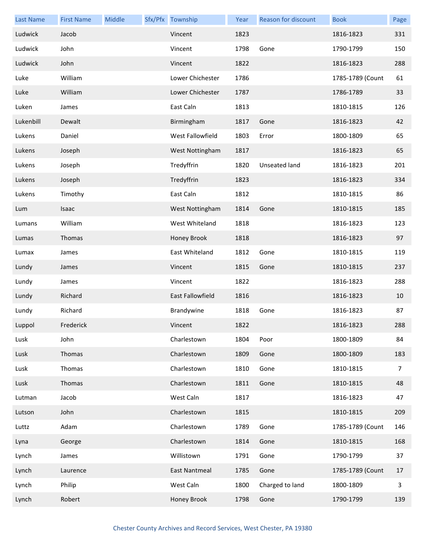| <b>Last Name</b> | <b>First Name</b> | Middle | Sfx/Pfx Township | Year | Reason for discount | <b>Book</b>      | Page |
|------------------|-------------------|--------|------------------|------|---------------------|------------------|------|
| Ludwick          | Jacob             |        | Vincent          | 1823 |                     | 1816-1823        | 331  |
| Ludwick          | John              |        | Vincent          | 1798 | Gone                | 1790-1799        | 150  |
| Ludwick          | John              |        | Vincent          | 1822 |                     | 1816-1823        | 288  |
| Luke             | William           |        | Lower Chichester | 1786 |                     | 1785-1789 (Count | 61   |
| Luke             | William           |        | Lower Chichester | 1787 |                     | 1786-1789        | 33   |
| Luken            | James             |        | East Caln        | 1813 |                     | 1810-1815        | 126  |
| Lukenbill        | Dewalt            |        | Birmingham       | 1817 | Gone                | 1816-1823        | 42   |
| Lukens           | Daniel            |        | West Fallowfield | 1803 | Error               | 1800-1809        | 65   |
| Lukens           | Joseph            |        | West Nottingham  | 1817 |                     | 1816-1823        | 65   |
| Lukens           | Joseph            |        | Tredyffrin       | 1820 | Unseated land       | 1816-1823        | 201  |
| Lukens           | Joseph            |        | Tredyffrin       | 1823 |                     | 1816-1823        | 334  |
| Lukens           | Timothy           |        | East Caln        | 1812 |                     | 1810-1815        | 86   |
| Lum              | Isaac             |        | West Nottingham  | 1814 | Gone                | 1810-1815        | 185  |
| Lumans           | William           |        | West Whiteland   | 1818 |                     | 1816-1823        | 123  |
| Lumas            | Thomas            |        | Honey Brook      | 1818 |                     | 1816-1823        | 97   |
| Lumax            | James             |        | East Whiteland   | 1812 | Gone                | 1810-1815        | 119  |
| Lundy            | James             |        | Vincent          | 1815 | Gone                | 1810-1815        | 237  |
| Lundy            | James             |        | Vincent          | 1822 |                     | 1816-1823        | 288  |
| Lundy            | Richard           |        | East Fallowfield | 1816 |                     | 1816-1823        | 10   |
| Lundy            | Richard           |        | Brandywine       | 1818 | Gone                | 1816-1823        | 87   |
| Luppol           | Frederick         |        | Vincent          | 1822 |                     | 1816-1823        | 288  |
| Lusk             | John              |        | Charlestown      | 1804 | Poor                | 1800-1809        | 84   |
| Lusk             | Thomas            |        | Charlestown      | 1809 | Gone                | 1800-1809        | 183  |
| Lusk             | Thomas            |        | Charlestown      | 1810 | Gone                | 1810-1815        | 7    |
| Lusk             | Thomas            |        | Charlestown      | 1811 | Gone                | 1810-1815        | 48   |
| Lutman           | Jacob             |        | West Caln        | 1817 |                     | 1816-1823        | 47   |
| Lutson           | John              |        | Charlestown      | 1815 |                     | 1810-1815        | 209  |
| Luttz            | Adam              |        | Charlestown      | 1789 | Gone                | 1785-1789 (Count | 146  |
| Lyna             | George            |        | Charlestown      | 1814 | Gone                | 1810-1815        | 168  |
| Lynch            | James             |        | Willistown       | 1791 | Gone                | 1790-1799        | 37   |
| Lynch            | Laurence          |        | East Nantmeal    | 1785 | Gone                | 1785-1789 (Count | 17   |
| Lynch            | Philip            |        | West Caln        | 1800 | Charged to land     | 1800-1809        | 3    |
| Lynch            | Robert            |        | Honey Brook      | 1798 | Gone                | 1790-1799        | 139  |